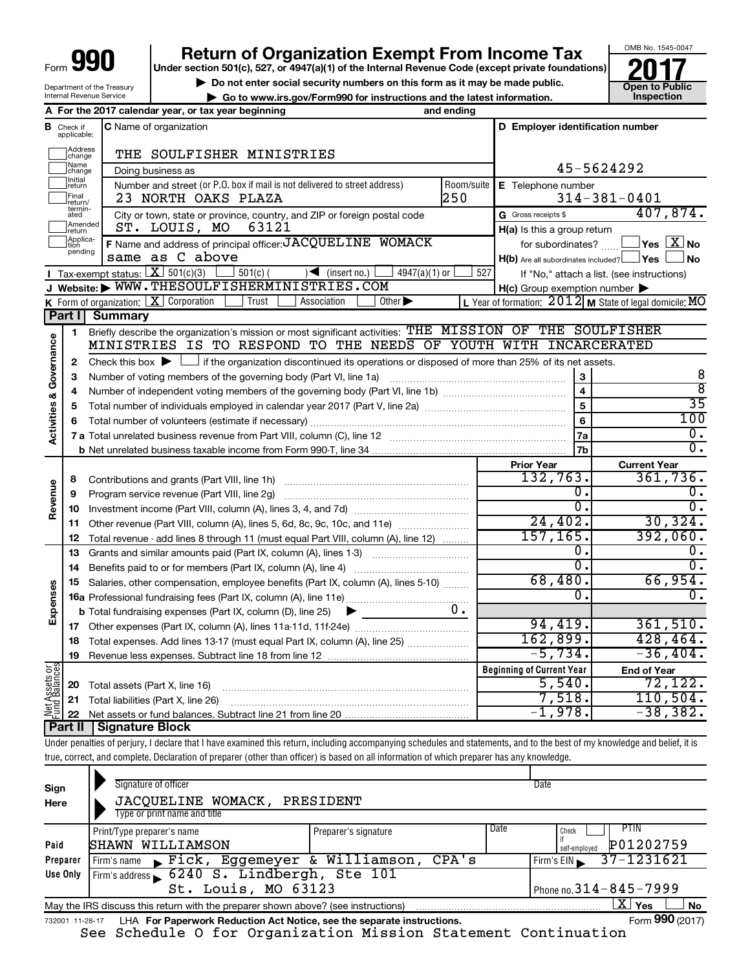| Form · | 991 |
|--------|-----|
|        |     |

Department of the Treasury Internal Revenue Service

### **Return of Organization Exempt From Income Tax**

**Under section 501(c), 527, or 4947(a)(1) of the Internal Revenue Code (except private foundations)**

▶ Do not enter social security numbers on this form as it may be made public.<br>
inspection and the latest information. **Dependent in the latest information** and the latest information.





|                                    | <b>B</b> Check if applicable: | C Name of organization                                                                                                                      |            | D Employer identification number                    |                                                                        |
|------------------------------------|-------------------------------|---------------------------------------------------------------------------------------------------------------------------------------------|------------|-----------------------------------------------------|------------------------------------------------------------------------|
|                                    | Address<br>change             | THE SOULFISHER MINISTRIES                                                                                                                   |            |                                                     |                                                                        |
|                                    | Name<br>change                | Doing business as                                                                                                                           |            | 45-5624292                                          |                                                                        |
|                                    | Initial<br>return             | Number and street (or P.O. box if mail is not delivered to street address)                                                                  | Room/suite | E Telephone number                                  |                                                                        |
|                                    | Final<br>return/              | 23 NORTH OAKS PLAZA                                                                                                                         | 250        |                                                     | $314 - 381 - 0401$                                                     |
|                                    | termin-<br>ated               | City or town, state or province, country, and ZIP or foreign postal code                                                                    |            | G Gross receipts \$                                 | 407,874.                                                               |
|                                    | Amended<br>return             | ST. LOUIS, MO<br>63121                                                                                                                      |            | H(a) Is this a group return                         |                                                                        |
|                                    | Applica-                      | F Name and address of principal officer: JACQUELINE WOMACK                                                                                  |            |                                                     | for subordinates? $\begin{array}{c} \boxed{\mathbf{X}} \end{array}$ No |
|                                    | pending                       | same as C above                                                                                                                             |            | H(b) Are all subordinates included? Ves             | ⊥No                                                                    |
|                                    |                               | Tax-exempt status: $X \overline{3}$ 501(c)(3)<br>4947(a)(1) or<br>$501(c)$ (<br>$\leq$ (insert no.)                                         | 527        |                                                     | If "No," attach a list. (see instructions)                             |
|                                    |                               | J Website: WWW.THESOULFISHERMINISTRIES.COM                                                                                                  |            | $H(c)$ Group exemption number $\blacktriangleright$ |                                                                        |
|                                    |                               | <b>K</b> Form of organization: $X$ Corporation<br>Trust<br>Other $\blacktriangleright$<br>Association                                       |            |                                                     | L Year of formation: $2012$ M State of legal domicile: $\overline{MO}$ |
|                                    | Part I                        | <b>Summary</b>                                                                                                                              |            |                                                     |                                                                        |
|                                    | 1                             | Briefly describe the organization's mission or most significant activities: THE MISSION OF THE SOULFISHER                                   |            |                                                     |                                                                        |
| <b>Activities &amp; Governance</b> |                               | MINISTRIES IS TO RESPOND TO THE NEEDS OF YOUTH WITH INCARCERATED                                                                            |            |                                                     |                                                                        |
|                                    | $\mathbf{2}$                  | Check this box $\blacktriangleright$ $\Box$ if the organization discontinued its operations or disposed of more than 25% of its net assets. |            |                                                     |                                                                        |
|                                    | 3                             | Number of voting members of the governing body (Part VI, line 1a)                                                                           |            |                                                     | 8                                                                      |
|                                    | 4                             |                                                                                                                                             |            | $\overline{\mathbf{4}}$                             | $\overline{8}$                                                         |
|                                    | 5                             |                                                                                                                                             |            | $\overline{5}$                                      | $\overline{35}$                                                        |
|                                    | 6                             |                                                                                                                                             |            | $6\phantom{a}$                                      | 100                                                                    |
|                                    |                               |                                                                                                                                             |            | 7a                                                  | $\overline{0}$ .                                                       |
|                                    |                               |                                                                                                                                             |            | 7b                                                  | Ο.                                                                     |
|                                    |                               |                                                                                                                                             |            | <b>Prior Year</b>                                   | <b>Current Year</b>                                                    |
|                                    | 8                             | Contributions and grants (Part VIII, line 1h)                                                                                               |            | 132,763.                                            | 361,736.                                                               |
| Revenue                            | 9                             |                                                                                                                                             |            | σ.                                                  | Ο.                                                                     |
|                                    | 10                            |                                                                                                                                             |            | $\overline{0}$ .                                    | $\overline{0}$ .                                                       |
|                                    | 11                            | Other revenue (Part VIII, column (A), lines 5, 6d, 8c, 9c, 10c, and 11e)                                                                    |            | 24,402.                                             | 30, 324.                                                               |
|                                    | 12                            | Total revenue - add lines 8 through 11 (must equal Part VIII, column (A), line 12)                                                          |            | 157, 165.                                           | 392,060.                                                               |
|                                    | 13                            | Grants and similar amounts paid (Part IX, column (A), lines 1-3)                                                                            |            | 0.                                                  | Ο.                                                                     |
|                                    | 14                            | Benefits paid to or for members (Part IX, column (A), line 4)                                                                               |            | $\overline{0}$ .                                    | $\overline{0}$ .                                                       |
|                                    | 15                            | Salaries, other compensation, employee benefits (Part IX, column (A), lines 5-10)                                                           |            | 68,480.                                             | 66,954.                                                                |
|                                    |                               |                                                                                                                                             |            | О.                                                  | О.                                                                     |
| Expenses                           |                               | <b>b</b> Total fundraising expenses (Part IX, column (D), line 25) $\triangleright$                                                         | υ.         |                                                     |                                                                        |
|                                    | 17                            |                                                                                                                                             |            | 94,419.                                             | 361,510.                                                               |
|                                    | 18                            | Total expenses. Add lines 13-17 (must equal Part IX, column (A), line 25)                                                                   |            | 162,899.                                            | 428, 464.                                                              |
|                                    | 19                            |                                                                                                                                             |            | $-5,734.$                                           | $-36,404.$                                                             |
| Net Assets or<br>Fund Balances     |                               |                                                                                                                                             |            | <b>Beginning of Current Year</b>                    | <b>End of Year</b>                                                     |
|                                    | 20                            | Total assets (Part X, line 16)                                                                                                              |            | 5,540.                                              | 72,122.                                                                |
|                                    | 21                            | Total liabilities (Part X, line 26)                                                                                                         |            | 7,518.                                              | 110, 504.                                                              |
|                                    | 22                            |                                                                                                                                             |            | $-1,978.$                                           | $-38,382.$                                                             |
|                                    | Part II                       | <b>Signature Block</b>                                                                                                                      |            |                                                     |                                                                        |

Under penalties of perjury, I declare that I have examined this return, including accompanying schedules and statements, and to the best of my knowledge and belief, it is true, correct, and complete. Declaration of preparer (other than officer) is based on all information of which preparer has any knowledge.

| Sign<br>Here | Signature of officer<br>JACQUELINE WOMACK,<br>Type or print name and title                                   | PRESIDENT                     |      | Date                                        |  |  |  |  |
|--------------|--------------------------------------------------------------------------------------------------------------|-------------------------------|------|---------------------------------------------|--|--|--|--|
| Paid         | Print/Type preparer's name<br>SHAWN WILLIAMSON                                                               | Preparer's signature          | Date | PTIN<br>Check<br>P01202759<br>self-emploved |  |  |  |  |
| Preparer     | $\blacktriangleright$ Fick,<br>Firm's name                                                                   | Eggemeyer & Williamson, CPA's |      | 37-1231621<br>Firm's $EIN$                  |  |  |  |  |
| Use Only     | Firm's address 6240 S. Lindbergh, Ste 101                                                                    |                               |      |                                             |  |  |  |  |
|              | St. Louis, MO 63123<br>Phone no. $314 - 845 - 7999$                                                          |                               |      |                                             |  |  |  |  |
|              | May the IRS discuss this return with the preparer shown above? (see instructions)                            |                               |      | x.<br>Yes<br><b>No</b>                      |  |  |  |  |
|              | Form 990 (2017)<br>LHA For Paperwork Reduction Act Notice, see the separate instructions.<br>732001 11-28-17 |                               |      |                                             |  |  |  |  |

See Schedule O for Organization Mission Statement Continuation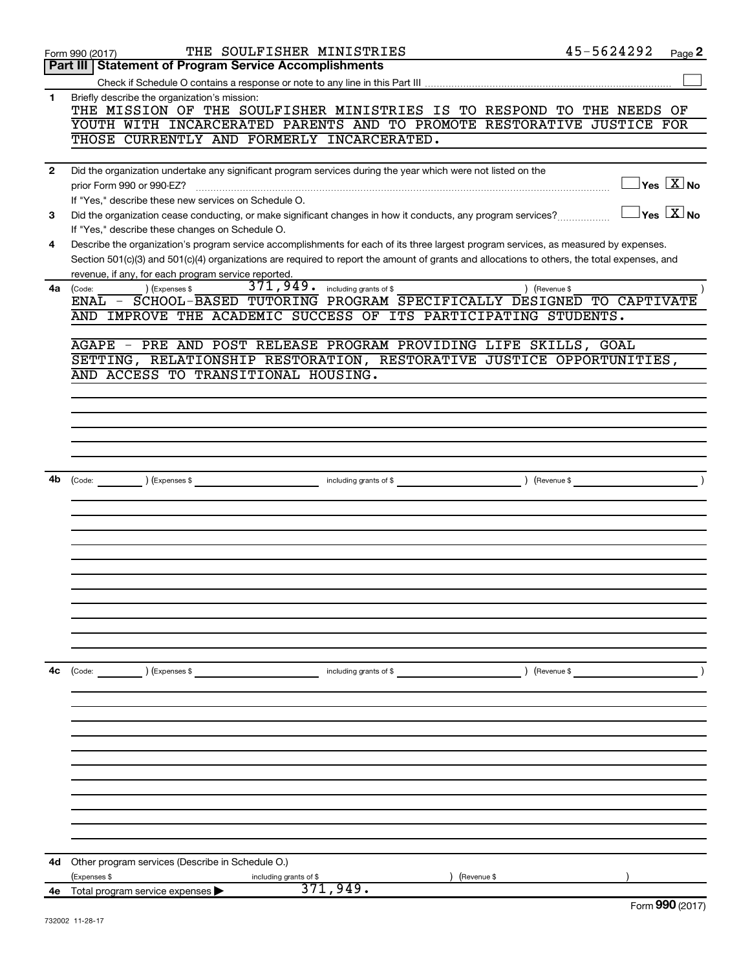|              | THE SOULFISHER MINISTRIES<br>Form 990 (2017)                                                                                                 | 45-5624292    | Page 2                                  |
|--------------|----------------------------------------------------------------------------------------------------------------------------------------------|---------------|-----------------------------------------|
|              | Part III   Statement of Program Service Accomplishments                                                                                      |               |                                         |
|              |                                                                                                                                              |               |                                         |
| $\mathbf 1$  | Briefly describe the organization's mission:                                                                                                 |               |                                         |
|              | THE MISSION OF THE SOULFISHER MINISTRIES IS TO RESPOND TO THE NEEDS OF                                                                       |               |                                         |
|              | YOUTH WITH INCARCERATED PARENTS AND TO PROMOTE RESTORATIVE JUSTICE FOR                                                                       |               |                                         |
|              | THOSE CURRENTLY AND FORMERLY INCARCERATED.                                                                                                   |               |                                         |
|              |                                                                                                                                              |               |                                         |
| $\mathbf{2}$ | Did the organization undertake any significant program services during the year which were not listed on the                                 |               |                                         |
|              | prior Form 990 or 990-EZ?                                                                                                                    |               | $\Box$ Yes $[\overline{\mathrm{X}}]$ No |
|              | If "Yes," describe these new services on Schedule O.                                                                                         |               |                                         |
| 3            | Did the organization cease conducting, or make significant changes in how it conducts, any program services?                                 |               | $\Box$ Yes $[\overline{\mathrm{X}}]$ No |
|              | If "Yes," describe these changes on Schedule O.                                                                                              |               |                                         |
| 4            | Describe the organization's program service accomplishments for each of its three largest program services, as measured by expenses.         |               |                                         |
|              | Section 501(c)(3) and 501(c)(4) organizations are required to report the amount of grants and allocations to others, the total expenses, and |               |                                         |
|              | revenue, if any, for each program service reported.<br>$\overline{371}$ , $949$ . including grants of \$                                     |               |                                         |
| 4a           | ) (Expenses \$<br>(Code:<br>ENAL - SCHOOL-BASED TUTORING PROGRAM SPECIFICALLY DESIGNED TO CAPTIVATE                                          | ) (Revenue \$ |                                         |
|              | AND IMPROVE THE ACADEMIC SUCCESS OF ITS PARTICIPATING STUDENTS.                                                                              |               |                                         |
|              |                                                                                                                                              |               |                                         |
|              | AGAPE - PRE AND POST RELEASE PROGRAM PROVIDING LIFE SKILLS, GOAL                                                                             |               |                                         |
|              | SETTING, RELATIONSHIP RESTORATION, RESTORATIVE JUSTICE OPPORTUNITIES,                                                                        |               |                                         |
|              | AND ACCESS TO TRANSITIONAL HOUSING.                                                                                                          |               |                                         |
|              |                                                                                                                                              |               |                                         |
|              |                                                                                                                                              |               |                                         |
|              |                                                                                                                                              |               |                                         |
|              |                                                                                                                                              |               |                                         |
|              |                                                                                                                                              |               |                                         |
|              |                                                                                                                                              |               |                                         |
| 4b           |                                                                                                                                              |               |                                         |
|              |                                                                                                                                              |               |                                         |
|              |                                                                                                                                              |               |                                         |
|              |                                                                                                                                              |               |                                         |
|              |                                                                                                                                              |               |                                         |
|              |                                                                                                                                              |               |                                         |
|              |                                                                                                                                              |               |                                         |
|              |                                                                                                                                              |               |                                         |
|              |                                                                                                                                              |               |                                         |
|              |                                                                                                                                              |               |                                         |
|              |                                                                                                                                              |               |                                         |
|              |                                                                                                                                              |               |                                         |
|              |                                                                                                                                              |               |                                         |
| 4c           | ) (Expenses \$<br>(Code:<br>including grants of \$                                                                                           | ) (Revenue \$ |                                         |
|              |                                                                                                                                              |               |                                         |
|              |                                                                                                                                              |               |                                         |
|              |                                                                                                                                              |               |                                         |
|              |                                                                                                                                              |               |                                         |
|              |                                                                                                                                              |               |                                         |
|              |                                                                                                                                              |               |                                         |
|              |                                                                                                                                              |               |                                         |
|              |                                                                                                                                              |               |                                         |
|              |                                                                                                                                              |               |                                         |
|              |                                                                                                                                              |               |                                         |
|              |                                                                                                                                              |               |                                         |
|              |                                                                                                                                              |               |                                         |
| 4d           | Other program services (Describe in Schedule O.)                                                                                             |               |                                         |
|              | (Expenses \$<br>including grants of \$<br>(Revenue \$                                                                                        |               |                                         |
|              | 371,949.<br>4e Total program service expenses                                                                                                |               |                                         |
|              |                                                                                                                                              |               | $F_{\text{sum}}$ 000 (2017)             |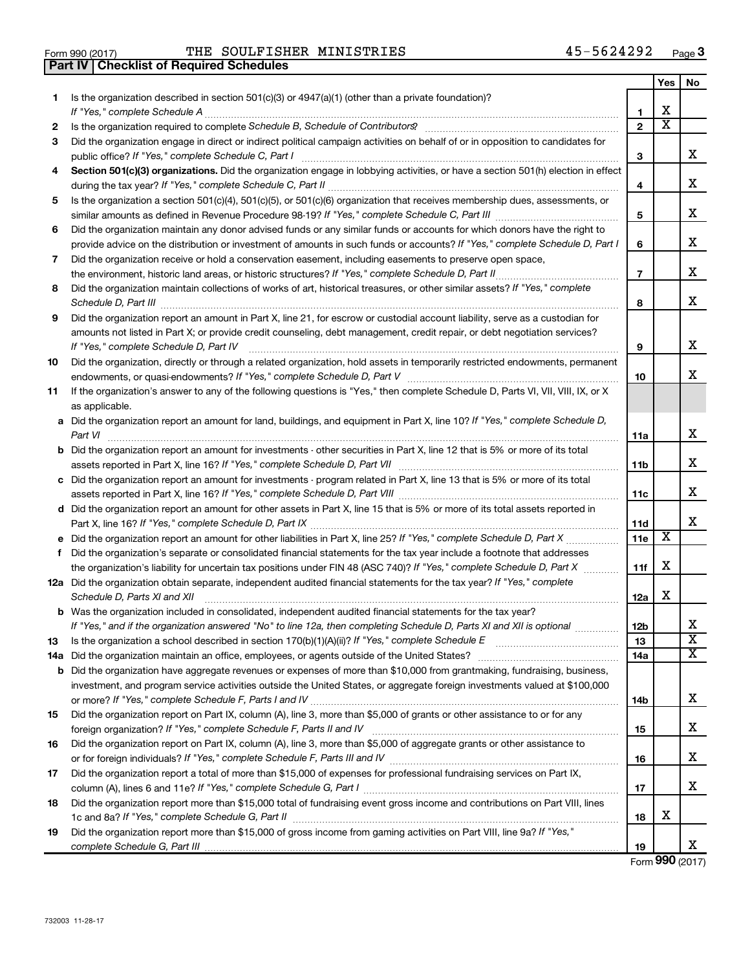|                 |  | <b>Part IV Checklist of Required Schedules</b> |
|-----------------|--|------------------------------------------------|
| Form 990 (2017) |  | THE SOULFISH                                   |

Form 990 (2017)  $\qquad$  THE SOULFISHER MINISTRIES  $\qquad \qquad \qquad \qquad 45-5624292$   $\qquad$   $_{\text{Page}}$ 

|    |                                                                                                                                                                                                                                                                |                | Yes                     | No                           |
|----|----------------------------------------------------------------------------------------------------------------------------------------------------------------------------------------------------------------------------------------------------------------|----------------|-------------------------|------------------------------|
| 1  | Is the organization described in section 501(c)(3) or $4947(a)(1)$ (other than a private foundation)?                                                                                                                                                          |                |                         |                              |
|    | If "Yes," complete Schedule A                                                                                                                                                                                                                                  | 1              | х                       |                              |
| 2  |                                                                                                                                                                                                                                                                | $\overline{2}$ | $\overline{\text{x}}$   |                              |
| 3  | Did the organization engage in direct or indirect political campaign activities on behalf of or in opposition to candidates for                                                                                                                                | З              |                         | x                            |
| 4  | Section 501(c)(3) organizations. Did the organization engage in lobbying activities, or have a section 501(h) election in effect                                                                                                                               | 4              |                         | x                            |
| 5  | Is the organization a section 501(c)(4), 501(c)(5), or 501(c)(6) organization that receives membership dues, assessments, or                                                                                                                                   |                |                         |                              |
|    |                                                                                                                                                                                                                                                                | 5              |                         | x                            |
| 6  | Did the organization maintain any donor advised funds or any similar funds or accounts for which donors have the right to                                                                                                                                      |                |                         |                              |
|    | provide advice on the distribution or investment of amounts in such funds or accounts? If "Yes," complete Schedule D, Part I                                                                                                                                   | 6              |                         | x                            |
| 7  | Did the organization receive or hold a conservation easement, including easements to preserve open space,                                                                                                                                                      |                |                         |                              |
|    |                                                                                                                                                                                                                                                                | 7              |                         | x                            |
| 8  | Did the organization maintain collections of works of art, historical treasures, or other similar assets? If "Yes," complete                                                                                                                                   | 8              |                         | x                            |
| 9  | Did the organization report an amount in Part X, line 21, for escrow or custodial account liability, serve as a custodian for                                                                                                                                  |                |                         |                              |
|    | amounts not listed in Part X; or provide credit counseling, debt management, credit repair, or debt negotiation services?                                                                                                                                      |                |                         |                              |
|    | If "Yes," complete Schedule D, Part IV                                                                                                                                                                                                                         | 9              |                         | x                            |
| 10 | Did the organization, directly or through a related organization, hold assets in temporarily restricted endowments, permanent                                                                                                                                  |                |                         |                              |
|    |                                                                                                                                                                                                                                                                | 10             |                         | x                            |
| 11 | If the organization's answer to any of the following questions is "Yes," then complete Schedule D, Parts VI, VII, VIII, IX, or X                                                                                                                               |                |                         |                              |
|    | as applicable.                                                                                                                                                                                                                                                 |                |                         |                              |
|    | a Did the organization report an amount for land, buildings, and equipment in Part X, line 10? If "Yes," complete Schedule D,<br>Part VI                                                                                                                       | 11a            |                         | x.                           |
|    | <b>b</b> Did the organization report an amount for investments - other securities in Part X, line 12 that is 5% or more of its total                                                                                                                           | 11b            |                         | x                            |
|    | c Did the organization report an amount for investments - program related in Part X, line 13 that is 5% or more of its total                                                                                                                                   |                |                         |                              |
|    |                                                                                                                                                                                                                                                                | 11c            |                         | x                            |
|    | d Did the organization report an amount for other assets in Part X, line 15 that is 5% or more of its total assets reported in                                                                                                                                 |                |                         |                              |
|    |                                                                                                                                                                                                                                                                | 11d            |                         | x                            |
|    | e Did the organization report an amount for other liabilities in Part X, line 25? If "Yes," complete Schedule D, Part X                                                                                                                                        | 11e            | $\overline{\textbf{x}}$ |                              |
| f. | Did the organization's separate or consolidated financial statements for the tax year include a footnote that addresses                                                                                                                                        |                | X                       |                              |
|    | the organization's liability for uncertain tax positions under FIN 48 (ASC 740)? If "Yes," complete Schedule D, Part X                                                                                                                                         | 11f            |                         |                              |
|    | 12a Did the organization obtain separate, independent audited financial statements for the tax year? If "Yes," complete<br>Schedule D, Parts XI and XII                                                                                                        | 12a            | х                       |                              |
|    | <b>b</b> Was the organization included in consolidated, independent audited financial statements for the tax year?                                                                                                                                             |                |                         |                              |
|    | If "Yes," and if the organization answered "No" to line 12a, then completing Schedule D, Parts XI and XII is optional                                                                                                                                          | 12D            |                         | 4<br>$\overline{\textbf{X}}$ |
| 13 | Is the organization a school described in section $170(b)(1)(A)(ii)?$ If "Yes," complete Schedule E                                                                                                                                                            | 13             |                         | x                            |
|    | 14a Did the organization maintain an office, employees, or agents outside of the United States?                                                                                                                                                                | 14a            |                         |                              |
|    | <b>b</b> Did the organization have aggregate revenues or expenses of more than \$10,000 from grantmaking, fundraising, business,<br>investment, and program service activities outside the United States, or aggregate foreign investments valued at \$100,000 |                |                         |                              |
|    |                                                                                                                                                                                                                                                                | 14b            |                         | x                            |
| 15 | Did the organization report on Part IX, column (A), line 3, more than \$5,000 of grants or other assistance to or for any                                                                                                                                      |                |                         |                              |
|    |                                                                                                                                                                                                                                                                | 15             |                         | x                            |
| 16 | Did the organization report on Part IX, column (A), line 3, more than \$5,000 of aggregate grants or other assistance to                                                                                                                                       |                |                         |                              |
|    |                                                                                                                                                                                                                                                                | 16             |                         | х                            |
| 17 | Did the organization report a total of more than \$15,000 of expenses for professional fundraising services on Part IX,                                                                                                                                        |                |                         |                              |
|    |                                                                                                                                                                                                                                                                | 17             |                         | x                            |
| 18 | Did the organization report more than \$15,000 total of fundraising event gross income and contributions on Part VIII, lines                                                                                                                                   |                |                         |                              |
|    |                                                                                                                                                                                                                                                                | 18             | х                       |                              |
| 19 | Did the organization report more than \$15,000 of gross income from gaming activities on Part VIII, line 9a? If "Yes,"                                                                                                                                         |                |                         |                              |
|    |                                                                                                                                                                                                                                                                | 19             |                         | x                            |

Form (2017) **990**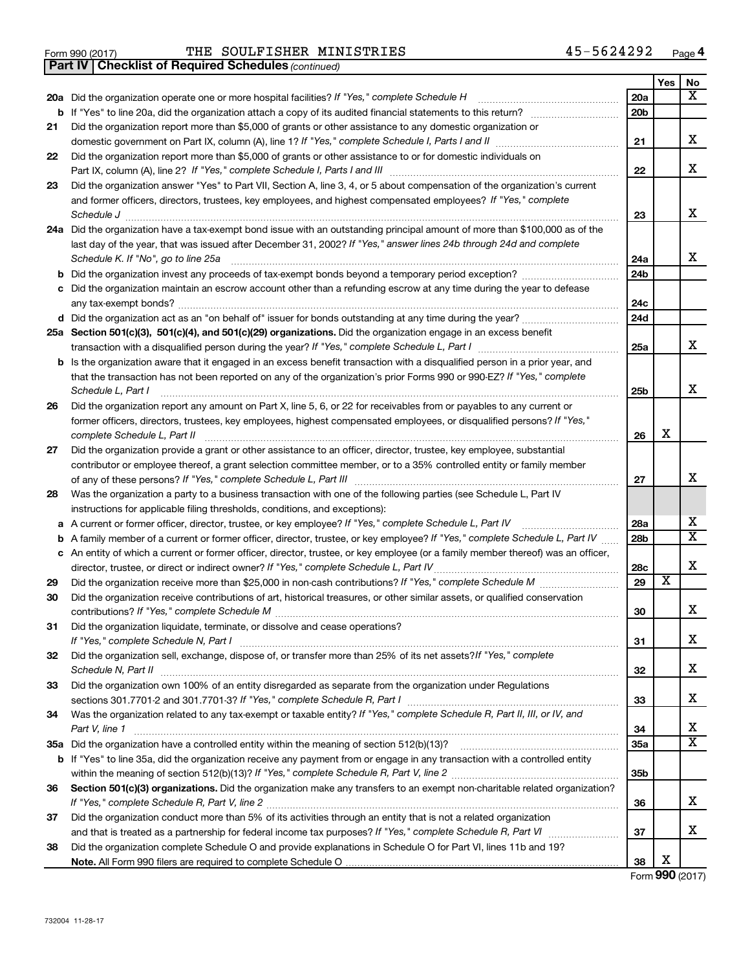|  | Form 990 (2017) |
|--|-----------------|
|  |                 |

Form 990 (2017)  $\qquad$  THE SOULFISHER MINISTRIES  $\qquad \qquad \qquad \qquad 45-5624292$   $\qquad$   $_{\text{Page}}$ 

*(continued)* **Part IV Checklist of Required Schedules**

|          |                                                                                                                                                                                                |                 | Yes                     | No                      |
|----------|------------------------------------------------------------------------------------------------------------------------------------------------------------------------------------------------|-----------------|-------------------------|-------------------------|
|          | 20a Did the organization operate one or more hospital facilities? If "Yes," complete Schedule H                                                                                                | 20a             |                         | X                       |
|          | <b>b</b> If "Yes" to line 20a, did the organization attach a copy of its audited financial statements to this return?                                                                          | 20 <sub>b</sub> |                         |                         |
| 21       | Did the organization report more than \$5,000 of grants or other assistance to any domestic organization or                                                                                    |                 |                         |                         |
|          |                                                                                                                                                                                                | 21              |                         | x                       |
| 22       | Did the organization report more than \$5,000 of grants or other assistance to or for domestic individuals on                                                                                  |                 |                         |                         |
|          | Part IX, column (A), line 2? If "Yes," complete Schedule I, Parts I and III                                                                                                                    | 22              |                         | x                       |
| 23       | Did the organization answer "Yes" to Part VII, Section A, line 3, 4, or 5 about compensation of the organization's current                                                                     |                 |                         |                         |
|          | and former officers, directors, trustees, key employees, and highest compensated employees? If "Yes," complete                                                                                 |                 |                         |                         |
|          | Schedule J                                                                                                                                                                                     | 23              |                         | x                       |
|          | 24a Did the organization have a tax-exempt bond issue with an outstanding principal amount of more than \$100,000 as of the                                                                    |                 |                         |                         |
|          | last day of the year, that was issued after December 31, 2002? If "Yes," answer lines 24b through 24d and complete                                                                             |                 |                         |                         |
|          | Schedule K. If "No", go to line 25a                                                                                                                                                            | 24a             |                         | x                       |
| b        |                                                                                                                                                                                                | 24 <sub>b</sub> |                         |                         |
| с        | Did the organization maintain an escrow account other than a refunding escrow at any time during the year to defease                                                                           |                 |                         |                         |
|          |                                                                                                                                                                                                | 24c             |                         |                         |
|          |                                                                                                                                                                                                | 24d             |                         |                         |
|          | 25a Section 501(c)(3), 501(c)(4), and 501(c)(29) organizations. Did the organization engage in an excess benefit                                                                               |                 |                         |                         |
|          | transaction with a disqualified person during the year? If "Yes," complete Schedule L, Part I manual content to the disqualified person during the year? If "Yes," complete Schedule L, Part I | 25a             |                         | x                       |
| b        | Is the organization aware that it engaged in an excess benefit transaction with a disqualified person in a prior year, and                                                                     |                 |                         |                         |
|          | that the transaction has not been reported on any of the organization's prior Forms 990 or 990-EZ? If "Yes," complete                                                                          |                 |                         |                         |
|          | Schedule L, Part I                                                                                                                                                                             | 25 <sub>b</sub> |                         | x                       |
| 26       | Did the organization report any amount on Part X, line 5, 6, or 22 for receivables from or payables to any current or                                                                          |                 |                         |                         |
|          | former officers, directors, trustees, key employees, highest compensated employees, or disqualified persons? If "Yes,"                                                                         |                 |                         |                         |
|          | complete Schedule L, Part II                                                                                                                                                                   | 26              | x                       |                         |
| 27       | Did the organization provide a grant or other assistance to an officer, director, trustee, key employee, substantial                                                                           |                 |                         |                         |
|          | contributor or employee thereof, a grant selection committee member, or to a 35% controlled entity or family member                                                                            |                 |                         |                         |
|          |                                                                                                                                                                                                | 27              |                         | x                       |
| 28       | Was the organization a party to a business transaction with one of the following parties (see Schedule L, Part IV                                                                              |                 |                         |                         |
|          | instructions for applicable filing thresholds, conditions, and exceptions):                                                                                                                    |                 |                         | x                       |
| а        | A current or former officer, director, trustee, or key employee? If "Yes," complete Schedule L, Part IV                                                                                        | 28a             |                         | $\overline{\textbf{X}}$ |
| b        | A family member of a current or former officer, director, trustee, or key employee? If "Yes," complete Schedule L, Part IV                                                                     | 28 <sub>b</sub> |                         |                         |
|          | c An entity of which a current or former officer, director, trustee, or key employee (or a family member thereof) was an officer,                                                              |                 |                         | х                       |
|          | director, trustee, or direct or indirect owner? If "Yes," complete Schedule L, Part IV                                                                                                         | 28c<br>29       | $\overline{\textbf{x}}$ |                         |
| 29<br>30 | Did the organization receive contributions of art, historical treasures, or other similar assets, or qualified conservation                                                                    |                 |                         |                         |
|          |                                                                                                                                                                                                | 30              |                         | x                       |
| 31       | Did the organization liquidate, terminate, or dissolve and cease operations?                                                                                                                   |                 |                         |                         |
|          |                                                                                                                                                                                                | 31              |                         | x                       |
| 32       | Did the organization sell, exchange, dispose of, or transfer more than 25% of its net assets? If "Yes," complete                                                                               |                 |                         |                         |
|          | Schedule N, Part II <u>www.communication.communication.communication.communication.com</u>                                                                                                     | 32              |                         | x                       |
| 33       | Did the organization own 100% of an entity disregarded as separate from the organization under Regulations                                                                                     |                 |                         |                         |
|          |                                                                                                                                                                                                | 33              |                         | х                       |
| 34       | Was the organization related to any tax-exempt or taxable entity? If "Yes," complete Schedule R, Part II, III, or IV, and                                                                      |                 |                         |                         |
|          | Part V, line 1                                                                                                                                                                                 | 34              |                         | х                       |
|          |                                                                                                                                                                                                | <b>35a</b>      |                         | х                       |
| b        | If "Yes" to line 35a, did the organization receive any payment from or engage in any transaction with a controlled entity                                                                      |                 |                         |                         |
|          |                                                                                                                                                                                                | 35 <sub>b</sub> |                         |                         |
| 36       | Section 501(c)(3) organizations. Did the organization make any transfers to an exempt non-charitable related organization?                                                                     |                 |                         |                         |
|          |                                                                                                                                                                                                | 36              |                         | X.                      |
| 37       | Did the organization conduct more than 5% of its activities through an entity that is not a related organization                                                                               |                 |                         |                         |
|          |                                                                                                                                                                                                | 37              |                         | x                       |
| 38       | Did the organization complete Schedule O and provide explanations in Schedule O for Part VI, lines 11b and 19?                                                                                 |                 |                         |                         |
|          |                                                                                                                                                                                                | 38              | х                       |                         |

Form (2017) **990**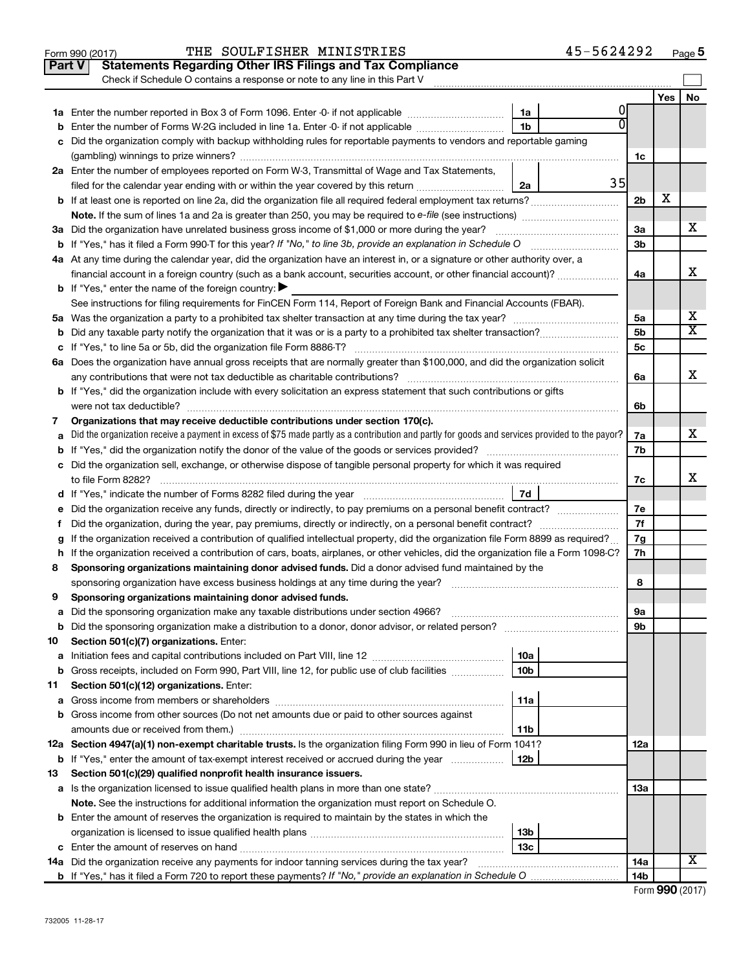|               | THE SOULFISHER MINISTRIES<br>Form 990 (2017)                                                                                                    |                 | 45-5624292 |     |     | Page 5                  |
|---------------|-------------------------------------------------------------------------------------------------------------------------------------------------|-----------------|------------|-----|-----|-------------------------|
| <b>Part V</b> | <b>Statements Regarding Other IRS Filings and Tax Compliance</b>                                                                                |                 |            |     |     |                         |
|               | Check if Schedule O contains a response or note to any line in this Part V                                                                      |                 |            |     |     |                         |
|               |                                                                                                                                                 |                 |            |     | Yes | No                      |
|               |                                                                                                                                                 | 1a              |            |     |     |                         |
|               | Enter the number of Forms W-2G included in line 1a. Enter -0- if not applicable                                                                 | 1b              |            |     |     |                         |
|               | c Did the organization comply with backup withholding rules for reportable payments to vendors and reportable gaming                            |                 |            |     |     |                         |
|               |                                                                                                                                                 |                 |            | 1c  |     |                         |
|               | 2a Enter the number of employees reported on Form W-3, Transmittal of Wage and Tax Statements,                                                  |                 |            |     |     |                         |
|               | filed for the calendar year ending with or within the year covered by this return                                                               | 2a              | 35         |     |     |                         |
|               | <b>b</b> If at least one is reported on line 2a, did the organization file all required federal employment tax returns?                         |                 |            | 2b  | х   |                         |
|               |                                                                                                                                                 |                 |            |     |     |                         |
|               |                                                                                                                                                 |                 |            | За  |     | x                       |
|               | 3a Did the organization have unrelated business gross income of \$1,000 or more during the year?                                                |                 |            | 3b  |     |                         |
|               | b If "Yes," has it filed a Form 990-T for this year? If "No," to line 3b, provide an explanation in Schedule O                                  |                 |            |     |     |                         |
|               | 4a At any time during the calendar year, did the organization have an interest in, or a signature or other authority over, a                    |                 |            |     |     | х                       |
|               | financial account in a foreign country (such as a bank account, securities account, or other financial account)?                                |                 |            | 4a  |     |                         |
|               | <b>b</b> If "Yes," enter the name of the foreign country:                                                                                       |                 |            |     |     |                         |
|               | See instructions for filing requirements for FinCEN Form 114, Report of Foreign Bank and Financial Accounts (FBAR).                             |                 |            |     |     | х                       |
|               |                                                                                                                                                 |                 |            | 5a  |     | $\overline{\texttt{x}}$ |
| b             | Did any taxable party notify the organization that it was or is a party to a prohibited tax shelter transaction?                                |                 |            | 5b  |     |                         |
|               | c If "Yes," to line 5a or 5b, did the organization file Form 8886-T?                                                                            |                 |            | 5c  |     |                         |
|               | 6a Does the organization have annual gross receipts that are normally greater than \$100,000, and did the organization solicit                  |                 |            |     |     | X                       |
|               | any contributions that were not tax deductible as charitable contributions?                                                                     |                 |            | 6a  |     |                         |
|               | b If "Yes," did the organization include with every solicitation an express statement that such contributions or gifts                          |                 |            |     |     |                         |
|               | were not tax deductible?                                                                                                                        |                 |            | 6b  |     |                         |
| 7             | Organizations that may receive deductible contributions under section 170(c).                                                                   |                 |            |     |     |                         |
| a             | Did the organization receive a payment in excess of \$75 made partly as a contribution and partly for goods and services provided to the payor? |                 |            | 7a  |     | x                       |
|               | <b>b</b> If "Yes," did the organization notify the donor of the value of the goods or services provided?                                        |                 |            | 7b  |     |                         |
|               | c Did the organization sell, exchange, or otherwise dispose of tangible personal property for which it was required                             |                 |            |     |     |                         |
|               | to file Form 8282?                                                                                                                              |                 |            | 7c  |     | x                       |
|               | d If "Yes," indicate the number of Forms 8282 filed during the year                                                                             | 7d              |            |     |     |                         |
| е             | Did the organization receive any funds, directly or indirectly, to pay premiums on a personal benefit contract?                                 |                 |            | 7е  |     |                         |
| Ť.            |                                                                                                                                                 |                 |            | 7f  |     |                         |
|               | If the organization received a contribution of qualified intellectual property, did the organization file Form 8899 as required?                |                 |            | 7g  |     |                         |
| h.            | If the organization received a contribution of cars, boats, airplanes, or other vehicles, did the organization file a Form 1098-C?              |                 |            | 7h  |     |                         |
| 8             | Sponsoring organizations maintaining donor advised funds. Did a donor advised fund maintained by the                                            |                 |            |     |     |                         |
|               | sponsoring organization have excess business holdings at any time during the year?                                                              |                 |            | 8   |     |                         |
| 9             | Sponsoring organizations maintaining donor advised funds.                                                                                       |                 |            |     |     |                         |
| а             | Did the sponsoring organization make any taxable distributions under section 4966?                                                              |                 |            | 9а  |     |                         |
| b             | Did the sponsoring organization make a distribution to a donor, donor advisor, or related person?                                               |                 |            | 9b  |     |                         |
| 10            | Section 501(c)(7) organizations. Enter:                                                                                                         |                 |            |     |     |                         |
| а             |                                                                                                                                                 | 10a             |            |     |     |                         |
| b             | Gross receipts, included on Form 990, Part VIII, line 12, for public use of club facilities                                                     | 10 <sub>b</sub> |            |     |     |                         |
| 11            | Section 501(c)(12) organizations. Enter:                                                                                                        |                 |            |     |     |                         |
| а             |                                                                                                                                                 | 11a             |            |     |     |                         |
| b             | Gross income from other sources (Do not net amounts due or paid to other sources against                                                        |                 |            |     |     |                         |
|               |                                                                                                                                                 | 11 <sub>b</sub> |            |     |     |                         |
|               | 12a Section 4947(a)(1) non-exempt charitable trusts. Is the organization filing Form 990 in lieu of Form 1041?                                  |                 |            | 12a |     |                         |
|               | <b>b</b> If "Yes," enter the amount of tax-exempt interest received or accrued during the year                                                  | 12 <sub>b</sub> |            |     |     |                         |
| 13            | Section 501(c)(29) qualified nonprofit health insurance issuers.                                                                                |                 |            |     |     |                         |
| а             |                                                                                                                                                 |                 |            | 13a |     |                         |
|               | Note. See the instructions for additional information the organization must report on Schedule O.                                               |                 |            |     |     |                         |
| b             | Enter the amount of reserves the organization is required to maintain by the states in which the                                                |                 |            |     |     |                         |
|               |                                                                                                                                                 | 13b             |            |     |     |                         |
| c             |                                                                                                                                                 | 13c             |            |     |     |                         |
|               | <b>14a</b> Did the organization receive any payments for indoor tanning services during the tax year?                                           |                 |            | 14a |     | X                       |
|               |                                                                                                                                                 |                 |            | 14b |     |                         |

| Form 990 (2017) |  |  |  |
|-----------------|--|--|--|
|-----------------|--|--|--|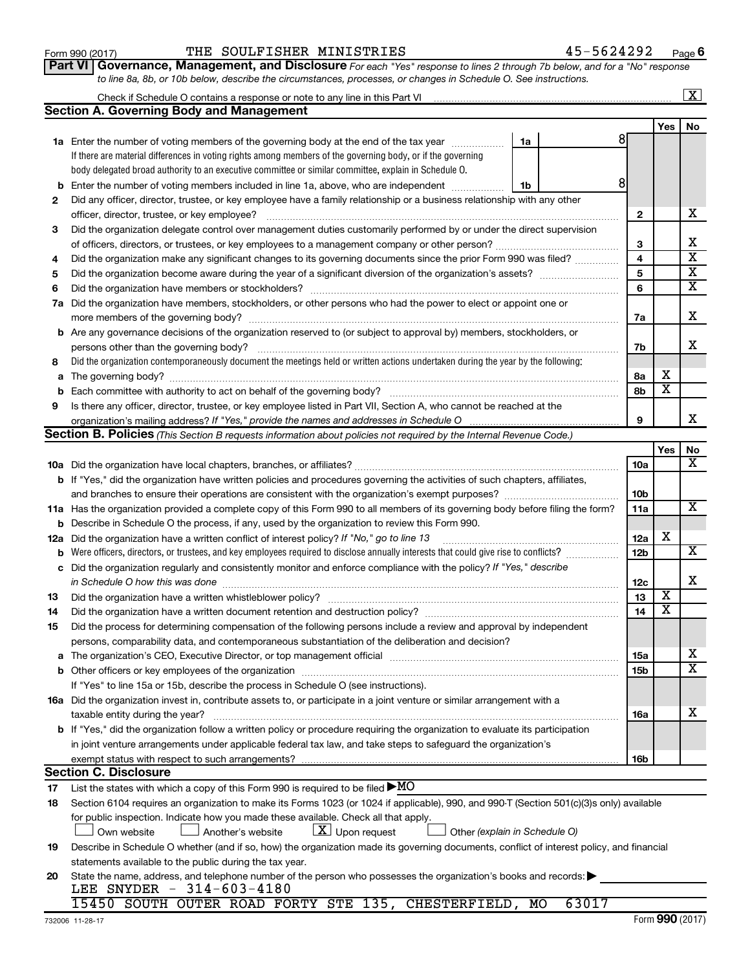| Form 990 (2017) |
|-----------------|
|-----------------|

### Form 990 (2017)  $\qquad$  THE SOULFISHER MINISTRIES  $\qquad \qquad \qquad \qquad 45-5624292$   $\qquad$   $_{\text{Page}}$

**Part VI** Governance, Management, and Disclosure For each "Yes" response to lines 2 through 7b below, and for a "No" response *to line 8a, 8b, or 10b below, describe the circumstances, processes, or changes in Schedule O. See instructions.*

|     |                                                                                                                                                                                                                                |    |       |   |                 |                         | $\overline{\mathbf{X}}$ |
|-----|--------------------------------------------------------------------------------------------------------------------------------------------------------------------------------------------------------------------------------|----|-------|---|-----------------|-------------------------|-------------------------|
|     | <b>Section A. Governing Body and Management</b>                                                                                                                                                                                |    |       |   |                 |                         |                         |
|     |                                                                                                                                                                                                                                |    |       |   |                 | Yes                     | No                      |
|     | <b>1a</b> Enter the number of voting members of the governing body at the end of the tax year                                                                                                                                  | 1a |       | 8 |                 |                         |                         |
|     | If there are material differences in voting rights among members of the governing body, or if the governing                                                                                                                    |    |       |   |                 |                         |                         |
|     | body delegated broad authority to an executive committee or similar committee, explain in Schedule O.                                                                                                                          |    |       |   |                 |                         |                         |
| b   | Enter the number of voting members included in line 1a, above, who are independent                                                                                                                                             | 1b |       | 8 |                 |                         |                         |
| 2   | Did any officer, director, trustee, or key employee have a family relationship or a business relationship with any other                                                                                                       |    |       |   |                 |                         |                         |
|     | officer, director, trustee, or key employee?                                                                                                                                                                                   |    |       |   | $\mathbf{2}$    |                         | х                       |
| 3   | Did the organization delegate control over management duties customarily performed by or under the direct supervision                                                                                                          |    |       |   |                 |                         |                         |
|     |                                                                                                                                                                                                                                |    |       |   | 3               |                         | x                       |
| 4   | Did the organization make any significant changes to its governing documents since the prior Form 990 was filed?                                                                                                               |    |       |   | 4               |                         | $\overline{\textbf{x}}$ |
| 5   |                                                                                                                                                                                                                                |    |       |   | 5               |                         | $\overline{\mathbf{X}}$ |
| 6   | Did the organization have members or stockholders?                                                                                                                                                                             |    |       |   | 6               |                         | $\overline{\textbf{X}}$ |
| 7a  | Did the organization have members, stockholders, or other persons who had the power to elect or appoint one or                                                                                                                 |    |       |   |                 |                         |                         |
|     | more members of the governing body?                                                                                                                                                                                            |    |       |   | 7a              |                         | х                       |
|     | <b>b</b> Are any governance decisions of the organization reserved to (or subject to approval by) members, stockholders, or                                                                                                    |    |       |   |                 |                         |                         |
|     | persons other than the governing body?                                                                                                                                                                                         |    |       |   | 7b              |                         | X.                      |
| 8   | Did the organization contemporaneously document the meetings held or written actions undertaken during the year by the following:                                                                                              |    |       |   |                 |                         |                         |
| a   | The governing body?                                                                                                                                                                                                            |    |       |   | 8а              | х                       |                         |
| b   |                                                                                                                                                                                                                                |    |       |   | 8b              | х                       |                         |
| 9   | Is there any officer, director, trustee, or key employee listed in Part VII, Section A, who cannot be reached at the                                                                                                           |    |       |   |                 |                         |                         |
|     |                                                                                                                                                                                                                                |    |       |   | 9               |                         | x.                      |
|     | Section B. Policies (This Section B requests information about policies not required by the Internal Revenue Code.)                                                                                                            |    |       |   |                 |                         |                         |
|     |                                                                                                                                                                                                                                |    |       |   |                 | Yes                     | No                      |
|     |                                                                                                                                                                                                                                |    |       |   | 10a             |                         | x                       |
|     | <b>b</b> If "Yes," did the organization have written policies and procedures governing the activities of such chapters, affiliates,                                                                                            |    |       |   |                 |                         |                         |
|     |                                                                                                                                                                                                                                |    |       |   | 10 <sub>b</sub> |                         |                         |
|     | 11a Has the organization provided a complete copy of this Form 990 to all members of its governing body before filing the form?                                                                                                |    |       |   | 11a             |                         | $\overline{\mathbf{X}}$ |
| b   | Describe in Schedule O the process, if any, used by the organization to review this Form 990.                                                                                                                                  |    |       |   |                 |                         |                         |
| 12a | Did the organization have a written conflict of interest policy? If "No," go to line 13                                                                                                                                        |    |       |   | 12a             | х                       |                         |
| b   | Were officers, directors, or trustees, and key employees required to disclose annually interests that could give rise to conflicts?                                                                                            |    |       |   | 12 <sub>b</sub> |                         | X                       |
| с   | Did the organization regularly and consistently monitor and enforce compliance with the policy? If "Yes," describe                                                                                                             |    |       |   |                 |                         |                         |
|     | in Schedule O how this was done                                                                                                                                                                                                |    |       |   | 12c             |                         | х                       |
| 13  | Did the organization have a written whistleblower policy?                                                                                                                                                                      |    |       |   | 13              | $\overline{\text{X}}$   |                         |
| 14  |                                                                                                                                                                                                                                |    |       |   | 14              | $\overline{\textbf{x}}$ |                         |
| 15  | Did the process for determining compensation of the following persons include a review and approval by independent                                                                                                             |    |       |   |                 |                         |                         |
|     | persons, comparability data, and contemporaneous substantiation of the deliberation and decision?                                                                                                                              |    |       |   |                 |                         |                         |
| а   | The organization's CEO, Executive Director, or top management official manufactured content of the organization's CEO, Executive Director, or top management official manufactured content of the organization's CEO, Executiv |    |       |   | 15a             |                         | х                       |
|     |                                                                                                                                                                                                                                |    |       |   | 15b             |                         | $\overline{\text{X}}$   |
|     | If "Yes" to line 15a or 15b, describe the process in Schedule O (see instructions).                                                                                                                                            |    |       |   |                 |                         |                         |
|     | 16a Did the organization invest in, contribute assets to, or participate in a joint venture or similar arrangement with a                                                                                                      |    |       |   |                 |                         |                         |
|     | taxable entity during the year?                                                                                                                                                                                                |    |       |   | 16a             |                         | х                       |
|     | <b>b</b> If "Yes," did the organization follow a written policy or procedure requiring the organization to evaluate its participation                                                                                          |    |       |   |                 |                         |                         |
|     | in joint venture arrangements under applicable federal tax law, and take steps to safeguard the organization's                                                                                                                 |    |       |   |                 |                         |                         |
|     | exempt status with respect to such arrangements?                                                                                                                                                                               |    |       |   | 16b             |                         |                         |
|     | <b>Section C. Disclosure</b>                                                                                                                                                                                                   |    |       |   |                 |                         |                         |
| 17  | List the states with which a copy of this Form 990 is required to be filed $\blacktriangleright$ MO                                                                                                                            |    |       |   |                 |                         |                         |
| 18  | Section 6104 requires an organization to make its Forms 1023 (or 1024 if applicable), 990, and 990-T (Section 501(c)(3)s only) available                                                                                       |    |       |   |                 |                         |                         |
|     | for public inspection. Indicate how you made these available. Check all that apply.                                                                                                                                            |    |       |   |                 |                         |                         |
|     | $\lfloor x \rfloor$ Upon request<br>Another's website<br>Other (explain in Schedule O)<br>Own website                                                                                                                          |    |       |   |                 |                         |                         |
| 19  | Describe in Schedule O whether (and if so, how) the organization made its governing documents, conflict of interest policy, and financial                                                                                      |    |       |   |                 |                         |                         |
|     | statements available to the public during the tax year.                                                                                                                                                                        |    |       |   |                 |                         |                         |
| 20  | State the name, address, and telephone number of the person who possesses the organization's books and records:                                                                                                                |    |       |   |                 |                         |                         |
|     | LEE SNYDER - 314-603-4180                                                                                                                                                                                                      |    |       |   |                 |                         |                         |
|     | 15450 SOUTH OUTER ROAD FORTY STE 135, CHESTERFIELD, MO                                                                                                                                                                         |    | 63017 |   |                 |                         |                         |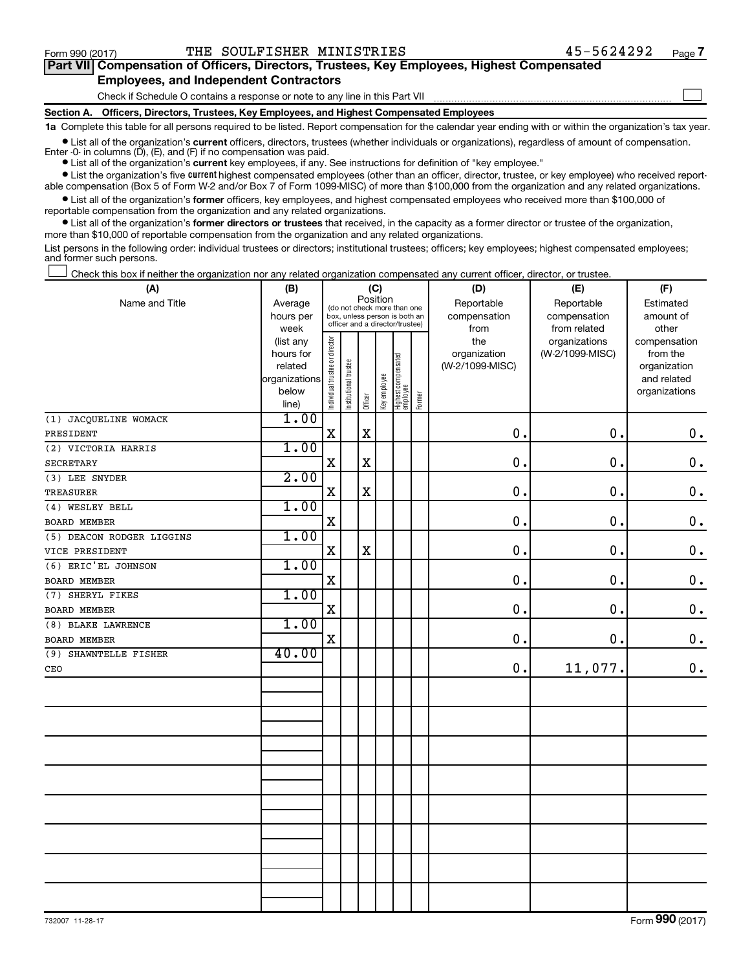$\Box$ 

| Part VII Compensation of Officers, Directors, Trustees, Key Employees, Highest Compensated |  |  |  |
|--------------------------------------------------------------------------------------------|--|--|--|
| <b>Employees, and Independent Contractors</b>                                              |  |  |  |

#### Check if Schedule O contains a response or note to any line in this Part VII

**Section A. Officers, Directors, Trustees, Key Employees, and Highest Compensated Employees**

**1a**  Complete this table for all persons required to be listed. Report compensation for the calendar year ending with or within the organization's tax year.

**•** List all of the organization's current officers, directors, trustees (whether individuals or organizations), regardless of amount of compensation. Enter -0- in columns  $(D)$ ,  $(E)$ , and  $(F)$  if no compensation was paid.

**•** List all of the organization's **current** key employees, if any. See instructions for definition of "key employee."

**•** List the organization's five current highest compensated employees (other than an officer, director, trustee, or key employee) who received reportable compensation (Box 5 of Form W-2 and/or Box 7 of Form 1099-MISC) of more than \$100,000 from the organization and any related organizations.

**•** List all of the organization's former officers, key employees, and highest compensated employees who received more than \$100,000 of reportable compensation from the organization and any related organizations.

**•** List all of the organization's former directors or trustees that received, in the capacity as a former director or trustee of the organization, more than \$10,000 of reportable compensation from the organization and any related organizations.

List persons in the following order: individual trustees or directors; institutional trustees; officers; key employees; highest compensated employees; and former such persons.

Check this box if neither the organization nor any related organization compensated any current officer, director, or trustee.  $\Box$ 

| (A)                       | (B)                    | (C)                                     |                                                                  |             |              |                                   |           | (D)             | (E)             | (F)                          |
|---------------------------|------------------------|-----------------------------------------|------------------------------------------------------------------|-------------|--------------|-----------------------------------|-----------|-----------------|-----------------|------------------------------|
| Name and Title            | Average                | Position<br>(do not check more than one |                                                                  | Reportable  | Reportable   | Estimated                         |           |                 |                 |                              |
|                           | hours per              |                                         | box, unless person is both an<br>officer and a director/trustee) |             | compensation | compensation                      | amount of |                 |                 |                              |
|                           | week                   |                                         |                                                                  |             |              |                                   |           | from            | from related    | other                        |
|                           | (list any              |                                         |                                                                  |             |              |                                   |           | the             | organizations   | compensation                 |
|                           | hours for              |                                         |                                                                  |             |              |                                   |           | organization    | (W-2/1099-MISC) | from the                     |
|                           | related                |                                         |                                                                  |             |              |                                   |           | (W-2/1099-MISC) |                 | organization                 |
|                           | organizations<br>below |                                         |                                                                  |             |              |                                   |           |                 |                 | and related<br>organizations |
|                           | line)                  | Individual trustee or director          | Institutional trustee                                            | Officer     | Key employee | Highest compensated<br>  employee | Former    |                 |                 |                              |
| (1) JACQUELINE WOMACK     | 1.00                   |                                         |                                                                  |             |              |                                   |           |                 |                 |                              |
| PRESIDENT                 |                        | $\mathbf X$                             |                                                                  | $\mathbf X$ |              |                                   |           | 0.              | 0.              | $0$ .                        |
| (2) VICTORIA HARRIS       | 1.00                   |                                         |                                                                  |             |              |                                   |           |                 |                 |                              |
| SECRETARY                 |                        | $\mathbf X$                             |                                                                  | $\mathbf X$ |              |                                   |           | $\mathbf 0$ .   | 0.              | $\mathbf 0$ .                |
| (3) LEE SNYDER            | 2.00                   |                                         |                                                                  |             |              |                                   |           |                 |                 |                              |
| <b>TREASURER</b>          |                        | $\mathbf X$                             |                                                                  | $\mathbf x$ |              |                                   |           | $\mathbf 0$ .   | 0.              | $\mathbf 0$ .                |
| (4) WESLEY BELL           | 1.00                   |                                         |                                                                  |             |              |                                   |           |                 |                 |                              |
| BOARD MEMBER              |                        | $\mathbf X$                             |                                                                  |             |              |                                   |           | $\mathbf 0$ .   | 0.              | $\mathbf 0$ .                |
| (5) DEACON RODGER LIGGINS | 1.00                   |                                         |                                                                  |             |              |                                   |           |                 |                 |                              |
| VICE PRESIDENT            |                        | $\mathbf X$                             |                                                                  | $\mathbf X$ |              |                                   |           | 0.              | $\mathbf 0$ .   | $\mathbf 0$ .                |
| (6) ERIC'EL JOHNSON       | 1.00                   |                                         |                                                                  |             |              |                                   |           |                 |                 |                              |
| BOARD MEMBER              |                        | $\mathbf X$                             |                                                                  |             |              |                                   |           | $\mathbf 0$     | $\mathbf 0$ .   | $\mathbf 0$ .                |
| (7) SHERYL FIKES          | 1.00                   |                                         |                                                                  |             |              |                                   |           |                 |                 |                              |
| BOARD MEMBER              |                        | $\mathbf X$                             |                                                                  |             |              |                                   |           | $\mathbf 0$     | $\mathbf 0$ .   | $\mathbf 0$ .                |
| (8) BLAKE LAWRENCE        | 1.00                   |                                         |                                                                  |             |              |                                   |           |                 |                 |                              |
| <b>BOARD MEMBER</b>       |                        | $\mathbf X$                             |                                                                  |             |              |                                   |           | 0.              | 0.              | $0$ .                        |
| (9) SHAWNTELLE FISHER     | 40.00                  |                                         |                                                                  |             |              |                                   |           |                 |                 |                              |
| CEO                       |                        |                                         |                                                                  |             |              |                                   |           | 0.              | 11,077.         | 0.                           |
|                           |                        |                                         |                                                                  |             |              |                                   |           |                 |                 |                              |
|                           |                        |                                         |                                                                  |             |              |                                   |           |                 |                 |                              |
|                           |                        |                                         |                                                                  |             |              |                                   |           |                 |                 |                              |
|                           |                        |                                         |                                                                  |             |              |                                   |           |                 |                 |                              |
|                           |                        |                                         |                                                                  |             |              |                                   |           |                 |                 |                              |
|                           |                        |                                         |                                                                  |             |              |                                   |           |                 |                 |                              |
|                           |                        |                                         |                                                                  |             |              |                                   |           |                 |                 |                              |
|                           |                        |                                         |                                                                  |             |              |                                   |           |                 |                 |                              |
|                           |                        |                                         |                                                                  |             |              |                                   |           |                 |                 |                              |
|                           |                        |                                         |                                                                  |             |              |                                   |           |                 |                 |                              |
|                           |                        |                                         |                                                                  |             |              |                                   |           |                 |                 |                              |
|                           |                        |                                         |                                                                  |             |              |                                   |           |                 |                 |                              |
|                           |                        |                                         |                                                                  |             |              |                                   |           |                 |                 |                              |
|                           |                        |                                         |                                                                  |             |              |                                   |           |                 |                 |                              |
|                           |                        |                                         |                                                                  |             |              |                                   |           |                 |                 |                              |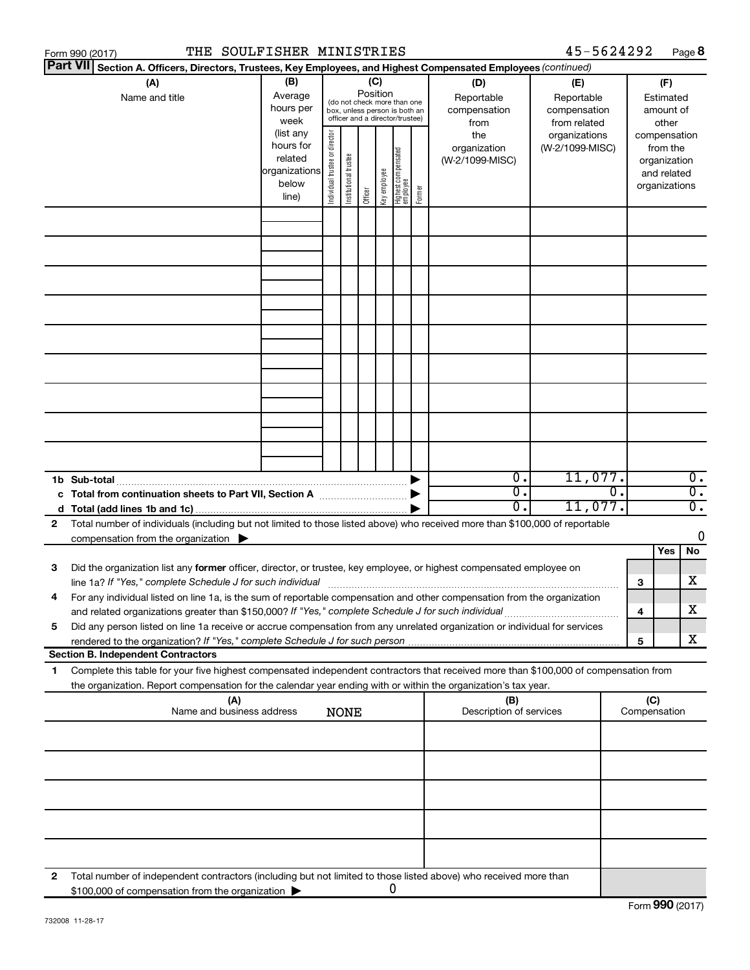|    | THE SOULFISHER MINISTRIES<br>Form 990 (2017)                                                                                                                                                                                                           |                                                                      |                                                                                                                    |                       |         |              |                                           |                                                   |                                        | 45-5624292                       |              |                                                                          | Page 8                               |
|----|--------------------------------------------------------------------------------------------------------------------------------------------------------------------------------------------------------------------------------------------------------|----------------------------------------------------------------------|--------------------------------------------------------------------------------------------------------------------|-----------------------|---------|--------------|-------------------------------------------|---------------------------------------------------|----------------------------------------|----------------------------------|--------------|--------------------------------------------------------------------------|--------------------------------------|
|    | <b>Part VII</b><br>Section A. Officers, Directors, Trustees, Key Employees, and Highest Compensated Employees (continued)                                                                                                                              |                                                                      |                                                                                                                    |                       |         |              |                                           |                                                   |                                        |                                  |              |                                                                          |                                      |
|    | (A)<br>Name and title                                                                                                                                                                                                                                  | (B)<br>Average<br>hours per<br>week                                  | (C)<br>Position<br>(do not check more than one<br>box, unless person is both an<br>officer and a director/trustee) |                       |         |              | (D)<br>Reportable<br>compensation<br>from | (E)<br>Reportable<br>compensation<br>from related | (F)<br>Estimated<br>amount of<br>other |                                  |              |                                                                          |                                      |
|    |                                                                                                                                                                                                                                                        | (list any<br>hours for<br>related<br>organizations<br>below<br>line) | Individual trustee or director                                                                                     | Institutional trustee | Officer | Key employee | Highest compensated<br>  employee         | Former                                            | the<br>organization<br>(W-2/1099-MISC) | organizations<br>(W-2/1099-MISC) |              | compensation<br>from the<br>organization<br>and related<br>organizations |                                      |
|    |                                                                                                                                                                                                                                                        |                                                                      |                                                                                                                    |                       |         |              |                                           |                                                   |                                        |                                  |              |                                                                          |                                      |
|    |                                                                                                                                                                                                                                                        |                                                                      |                                                                                                                    |                       |         |              |                                           |                                                   |                                        |                                  |              |                                                                          |                                      |
|    |                                                                                                                                                                                                                                                        |                                                                      |                                                                                                                    |                       |         |              |                                           |                                                   |                                        |                                  |              |                                                                          |                                      |
|    |                                                                                                                                                                                                                                                        |                                                                      |                                                                                                                    |                       |         |              |                                           |                                                   |                                        |                                  |              |                                                                          |                                      |
|    |                                                                                                                                                                                                                                                        |                                                                      |                                                                                                                    |                       |         |              |                                           |                                                   |                                        |                                  |              |                                                                          |                                      |
|    |                                                                                                                                                                                                                                                        |                                                                      |                                                                                                                    |                       |         |              |                                           |                                                   |                                        |                                  |              |                                                                          |                                      |
|    |                                                                                                                                                                                                                                                        |                                                                      |                                                                                                                    |                       |         |              |                                           |                                                   |                                        |                                  |              |                                                                          |                                      |
|    |                                                                                                                                                                                                                                                        |                                                                      |                                                                                                                    |                       |         |              |                                           |                                                   |                                        |                                  |              |                                                                          |                                      |
|    | 1b Sub-total                                                                                                                                                                                                                                           |                                                                      |                                                                                                                    |                       |         |              |                                           |                                                   | $0$ .                                  | 11,077.                          |              |                                                                          | $\overline{0}$ .                     |
|    | c Total from continuation sheets to Part VII, Section A manufactured by                                                                                                                                                                                |                                                                      |                                                                                                                    |                       |         |              |                                           |                                                   | $\overline{0}$ .<br>$\overline{0}$ .   | σ.<br>11,077.                    |              |                                                                          | $\overline{0}$ .<br>$\overline{0}$ . |
| 2  | Total number of individuals (including but not limited to those listed above) who received more than \$100,000 of reportable<br>compensation from the organization $\blacktriangleright$                                                               |                                                                      |                                                                                                                    |                       |         |              |                                           |                                                   |                                        |                                  |              |                                                                          | 0                                    |
| 3  | Did the organization list any former officer, director, or trustee, key employee, or highest compensated employee on                                                                                                                                   |                                                                      |                                                                                                                    |                       |         |              |                                           |                                                   |                                        |                                  |              | Yes                                                                      | No                                   |
|    | line 1a? If "Yes," complete Schedule J for such individual [11] manufacture manufacture in the set of the set o<br>For any individual listed on line 1a, is the sum of reportable compensation and other compensation from the organization            |                                                                      |                                                                                                                    |                       |         |              |                                           |                                                   |                                        |                                  | 3            |                                                                          | х                                    |
| 5  | and related organizations greater than \$150,000? If "Yes," complete Schedule J for such individual<br>Did any person listed on line 1a receive or accrue compensation from any unrelated organization or individual for services                      |                                                                      |                                                                                                                    |                       |         |              |                                           |                                                   |                                        |                                  | 4            |                                                                          | x                                    |
|    | <b>Section B. Independent Contractors</b>                                                                                                                                                                                                              |                                                                      |                                                                                                                    |                       |         |              |                                           |                                                   |                                        |                                  | 5            |                                                                          | x                                    |
| 1. | Complete this table for your five highest compensated independent contractors that received more than \$100,000 of compensation from<br>the organization. Report compensation for the calendar year ending with or within the organization's tax year. |                                                                      |                                                                                                                    |                       |         |              |                                           |                                                   |                                        |                                  |              |                                                                          |                                      |
|    | (A)<br>Name and business address                                                                                                                                                                                                                       |                                                                      |                                                                                                                    | <b>NONE</b>           |         |              |                                           |                                                   | (B)<br>Description of services         |                                  | Compensation | (C)                                                                      |                                      |
|    |                                                                                                                                                                                                                                                        |                                                                      |                                                                                                                    |                       |         |              |                                           |                                                   |                                        |                                  |              |                                                                          |                                      |
|    |                                                                                                                                                                                                                                                        |                                                                      |                                                                                                                    |                       |         |              |                                           |                                                   |                                        |                                  |              |                                                                          |                                      |
|    |                                                                                                                                                                                                                                                        |                                                                      |                                                                                                                    |                       |         |              |                                           |                                                   |                                        |                                  |              |                                                                          |                                      |
|    |                                                                                                                                                                                                                                                        |                                                                      |                                                                                                                    |                       |         |              |                                           |                                                   |                                        |                                  |              |                                                                          |                                      |
| 2  | Total number of independent contractors (including but not limited to those listed above) who received more than                                                                                                                                       |                                                                      |                                                                                                                    |                       |         |              |                                           |                                                   |                                        |                                  |              |                                                                          |                                      |
|    | \$100,000 of compensation from the organization                                                                                                                                                                                                        |                                                                      |                                                                                                                    |                       |         |              | 0                                         |                                                   |                                        |                                  |              |                                                                          |                                      |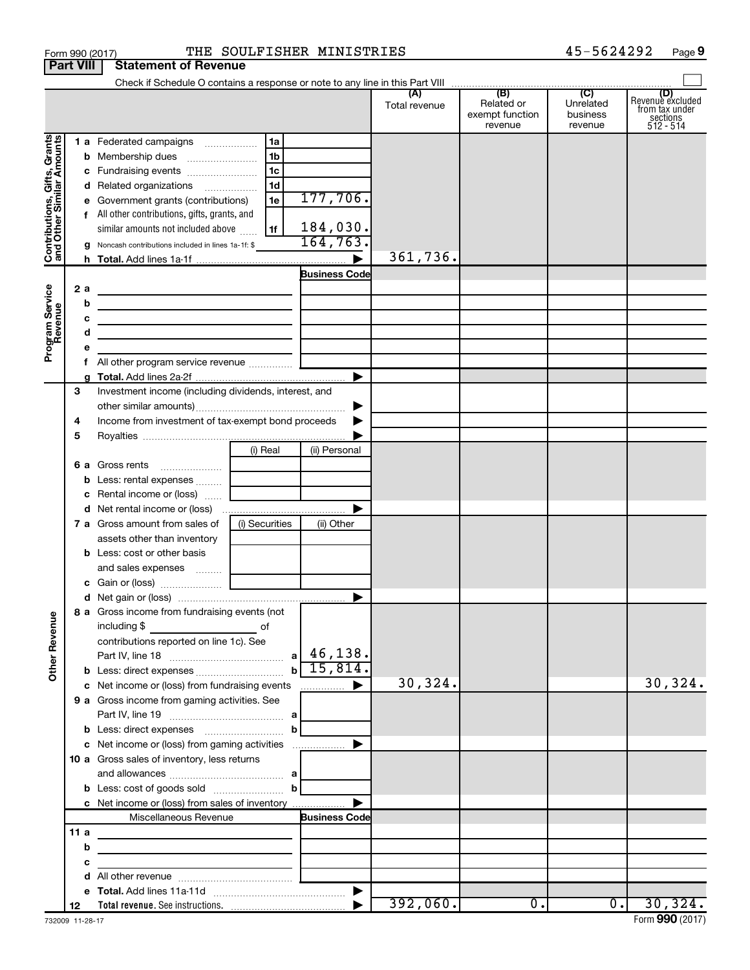|                                                           | Form 990 (2017)  |                                                                                                                                                                              |                | THE SOULFISHER MINISTRIES |                      |                                                 | 45-5624292                              | Page 9                                                             |
|-----------------------------------------------------------|------------------|------------------------------------------------------------------------------------------------------------------------------------------------------------------------------|----------------|---------------------------|----------------------|-------------------------------------------------|-----------------------------------------|--------------------------------------------------------------------|
|                                                           | <b>Part VIII</b> | <b>Statement of Revenue</b>                                                                                                                                                  |                |                           |                      |                                                 |                                         |                                                                    |
|                                                           |                  |                                                                                                                                                                              |                |                           |                      |                                                 |                                         |                                                                    |
|                                                           |                  |                                                                                                                                                                              |                |                           | (A)<br>Total revenue | (B)<br>Related or<br>exempt function<br>revenue | (C)<br>Unrelated<br>business<br>revenue | (D)<br>Revenue excluded<br>from tax under<br>sections<br>512 - 514 |
|                                                           |                  | 1 a Federated campaigns                                                                                                                                                      | 1a             |                           |                      |                                                 |                                         |                                                                    |
| Contributions, Gifts, Grants<br>and Other Similar Amounts |                  | <b>b</b> Membership dues                                                                                                                                                     | 1 <sub>b</sub> |                           |                      |                                                 |                                         |                                                                    |
|                                                           |                  | c Fundraising events                                                                                                                                                         | 1 <sub>c</sub> |                           |                      |                                                 |                                         |                                                                    |
|                                                           |                  | d Related organizations                                                                                                                                                      | 1 <sub>d</sub> |                           |                      |                                                 |                                         |                                                                    |
|                                                           |                  | e Government grants (contributions)                                                                                                                                          | 1e             | 177,706.                  |                      |                                                 |                                         |                                                                    |
|                                                           |                  | f All other contributions, gifts, grants, and                                                                                                                                |                |                           |                      |                                                 |                                         |                                                                    |
|                                                           |                  | similar amounts not included above                                                                                                                                           | 1f             | 184,030.<br>164, 763.     |                      |                                                 |                                         |                                                                    |
|                                                           |                  | g Noncash contributions included in lines 1a-1f: \$                                                                                                                          |                |                           | 361,736.             |                                                 |                                         |                                                                    |
|                                                           |                  |                                                                                                                                                                              |                | <b>Business Code</b>      |                      |                                                 |                                         |                                                                    |
|                                                           | 2a               |                                                                                                                                                                              |                |                           |                      |                                                 |                                         |                                                                    |
|                                                           | b                | the control of the control of the control of the control of the control of                                                                                                   |                |                           |                      |                                                 |                                         |                                                                    |
|                                                           | с                | <u> 1989 - Johann Barbara, martin amerikan basar dan berasal dan berasal dalam basar dalam basar dalam basar dala</u>                                                        |                |                           |                      |                                                 |                                         |                                                                    |
|                                                           | d                | <u> 1989 - Johann Barbara, martxa alemaniar arg</u><br><u> 1989 - Johann Barbara, martin amerikan basar dan berasal dalam basar dalam basar dalam basar dalam basar dala</u> |                |                           |                      |                                                 |                                         |                                                                    |
| Program Service<br>Revenue                                | е                |                                                                                                                                                                              |                |                           |                      |                                                 |                                         |                                                                    |
|                                                           | Ť.               |                                                                                                                                                                              |                |                           |                      |                                                 |                                         |                                                                    |
|                                                           | a                |                                                                                                                                                                              |                | $\blacktriangleright$     |                      |                                                 |                                         |                                                                    |
|                                                           | 3                | Investment income (including dividends, interest, and                                                                                                                        |                |                           |                      |                                                 |                                         |                                                                    |
|                                                           |                  |                                                                                                                                                                              |                |                           |                      |                                                 |                                         |                                                                    |
|                                                           | 4                | Income from investment of tax-exempt bond proceeds                                                                                                                           |                |                           |                      |                                                 |                                         |                                                                    |
|                                                           | 5                |                                                                                                                                                                              |                |                           |                      |                                                 |                                         |                                                                    |
|                                                           |                  |                                                                                                                                                                              | (i) Real       | (ii) Personal             |                      |                                                 |                                         |                                                                    |
|                                                           |                  | 6 a Gross rents<br>$\ldots \ldots \ldots \ldots \ldots$                                                                                                                      |                |                           |                      |                                                 |                                         |                                                                    |
|                                                           | b                | Less: rental expenses                                                                                                                                                        |                |                           |                      |                                                 |                                         |                                                                    |
|                                                           | с                | Rental income or (loss)                                                                                                                                                      |                |                           |                      |                                                 |                                         |                                                                    |
|                                                           |                  |                                                                                                                                                                              |                |                           |                      |                                                 |                                         |                                                                    |
|                                                           |                  | 7 a Gross amount from sales of                                                                                                                                               | (i) Securities | (ii) Other                |                      |                                                 |                                         |                                                                    |
|                                                           |                  | assets other than inventory<br><b>b</b> Less: cost or other basis                                                                                                            |                |                           |                      |                                                 |                                         |                                                                    |
|                                                           |                  | and sales expenses                                                                                                                                                           |                |                           |                      |                                                 |                                         |                                                                    |
|                                                           |                  | c Gain or (loss)                                                                                                                                                             |                |                           |                      |                                                 |                                         |                                                                    |
|                                                           |                  |                                                                                                                                                                              |                |                           |                      |                                                 |                                         |                                                                    |
|                                                           |                  | 8 a Gross income from fundraising events (not                                                                                                                                |                |                           |                      |                                                 |                                         |                                                                    |
| <b>Other Revenue</b>                                      |                  |                                                                                                                                                                              |                |                           |                      |                                                 |                                         |                                                                    |
|                                                           |                  | contributions reported on line 1c). See                                                                                                                                      |                |                           |                      |                                                 |                                         |                                                                    |
|                                                           |                  |                                                                                                                                                                              |                |                           |                      |                                                 |                                         |                                                                    |
|                                                           |                  |                                                                                                                                                                              | b              | 15,814.                   |                      |                                                 |                                         |                                                                    |
|                                                           |                  | c Net income or (loss) from fundraising events                                                                                                                               |                | .                         | 30,324.              |                                                 |                                         | 30, 324.                                                           |
|                                                           |                  | 9 a Gross income from gaming activities. See                                                                                                                                 |                |                           |                      |                                                 |                                         |                                                                    |
|                                                           |                  |                                                                                                                                                                              |                |                           |                      |                                                 |                                         |                                                                    |
|                                                           |                  |                                                                                                                                                                              |                |                           |                      |                                                 |                                         |                                                                    |
|                                                           |                  | c Net income or (loss) from gaming activities                                                                                                                                |                |                           |                      |                                                 |                                         |                                                                    |
|                                                           |                  | 10 a Gross sales of inventory, less returns                                                                                                                                  |                |                           |                      |                                                 |                                         |                                                                    |
|                                                           |                  |                                                                                                                                                                              |                |                           |                      |                                                 |                                         |                                                                    |
|                                                           |                  | c Net income or (loss) from sales of inventory                                                                                                                               |                |                           |                      |                                                 |                                         |                                                                    |
|                                                           |                  | Miscellaneous Revenue                                                                                                                                                        |                | <b>Business Code</b>      |                      |                                                 |                                         |                                                                    |
|                                                           | 11 $a$           | the control of the control of the control of the control of the control of                                                                                                   |                |                           |                      |                                                 |                                         |                                                                    |
|                                                           | b                | the control of the control of the control of the control of the control of                                                                                                   |                |                           |                      |                                                 |                                         |                                                                    |
|                                                           | c                | <u> 1989 - John Stein, mars and de Branch and de Branch and de Branch and de Branch and de Branch and de Branch a</u>                                                        |                |                           |                      |                                                 |                                         |                                                                    |
|                                                           | d                |                                                                                                                                                                              |                |                           |                      |                                                 |                                         |                                                                    |
|                                                           | е                |                                                                                                                                                                              |                |                           |                      |                                                 |                                         |                                                                    |
|                                                           | 12               |                                                                                                                                                                              |                |                           | 392,060.             | $\overline{0}$ .                                | $\overline{0}$ .                        | 30, 324.                                                           |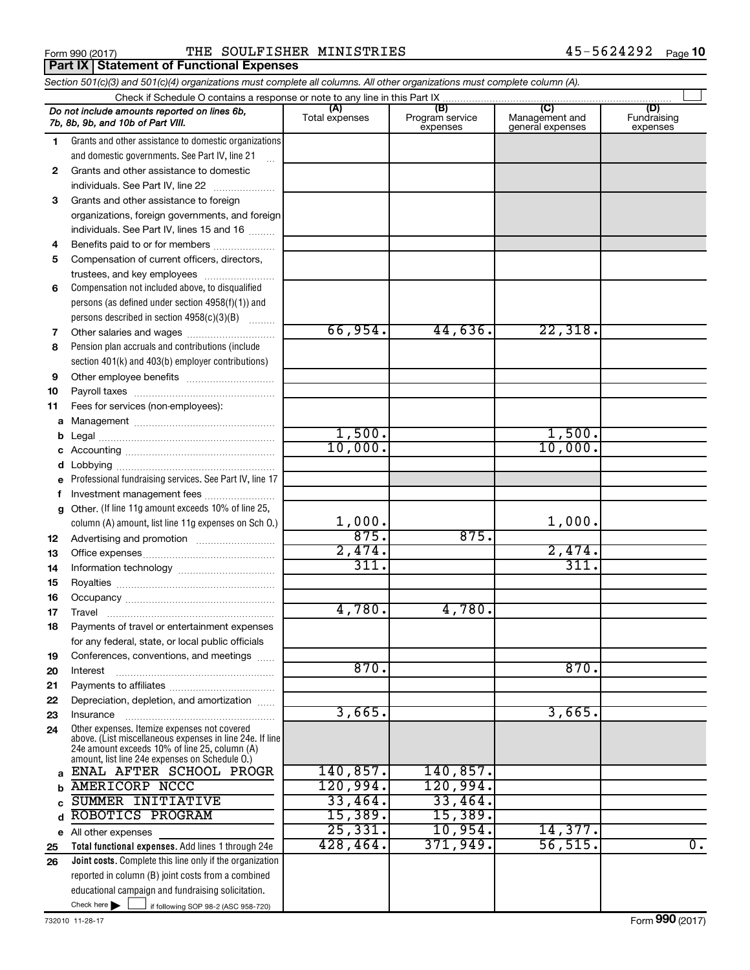**Part IX Statement of Functional Expenses** 

Form 990 (2017)  $\qquad$  THE SOULFISHER MINISTRIES  $\qquad \qquad 45-5624292$   $_{\text{Page}}$ 

|    | Section 501(c)(3) and 501(c)(4) organizations must complete all columns. All other organizations must complete column (A).                                  |                       |                                    |                                           |                                |
|----|-------------------------------------------------------------------------------------------------------------------------------------------------------------|-----------------------|------------------------------------|-------------------------------------------|--------------------------------|
|    | Check if Schedule O contains a response or note to any line in this Part IX                                                                                 |                       |                                    |                                           |                                |
|    | Do not include amounts reported on lines 6b,<br>7b, 8b, 9b, and 10b of Part VIII.                                                                           | (A)<br>Total expenses | (B)<br>Program service<br>expenses | (C)<br>Management and<br>general expenses | (D)<br>Fundraising<br>expenses |
| 1. | Grants and other assistance to domestic organizations                                                                                                       |                       |                                    |                                           |                                |
|    | and domestic governments. See Part IV, line 21                                                                                                              |                       |                                    |                                           |                                |
| 2  | Grants and other assistance to domestic                                                                                                                     |                       |                                    |                                           |                                |
|    | individuals. See Part IV, line 22                                                                                                                           |                       |                                    |                                           |                                |
| 3  | Grants and other assistance to foreign                                                                                                                      |                       |                                    |                                           |                                |
|    | organizations, foreign governments, and foreign                                                                                                             |                       |                                    |                                           |                                |
|    | individuals. See Part IV, lines 15 and 16                                                                                                                   |                       |                                    |                                           |                                |
| 4  | Benefits paid to or for members                                                                                                                             |                       |                                    |                                           |                                |
| 5  | Compensation of current officers, directors,                                                                                                                |                       |                                    |                                           |                                |
|    | trustees, and key employees                                                                                                                                 |                       |                                    |                                           |                                |
| 6  | Compensation not included above, to disqualified                                                                                                            |                       |                                    |                                           |                                |
|    | persons (as defined under section 4958(f)(1)) and                                                                                                           |                       |                                    |                                           |                                |
|    | persons described in section 4958(c)(3)(B)                                                                                                                  |                       |                                    |                                           |                                |
| 7  | Other salaries and wages                                                                                                                                    | 66,954.               | 44,636.                            | 22,318.                                   |                                |
| 8  | Pension plan accruals and contributions (include                                                                                                            |                       |                                    |                                           |                                |
|    | section 401(k) and 403(b) employer contributions)                                                                                                           |                       |                                    |                                           |                                |
| 9  |                                                                                                                                                             |                       |                                    |                                           |                                |
| 10 |                                                                                                                                                             |                       |                                    |                                           |                                |
| 11 | Fees for services (non-employees):                                                                                                                          |                       |                                    |                                           |                                |
| a  |                                                                                                                                                             |                       |                                    |                                           |                                |
| b  |                                                                                                                                                             | 1,500.                |                                    | 1,500.                                    |                                |
|    |                                                                                                                                                             | 10,000.               |                                    | 10,000.                                   |                                |
| d  |                                                                                                                                                             |                       |                                    |                                           |                                |
|    | Professional fundraising services. See Part IV, line 17                                                                                                     |                       |                                    |                                           |                                |
| f  | Investment management fees                                                                                                                                  |                       |                                    |                                           |                                |
| g  | Other. (If line 11g amount exceeds 10% of line 25,                                                                                                          |                       |                                    |                                           |                                |
|    | column (A) amount, list line 11g expenses on Sch O.)                                                                                                        | $\frac{1,000}{875}$   |                                    | 1,000.                                    |                                |
| 12 |                                                                                                                                                             |                       | 875.                               |                                           |                                |
| 13 |                                                                                                                                                             | 2,474.                |                                    | 2,474.                                    |                                |
| 14 |                                                                                                                                                             | 311                   |                                    | 311                                       |                                |
| 15 |                                                                                                                                                             |                       |                                    |                                           |                                |
| 16 |                                                                                                                                                             |                       |                                    |                                           |                                |
| 17 |                                                                                                                                                             | 4,780.                | 4,780.                             |                                           |                                |
| 18 | Payments of travel or entertainment expenses                                                                                                                |                       |                                    |                                           |                                |
|    | for any federal, state, or local public officials                                                                                                           |                       |                                    |                                           |                                |
| 19 | Conferences, conventions, and meetings                                                                                                                      | 870.                  |                                    | 870.                                      |                                |
| 20 | Interest                                                                                                                                                    |                       |                                    |                                           |                                |
| 21 |                                                                                                                                                             |                       |                                    |                                           |                                |
| 22 | Depreciation, depletion, and amortization                                                                                                                   | 3,665.                |                                    | 3,665.                                    |                                |
| 23 | Insurance<br>Other expenses. Itemize expenses not covered                                                                                                   |                       |                                    |                                           |                                |
| 24 | above. (List miscellaneous expenses in line 24e. If line<br>24e amount exceeds 10% of line 25, column (A)<br>amount, list line 24e expenses on Schedule O.) |                       |                                    |                                           |                                |
| a  | ENAL AFTER SCHOOL PROGR                                                                                                                                     | 140,857.              | 140,857.                           |                                           |                                |
| b  | <b>AMERICORP NCCC</b>                                                                                                                                       | 120,994.              | 120,994.                           |                                           |                                |
|    | SUMMER INITIATIVE                                                                                                                                           | 33,464.               | 33,464.                            |                                           |                                |
| d  | ROBOTICS PROGRAM                                                                                                                                            | 15,389.               | 15,389.                            |                                           |                                |
|    | e All other expenses                                                                                                                                        | 25, 331.              | 10,954.                            | 14,377.                                   |                                |
| 25 | Total functional expenses. Add lines 1 through 24e                                                                                                          | 428, 464.             | 371,949.                           | 56, 515.                                  | $\overline{0}$ .               |
| 26 | Joint costs. Complete this line only if the organization                                                                                                    |                       |                                    |                                           |                                |
|    | reported in column (B) joint costs from a combined                                                                                                          |                       |                                    |                                           |                                |
|    | educational campaign and fundraising solicitation.                                                                                                          |                       |                                    |                                           |                                |
|    | Check here $\blacktriangleright$<br>if following SOP 98-2 (ASC 958-720)                                                                                     |                       |                                    |                                           |                                |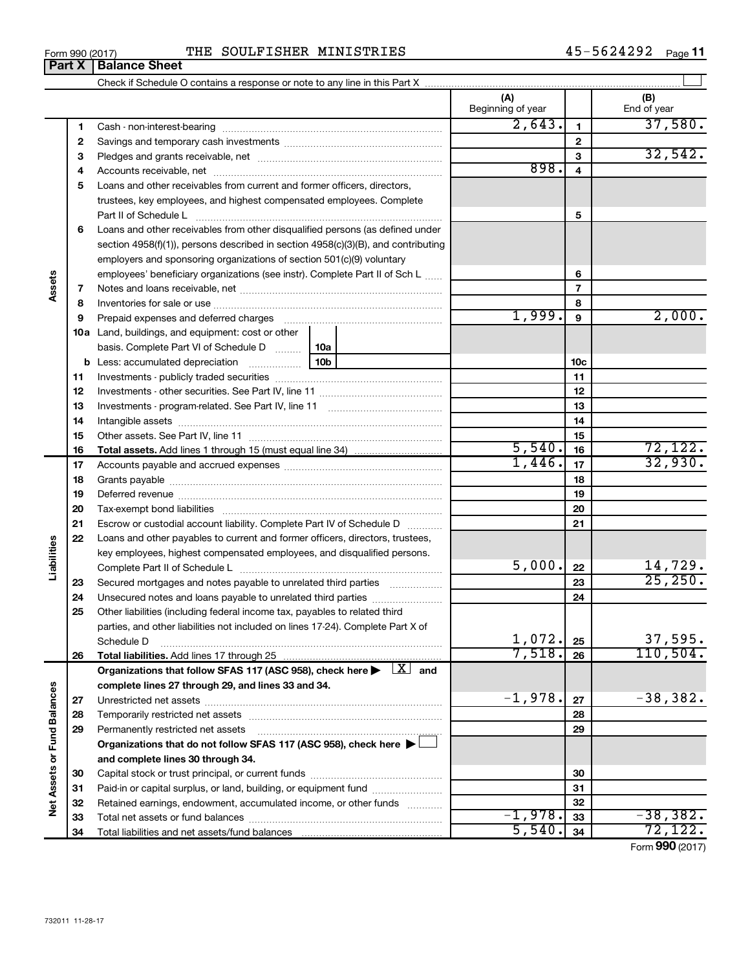| Form 990 (2017) | MINISTRIES<br>SOULFISHER<br>THE | 5624292<br>Page |
|-----------------|---------------------------------|-----------------|
|-----------------|---------------------------------|-----------------|

|                             |              |                                                                                                                                                                                                                                |     | (A)<br>Beginning of year |                          | (B)<br>End of year |
|-----------------------------|--------------|--------------------------------------------------------------------------------------------------------------------------------------------------------------------------------------------------------------------------------|-----|--------------------------|--------------------------|--------------------|
|                             | 1            |                                                                                                                                                                                                                                |     | 2,643.                   | 1                        | 37,580.            |
|                             | $\mathbf{2}$ |                                                                                                                                                                                                                                |     |                          | $\mathbf{2}$             |                    |
|                             | 3            |                                                                                                                                                                                                                                |     |                          | 3                        | 32,542.            |
|                             | 4            |                                                                                                                                                                                                                                |     | 898.                     | 4                        |                    |
|                             | 5            | Loans and other receivables from current and former officers, directors,                                                                                                                                                       |     |                          |                          |                    |
|                             |              | trustees, key employees, and highest compensated employees. Complete                                                                                                                                                           |     |                          |                          |                    |
|                             |              | Part II of Schedule Laterman and Contract in the Schedule Laterman and Contract in the Schedule Laterman and S                                                                                                                 |     |                          | 5                        |                    |
|                             | 6            | Loans and other receivables from other disqualified persons (as defined under                                                                                                                                                  |     |                          |                          |                    |
|                             |              | section 4958(f)(1)), persons described in section $4958(c)(3)(B)$ , and contributing                                                                                                                                           |     |                          |                          |                    |
|                             |              | employers and sponsoring organizations of section 501(c)(9) voluntary                                                                                                                                                          |     |                          |                          |                    |
|                             |              | employees' beneficiary organizations (see instr). Complete Part II of Sch L                                                                                                                                                    |     |                          | 6                        |                    |
| Assets                      | 7            |                                                                                                                                                                                                                                |     |                          | $\overline{\phantom{a}}$ |                    |
|                             | 8            |                                                                                                                                                                                                                                |     |                          | 8                        |                    |
|                             | 9            | Prepaid expenses and deferred charges [11] [11] prepaid expenses and deferred charges [11] [11] presummation and the Prepaid expension and the Prepaid expension and the Prepaid experiment of Prepaid experiment and the Prep |     | 1,999.                   | 9                        | 2,000.             |
|                             |              | <b>10a</b> Land, buildings, and equipment: cost or other                                                                                                                                                                       |     |                          |                          |                    |
|                             |              | basis. Complete Part VI of Schedule D    10a                                                                                                                                                                                   |     |                          |                          |                    |
|                             |              |                                                                                                                                                                                                                                | 10b |                          | 10 <sub>c</sub>          |                    |
|                             | 11           |                                                                                                                                                                                                                                |     |                          | 11                       |                    |
|                             | 12           |                                                                                                                                                                                                                                |     |                          | 12                       |                    |
|                             | 13<br>14     |                                                                                                                                                                                                                                |     |                          | 13<br>14                 |                    |
|                             | 15           |                                                                                                                                                                                                                                |     |                          | 15                       |                    |
|                             | 16           | <b>Total assets.</b> Add lines 1 through 15 (must equal line 34) <i></i>                                                                                                                                                       |     | 5,540.                   | 16                       | 72,122.            |
|                             | 17           |                                                                                                                                                                                                                                |     | 1,446.                   | 17                       | 32,930.            |
|                             | 18           |                                                                                                                                                                                                                                |     |                          | 18                       |                    |
|                             | 19           |                                                                                                                                                                                                                                |     | 19                       |                          |                    |
|                             | 20           |                                                                                                                                                                                                                                |     | 20                       |                          |                    |
|                             | 21           | Escrow or custodial account liability. Complete Part IV of Schedule D                                                                                                                                                          |     |                          | 21                       |                    |
|                             | 22           | Loans and other payables to current and former officers, directors, trustees,                                                                                                                                                  |     |                          |                          |                    |
| Liabilities                 |              | key employees, highest compensated employees, and disqualified persons.                                                                                                                                                        |     |                          |                          |                    |
|                             |              |                                                                                                                                                                                                                                |     | 5,000.                   | 22                       | 14,729.            |
|                             | 23           | Secured mortgages and notes payable to unrelated third parties <i>manumum</i>                                                                                                                                                  |     |                          | 23                       | 25, 250.           |
|                             | 24           | Unsecured notes and loans payable to unrelated third parties                                                                                                                                                                   |     |                          | 24                       |                    |
|                             | 25           | Other liabilities (including federal income tax, payables to related third                                                                                                                                                     |     |                          |                          |                    |
|                             |              | parties, and other liabilities not included on lines 17-24). Complete Part X of                                                                                                                                                |     |                          |                          |                    |
|                             |              | Schedule D                                                                                                                                                                                                                     |     | 1,072.                   | 25                       | 37,595.            |
|                             | 26           | Total liabilities. Add lines 17 through 25                                                                                                                                                                                     |     | 7,518.                   | 26                       | 110,504.           |
|                             |              | Organizations that follow SFAS 117 (ASC 958), check here $\blacktriangleright \begin{array}{c} \boxed{X} \\ \end{array}$ and                                                                                                   |     |                          |                          |                    |
|                             |              | complete lines 27 through 29, and lines 33 and 34.                                                                                                                                                                             |     |                          |                          |                    |
|                             | 27           |                                                                                                                                                                                                                                |     | $-1,978.$                | 27                       | $-38,382.$         |
|                             | 28           |                                                                                                                                                                                                                                |     |                          | 28                       |                    |
|                             | 29           | Permanently restricted net assets                                                                                                                                                                                              |     |                          | 29                       |                    |
|                             |              | Organizations that do not follow SFAS 117 (ASC 958), check here $\blacktriangleright$                                                                                                                                          |     |                          |                          |                    |
| Net Assets or Fund Balances |              | and complete lines 30 through 34.                                                                                                                                                                                              |     |                          |                          |                    |
|                             | 30           |                                                                                                                                                                                                                                |     |                          | 30                       |                    |
|                             | 31           | Paid-in or capital surplus, or land, building, or equipment fund                                                                                                                                                               |     |                          | 31                       |                    |
|                             | 32           | Retained earnings, endowment, accumulated income, or other funds                                                                                                                                                               |     | $-1,978.$                | 32                       | $-38,382.$         |
|                             | 33           |                                                                                                                                                                                                                                |     | 5,540.                   | 33<br>34                 | 72,122.            |
|                             | 34           |                                                                                                                                                                                                                                |     |                          |                          |                    |

Form (2017) **990**

### **Part X Balance Sheet**

|  | Form 990 (2017 |  |
|--|----------------|--|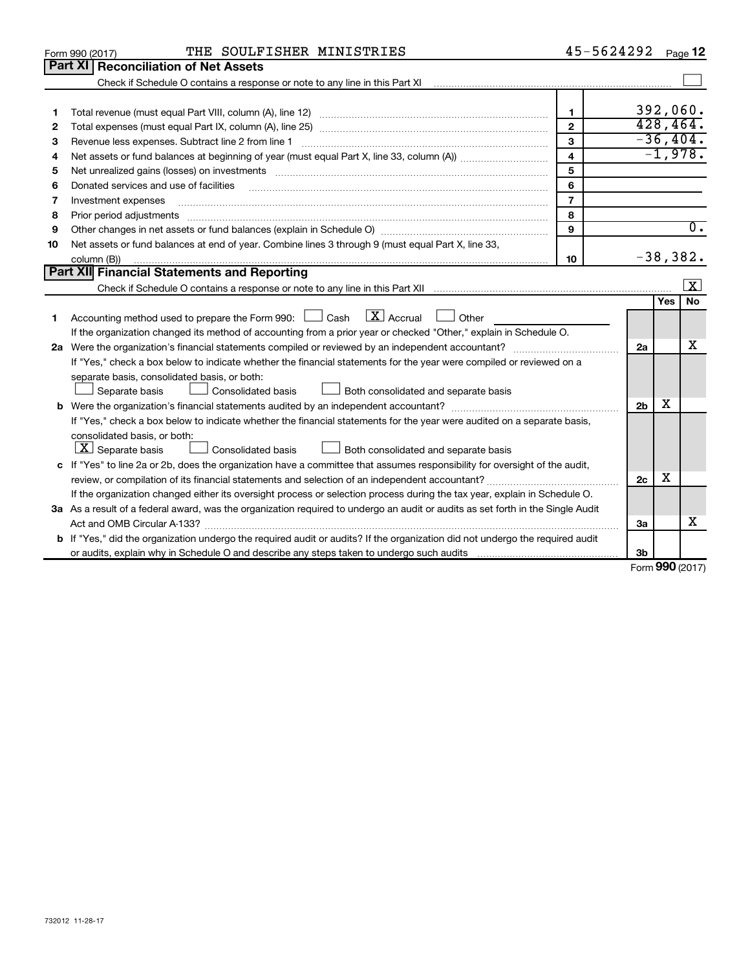| <b>Part XI</b><br><b>Reconciliation of Net Assets</b><br>Check if Schedule O contains a response or note to any line in this Part XI<br>392,060.<br>$\mathbf{1}$<br>1<br>428, 464.<br>$\overline{2}$<br>2<br>$-36,404.$<br>3<br>Revenue less expenses. Subtract line 2 from line 1<br>З<br>$-1,978.$<br>4<br>4<br>5<br>5<br>6<br>Donated services and use of facilities<br>6<br>$\overline{7}$<br>Investment expenses<br>7<br>8<br>Prior period adjustments<br>8<br>$\overline{0}$ .<br>9<br>9<br>Net assets or fund balances at end of year. Combine lines 3 through 9 (must equal Part X, line 33,<br>10<br>$-38,382.$<br>10<br>column (B))<br><b>Part XII</b> Financial Statements and Reporting |
|-----------------------------------------------------------------------------------------------------------------------------------------------------------------------------------------------------------------------------------------------------------------------------------------------------------------------------------------------------------------------------------------------------------------------------------------------------------------------------------------------------------------------------------------------------------------------------------------------------------------------------------------------------------------------------------------------------|
|                                                                                                                                                                                                                                                                                                                                                                                                                                                                                                                                                                                                                                                                                                     |
|                                                                                                                                                                                                                                                                                                                                                                                                                                                                                                                                                                                                                                                                                                     |
|                                                                                                                                                                                                                                                                                                                                                                                                                                                                                                                                                                                                                                                                                                     |
|                                                                                                                                                                                                                                                                                                                                                                                                                                                                                                                                                                                                                                                                                                     |
|                                                                                                                                                                                                                                                                                                                                                                                                                                                                                                                                                                                                                                                                                                     |
|                                                                                                                                                                                                                                                                                                                                                                                                                                                                                                                                                                                                                                                                                                     |
|                                                                                                                                                                                                                                                                                                                                                                                                                                                                                                                                                                                                                                                                                                     |
|                                                                                                                                                                                                                                                                                                                                                                                                                                                                                                                                                                                                                                                                                                     |
|                                                                                                                                                                                                                                                                                                                                                                                                                                                                                                                                                                                                                                                                                                     |
|                                                                                                                                                                                                                                                                                                                                                                                                                                                                                                                                                                                                                                                                                                     |
|                                                                                                                                                                                                                                                                                                                                                                                                                                                                                                                                                                                                                                                                                                     |
|                                                                                                                                                                                                                                                                                                                                                                                                                                                                                                                                                                                                                                                                                                     |
|                                                                                                                                                                                                                                                                                                                                                                                                                                                                                                                                                                                                                                                                                                     |
|                                                                                                                                                                                                                                                                                                                                                                                                                                                                                                                                                                                                                                                                                                     |
|                                                                                                                                                                                                                                                                                                                                                                                                                                                                                                                                                                                                                                                                                                     |
| $\vert$ X $\vert$                                                                                                                                                                                                                                                                                                                                                                                                                                                                                                                                                                                                                                                                                   |
| Yes<br><b>No</b>                                                                                                                                                                                                                                                                                                                                                                                                                                                                                                                                                                                                                                                                                    |
| $\lfloor \mathbf{X} \rfloor$ Accrual<br>Accounting method used to prepare the Form 990: [130] Cash<br>Other<br>a kacamatan ing Kabupatén Ing Kabupatén<br>1.                                                                                                                                                                                                                                                                                                                                                                                                                                                                                                                                        |
| If the organization changed its method of accounting from a prior year or checked "Other," explain in Schedule O.                                                                                                                                                                                                                                                                                                                                                                                                                                                                                                                                                                                   |
| х<br>2a                                                                                                                                                                                                                                                                                                                                                                                                                                                                                                                                                                                                                                                                                             |
| If "Yes," check a box below to indicate whether the financial statements for the year were compiled or reviewed on a                                                                                                                                                                                                                                                                                                                                                                                                                                                                                                                                                                                |
| separate basis, consolidated basis, or both:                                                                                                                                                                                                                                                                                                                                                                                                                                                                                                                                                                                                                                                        |
| Separate basis<br>Consolidated basis<br>Both consolidated and separate basis                                                                                                                                                                                                                                                                                                                                                                                                                                                                                                                                                                                                                        |
| х<br>2 <sub>b</sub>                                                                                                                                                                                                                                                                                                                                                                                                                                                                                                                                                                                                                                                                                 |
| If "Yes," check a box below to indicate whether the financial statements for the year were audited on a separate basis,                                                                                                                                                                                                                                                                                                                                                                                                                                                                                                                                                                             |
| consolidated basis, or both:                                                                                                                                                                                                                                                                                                                                                                                                                                                                                                                                                                                                                                                                        |
| $ \mathbf{X} $ Separate basis<br>Consolidated basis<br>Both consolidated and separate basis                                                                                                                                                                                                                                                                                                                                                                                                                                                                                                                                                                                                         |
| c If "Yes" to line 2a or 2b, does the organization have a committee that assumes responsibility for oversight of the audit,                                                                                                                                                                                                                                                                                                                                                                                                                                                                                                                                                                         |
| х<br>2c                                                                                                                                                                                                                                                                                                                                                                                                                                                                                                                                                                                                                                                                                             |
| If the organization changed either its oversight process or selection process during the tax year, explain in Schedule O.                                                                                                                                                                                                                                                                                                                                                                                                                                                                                                                                                                           |
| 3a As a result of a federal award, was the organization required to undergo an audit or audits as set forth in the Single Audit                                                                                                                                                                                                                                                                                                                                                                                                                                                                                                                                                                     |
| x<br>Act and OMB Circular A-133?<br>За                                                                                                                                                                                                                                                                                                                                                                                                                                                                                                                                                                                                                                                              |
| <b>b</b> If "Yes," did the organization undergo the required audit or audits? If the organization did not undergo the required audit                                                                                                                                                                                                                                                                                                                                                                                                                                                                                                                                                                |
| 3b<br>$000 \approx$                                                                                                                                                                                                                                                                                                                                                                                                                                                                                                                                                                                                                                                                                 |

Form (2017) **990**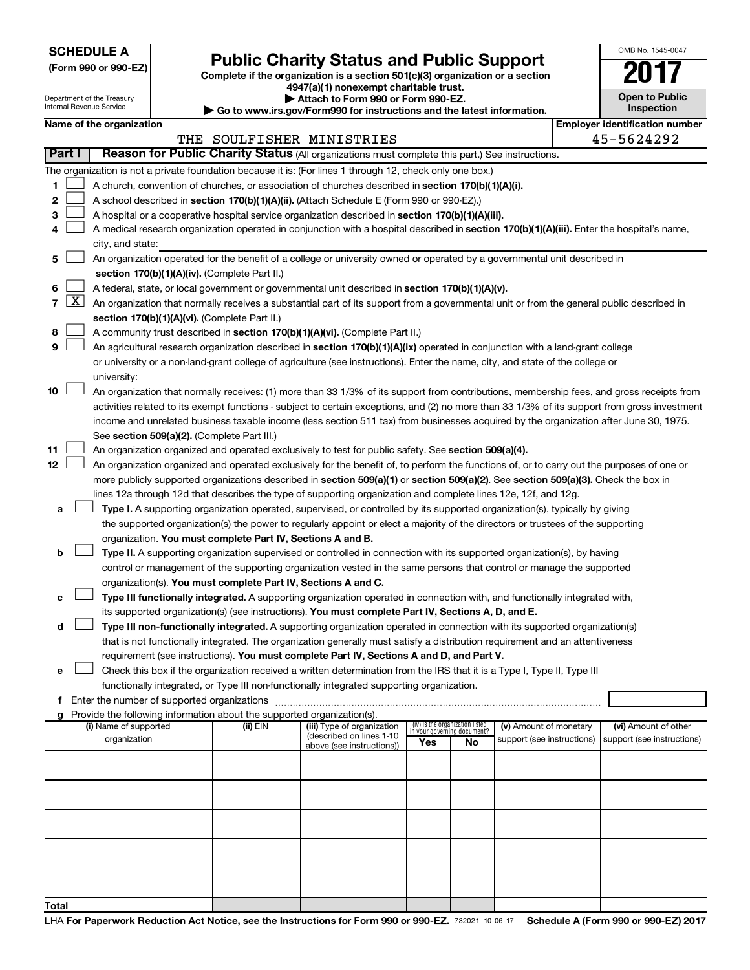| <b>SCHEDULE A</b> |  |
|-------------------|--|
|-------------------|--|

| (Form 990 or 990-EZ) |  |  |  |  |
|----------------------|--|--|--|--|
|----------------------|--|--|--|--|

Department of the Treasury<br>Internal Revenue Service

# Form 990 or 990-EZ)<br>
Complete if the organization is a section 501(c)(3) organization or a section<br> **Public Charity Status and Public Support**

**4947(a)(1) nonexempt charitable trust.**

**| Attach to Form 990 or Form 990-EZ.** 

| OMB No 1545-0047                    |
|-------------------------------------|
|                                     |
| <b>Open to Public</b><br>Inspection |
|                                     |

| nternal Revenue Service<br>Go to www.irs.gov/Form990 for instructions and the latest information. |                     |                                             |  |                                                                                    |                                                                                                                                            | Inspection                         |    |                            |  |                                                                                                                                               |
|---------------------------------------------------------------------------------------------------|---------------------|---------------------------------------------|--|------------------------------------------------------------------------------------|--------------------------------------------------------------------------------------------------------------------------------------------|------------------------------------|----|----------------------------|--|-----------------------------------------------------------------------------------------------------------------------------------------------|
|                                                                                                   |                     | Name of the organization                    |  |                                                                                    |                                                                                                                                            |                                    |    |                            |  | <b>Employer identification number</b>                                                                                                         |
|                                                                                                   | Part I              |                                             |  |                                                                                    | THE SOULFISHER MINISTRIES                                                                                                                  |                                    |    |                            |  | 45-5624292                                                                                                                                    |
|                                                                                                   |                     |                                             |  |                                                                                    | Reason for Public Charity Status (All organizations must complete this part.) See instructions.                                            |                                    |    |                            |  |                                                                                                                                               |
|                                                                                                   |                     |                                             |  |                                                                                    | The organization is not a private foundation because it is: (For lines 1 through 12, check only one box.)                                  |                                    |    |                            |  |                                                                                                                                               |
| 1                                                                                                 |                     |                                             |  |                                                                                    | A church, convention of churches, or association of churches described in section 170(b)(1)(A)(i).                                         |                                    |    |                            |  |                                                                                                                                               |
| 2                                                                                                 |                     |                                             |  |                                                                                    | A school described in section 170(b)(1)(A)(ii). (Attach Schedule E (Form 990 or 990-EZ).)                                                  |                                    |    |                            |  |                                                                                                                                               |
| З                                                                                                 |                     |                                             |  |                                                                                    | A hospital or a cooperative hospital service organization described in section 170(b)(1)(A)(iii).                                          |                                    |    |                            |  |                                                                                                                                               |
| 4                                                                                                 |                     | city, and state:                            |  |                                                                                    | A medical research organization operated in conjunction with a hospital described in section 170(b)(1)(A)(iii). Enter the hospital's name, |                                    |    |                            |  |                                                                                                                                               |
|                                                                                                   |                     |                                             |  |                                                                                    |                                                                                                                                            |                                    |    |                            |  |                                                                                                                                               |
| 5.                                                                                                |                     |                                             |  |                                                                                    | An organization operated for the benefit of a college or university owned or operated by a governmental unit described in                  |                                    |    |                            |  |                                                                                                                                               |
| 6                                                                                                 |                     |                                             |  | section 170(b)(1)(A)(iv). (Complete Part II.)                                      | A federal, state, or local government or governmental unit described in section 170(b)(1)(A)(v).                                           |                                    |    |                            |  |                                                                                                                                               |
| $\overline{7}$                                                                                    | $\lfloor x \rfloor$ |                                             |  |                                                                                    | An organization that normally receives a substantial part of its support from a governmental unit or from the general public described in  |                                    |    |                            |  |                                                                                                                                               |
|                                                                                                   |                     |                                             |  |                                                                                    |                                                                                                                                            |                                    |    |                            |  |                                                                                                                                               |
| 8                                                                                                 |                     |                                             |  | section 170(b)(1)(A)(vi). (Complete Part II.)                                      | A community trust described in section 170(b)(1)(A)(vi). (Complete Part II.)                                                               |                                    |    |                            |  |                                                                                                                                               |
| 9                                                                                                 |                     |                                             |  |                                                                                    | An agricultural research organization described in section 170(b)(1)(A)(ix) operated in conjunction with a land-grant college              |                                    |    |                            |  |                                                                                                                                               |
|                                                                                                   |                     |                                             |  |                                                                                    | or university or a non-land-grant college of agriculture (see instructions). Enter the name, city, and state of the college or             |                                    |    |                            |  |                                                                                                                                               |
|                                                                                                   |                     | university:                                 |  |                                                                                    |                                                                                                                                            |                                    |    |                            |  |                                                                                                                                               |
| 10                                                                                                |                     |                                             |  |                                                                                    | An organization that normally receives: (1) more than 33 1/3% of its support from contributions, membership fees, and gross receipts from  |                                    |    |                            |  |                                                                                                                                               |
|                                                                                                   |                     |                                             |  |                                                                                    |                                                                                                                                            |                                    |    |                            |  | activities related to its exempt functions - subject to certain exceptions, and (2) no more than 33 1/3% of its support from gross investment |
|                                                                                                   |                     |                                             |  |                                                                                    | income and unrelated business taxable income (less section 511 tax) from businesses acquired by the organization after June 30, 1975.      |                                    |    |                            |  |                                                                                                                                               |
|                                                                                                   |                     |                                             |  | See section 509(a)(2). (Complete Part III.)                                        |                                                                                                                                            |                                    |    |                            |  |                                                                                                                                               |
| 11                                                                                                |                     |                                             |  |                                                                                    | An organization organized and operated exclusively to test for public safety. See section 509(a)(4).                                       |                                    |    |                            |  |                                                                                                                                               |
| 12                                                                                                |                     |                                             |  |                                                                                    | An organization organized and operated exclusively for the benefit of, to perform the functions of, or to carry out the purposes of one or |                                    |    |                            |  |                                                                                                                                               |
|                                                                                                   |                     |                                             |  |                                                                                    | more publicly supported organizations described in section 509(a)(1) or section 509(a)(2). See section 509(a)(3). Check the box in         |                                    |    |                            |  |                                                                                                                                               |
|                                                                                                   |                     |                                             |  |                                                                                    | lines 12a through 12d that describes the type of supporting organization and complete lines 12e, 12f, and 12g.                             |                                    |    |                            |  |                                                                                                                                               |
| а                                                                                                 |                     |                                             |  |                                                                                    | Type I. A supporting organization operated, supervised, or controlled by its supported organization(s), typically by giving                |                                    |    |                            |  |                                                                                                                                               |
|                                                                                                   |                     |                                             |  |                                                                                    | the supported organization(s) the power to regularly appoint or elect a majority of the directors or trustees of the supporting            |                                    |    |                            |  |                                                                                                                                               |
|                                                                                                   |                     |                                             |  | organization. You must complete Part IV, Sections A and B.                         |                                                                                                                                            |                                    |    |                            |  |                                                                                                                                               |
| b                                                                                                 |                     |                                             |  |                                                                                    | Type II. A supporting organization supervised or controlled in connection with its supported organization(s), by having                    |                                    |    |                            |  |                                                                                                                                               |
|                                                                                                   |                     |                                             |  |                                                                                    | control or management of the supporting organization vested in the same persons that control or manage the supported                       |                                    |    |                            |  |                                                                                                                                               |
|                                                                                                   |                     |                                             |  | organization(s). You must complete Part IV, Sections A and C.                      |                                                                                                                                            |                                    |    |                            |  |                                                                                                                                               |
|                                                                                                   |                     |                                             |  |                                                                                    | Type III functionally integrated. A supporting organization operated in connection with, and functionally integrated with,                 |                                    |    |                            |  |                                                                                                                                               |
|                                                                                                   |                     |                                             |  |                                                                                    | its supported organization(s) (see instructions). You must complete Part IV, Sections A, D, and E.                                         |                                    |    |                            |  |                                                                                                                                               |
| d                                                                                                 |                     |                                             |  |                                                                                    | Type III non-functionally integrated. A supporting organization operated in connection with its supported organization(s)                  |                                    |    |                            |  |                                                                                                                                               |
|                                                                                                   |                     |                                             |  |                                                                                    | that is not functionally integrated. The organization generally must satisfy a distribution requirement and an attentiveness               |                                    |    |                            |  |                                                                                                                                               |
|                                                                                                   |                     |                                             |  |                                                                                    | requirement (see instructions). You must complete Part IV, Sections A and D, and Part V.                                                   |                                    |    |                            |  |                                                                                                                                               |
| е                                                                                                 |                     |                                             |  |                                                                                    | Check this box if the organization received a written determination from the IRS that it is a Type I, Type II, Type III                    |                                    |    |                            |  |                                                                                                                                               |
|                                                                                                   |                     |                                             |  |                                                                                    | functionally integrated, or Type III non-functionally integrated supporting organization.                                                  |                                    |    |                            |  |                                                                                                                                               |
| f                                                                                                 |                     | Enter the number of supported organizations |  |                                                                                    |                                                                                                                                            |                                    |    |                            |  |                                                                                                                                               |
|                                                                                                   |                     | (i) Name of supported                       |  | Provide the following information about the supported organization(s).<br>(ii) EIN | (iii) Type of organization                                                                                                                 | (iv) Is the organization listed    |    | (v) Amount of monetary     |  | (vi) Amount of other                                                                                                                          |
|                                                                                                   |                     | organization                                |  |                                                                                    | (described on lines 1-10                                                                                                                   | in your governing document?<br>Yes | No | support (see instructions) |  | support (see instructions)                                                                                                                    |
|                                                                                                   |                     |                                             |  |                                                                                    | above (see instructions))                                                                                                                  |                                    |    |                            |  |                                                                                                                                               |
|                                                                                                   |                     |                                             |  |                                                                                    |                                                                                                                                            |                                    |    |                            |  |                                                                                                                                               |
|                                                                                                   |                     |                                             |  |                                                                                    |                                                                                                                                            |                                    |    |                            |  |                                                                                                                                               |
|                                                                                                   |                     |                                             |  |                                                                                    |                                                                                                                                            |                                    |    |                            |  |                                                                                                                                               |
|                                                                                                   |                     |                                             |  |                                                                                    |                                                                                                                                            |                                    |    |                            |  |                                                                                                                                               |
|                                                                                                   |                     |                                             |  |                                                                                    |                                                                                                                                            |                                    |    |                            |  |                                                                                                                                               |
|                                                                                                   |                     |                                             |  |                                                                                    |                                                                                                                                            |                                    |    |                            |  |                                                                                                                                               |
|                                                                                                   |                     |                                             |  |                                                                                    |                                                                                                                                            |                                    |    |                            |  |                                                                                                                                               |
|                                                                                                   |                     |                                             |  |                                                                                    |                                                                                                                                            |                                    |    |                            |  |                                                                                                                                               |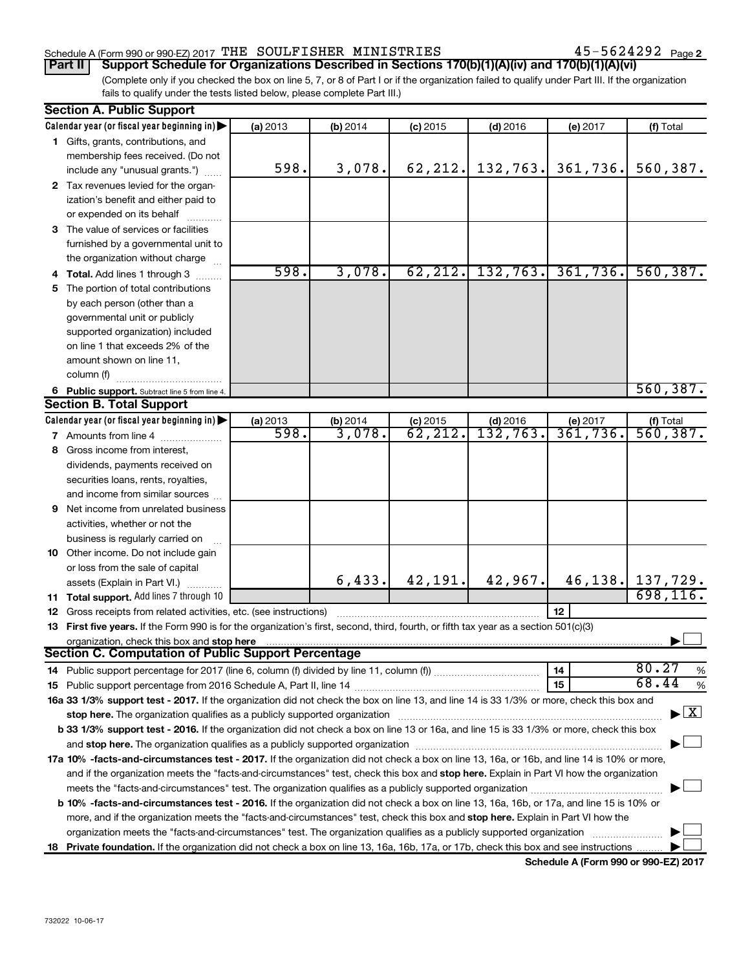### Schedule A (Form 990 or 990-EZ) 2017  $\, {\rm THE} \,$  <code>SOULFISHER MINISTRIES</code>  $\, 45-5624292 \,$  <code>Page</code>

45-5624292 Page 2

(Complete only if you checked the box on line 5, 7, or 8 of Part I or if the organization failed to qualify under Part III. If the organization fails to qualify under the tests listed below, please complete Part III.) **Part II Support Schedule for Organizations Described in Sections 170(b)(1)(A)(iv) and 170(b)(1)(A)(vi)**

|    | <b>Section A. Public Support</b>                                                                                                                                                                                               |          |                      |            |                             |          |                    |
|----|--------------------------------------------------------------------------------------------------------------------------------------------------------------------------------------------------------------------------------|----------|----------------------|------------|-----------------------------|----------|--------------------|
|    | Calendar year (or fiscal year beginning in)                                                                                                                                                                                    | (a) 2013 | (b) 2014             | $(c)$ 2015 | $(d)$ 2016                  | (e) 2017 | (f) Total          |
|    | 1 Gifts, grants, contributions, and                                                                                                                                                                                            |          |                      |            |                             |          |                    |
|    | membership fees received. (Do not                                                                                                                                                                                              |          |                      |            |                             |          |                    |
|    | include any "unusual grants.")                                                                                                                                                                                                 | 598.     | 3,078.               |            | $62, 212.$ 132, 763.        | 361,736. | 560, 387.          |
|    | 2 Tax revenues levied for the organ-                                                                                                                                                                                           |          |                      |            |                             |          |                    |
|    | ization's benefit and either paid to                                                                                                                                                                                           |          |                      |            |                             |          |                    |
|    | or expended on its behalf                                                                                                                                                                                                      |          |                      |            |                             |          |                    |
|    | 3 The value of services or facilities                                                                                                                                                                                          |          |                      |            |                             |          |                    |
|    | furnished by a governmental unit to                                                                                                                                                                                            |          |                      |            |                             |          |                    |
|    | the organization without charge                                                                                                                                                                                                |          |                      |            |                             |          |                    |
|    | 4 Total. Add lines 1 through 3                                                                                                                                                                                                 | 598.     | 3,078.               | 62, 212.   | 132,763.                    | 361,736. | 560, 387.          |
| 5. | The portion of total contributions                                                                                                                                                                                             |          |                      |            |                             |          |                    |
|    | by each person (other than a                                                                                                                                                                                                   |          |                      |            |                             |          |                    |
|    | governmental unit or publicly                                                                                                                                                                                                  |          |                      |            |                             |          |                    |
|    | supported organization) included                                                                                                                                                                                               |          |                      |            |                             |          |                    |
|    | on line 1 that exceeds 2% of the                                                                                                                                                                                               |          |                      |            |                             |          |                    |
|    | amount shown on line 11,                                                                                                                                                                                                       |          |                      |            |                             |          |                    |
|    | column (f)                                                                                                                                                                                                                     |          |                      |            |                             |          |                    |
|    | 6 Public support. Subtract line 5 from line 4.                                                                                                                                                                                 |          |                      |            |                             |          | 560, 387.          |
|    | <b>Section B. Total Support</b>                                                                                                                                                                                                |          |                      |            |                             |          |                    |
|    | Calendar year (or fiscal year beginning in)                                                                                                                                                                                    | (a) 2013 |                      | $(c)$ 2015 |                             | (e) 2017 | (f) Total          |
|    | <b>7</b> Amounts from line 4                                                                                                                                                                                                   | 598.     | $\frac{1}{3}$ , 078. | 62,212.    | $\frac{(d) 2016}{132, 763}$ | 361,736. | $\frac{60}{387}$ . |
| 8  | Gross income from interest,                                                                                                                                                                                                    |          |                      |            |                             |          |                    |
|    | dividends, payments received on                                                                                                                                                                                                |          |                      |            |                             |          |                    |
|    | securities loans, rents, royalties,                                                                                                                                                                                            |          |                      |            |                             |          |                    |
|    | and income from similar sources                                                                                                                                                                                                |          |                      |            |                             |          |                    |
| 9  | Net income from unrelated business                                                                                                                                                                                             |          |                      |            |                             |          |                    |
|    | activities, whether or not the                                                                                                                                                                                                 |          |                      |            |                             |          |                    |
|    | business is regularly carried on                                                                                                                                                                                               |          |                      |            |                             |          |                    |
|    | 10 Other income. Do not include gain                                                                                                                                                                                           |          |                      |            |                             |          |                    |
|    | or loss from the sale of capital                                                                                                                                                                                               |          |                      |            |                             |          |                    |
|    | assets (Explain in Part VI.)                                                                                                                                                                                                   |          | 6,433.               | 42,191.    | 42,967.                     |          | 46, 138. 137, 729. |
|    | 11 Total support. Add lines 7 through 10                                                                                                                                                                                       |          |                      |            |                             |          | 698, 116.          |
|    | 12 Gross receipts from related activities, etc. (see instructions)                                                                                                                                                             |          |                      |            |                             | 12       |                    |
|    | 13 First five years. If the Form 990 is for the organization's first, second, third, fourth, or fifth tax year as a section 501(c)(3)                                                                                          |          |                      |            |                             |          |                    |
|    | organization, check this box and stop here                                                                                                                                                                                     |          |                      |            |                             |          |                    |
|    | <b>Section C. Computation of Public Support Percentage</b>                                                                                                                                                                     |          |                      |            |                             |          |                    |
|    |                                                                                                                                                                                                                                |          |                      |            |                             | 14       | 80.27<br>%         |
|    |                                                                                                                                                                                                                                |          |                      |            |                             | 15       | 68.44<br>%         |
|    | 16a 33 1/3% support test - 2017. If the organization did not check the box on line 13, and line 14 is 33 1/3% or more, check this box and                                                                                      |          |                      |            |                             |          |                    |
|    | stop here. The organization qualifies as a publicly supported organization manufactured content and the support of the state of the state of the state of the state of the state of the state of the state of the state of the |          |                      |            |                             |          | $\mathbf{X}$       |
|    | b 33 1/3% support test - 2016. If the organization did not check a box on line 13 or 16a, and line 15 is 33 1/3% or more, check this box                                                                                       |          |                      |            |                             |          |                    |
|    |                                                                                                                                                                                                                                |          |                      |            |                             |          |                    |
|    | 17a 10% -facts-and-circumstances test - 2017. If the organization did not check a box on line 13, 16a, or 16b, and line 14 is 10% or more,                                                                                     |          |                      |            |                             |          |                    |
|    | and if the organization meets the "facts-and-circumstances" test, check this box and stop here. Explain in Part VI how the organization                                                                                        |          |                      |            |                             |          |                    |
|    | meets the "facts-and-circumstances" test. The organization qualifies as a publicly supported organization <i>manumumum</i>                                                                                                     |          |                      |            |                             |          |                    |
|    | b 10% -facts-and-circumstances test - 2016. If the organization did not check a box on line 13, 16a, 16b, or 17a, and line 15 is 10% or                                                                                        |          |                      |            |                             |          |                    |
|    | more, and if the organization meets the "facts-and-circumstances" test, check this box and stop here. Explain in Part VI how the                                                                                               |          |                      |            |                             |          |                    |
|    | organization meets the "facts-and-circumstances" test. The organization qualifies as a publicly supported organization                                                                                                         |          |                      |            |                             |          |                    |
| 18 | Private foundation. If the organization did not check a box on line 13, 16a, 16b, 17a, or 17b, check this box and see instructions                                                                                             |          |                      |            |                             |          |                    |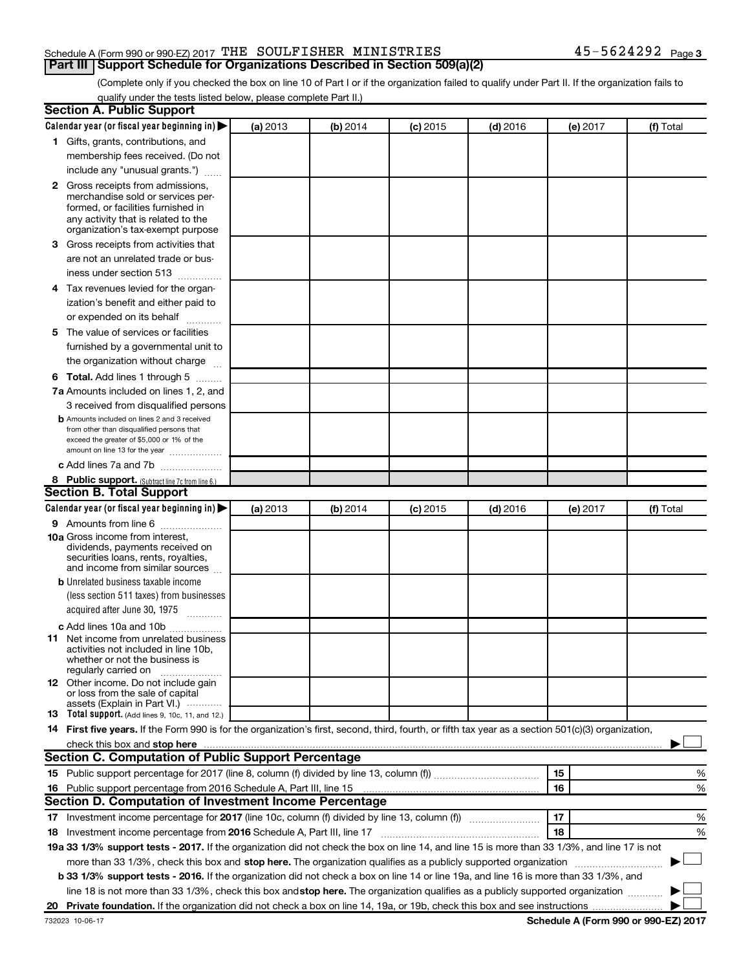### Schedule A (Form 990 or 990-EZ) 2017  $\, {\rm THE} \,$  <code>SOULFISHER MINISTRIES</code>  $\, 45-5624292 \,$  <code>Page</code> **Part III Support Schedule for Organizations Described in Section 509(a)(2)**

(Complete only if you checked the box on line 10 of Part I or if the organization failed to qualify under Part II. If the organization fails to qualify under the tests listed below, please complete Part II.)

| <b>Section A. Public Support</b>                                                                                                                                                                                                                                                                                           |          |          |          |            |          |           |
|----------------------------------------------------------------------------------------------------------------------------------------------------------------------------------------------------------------------------------------------------------------------------------------------------------------------------|----------|----------|----------|------------|----------|-----------|
| Calendar year (or fiscal year beginning in)                                                                                                                                                                                                                                                                                | (a) 2013 | (b) 2014 | (c) 2015 | $(d)$ 2016 | (e) 2017 | (f) Total |
| 1 Gifts, grants, contributions, and                                                                                                                                                                                                                                                                                        |          |          |          |            |          |           |
| membership fees received. (Do not                                                                                                                                                                                                                                                                                          |          |          |          |            |          |           |
| include any "unusual grants.")                                                                                                                                                                                                                                                                                             |          |          |          |            |          |           |
| <b>2</b> Gross receipts from admissions,                                                                                                                                                                                                                                                                                   |          |          |          |            |          |           |
| merchandise sold or services per-                                                                                                                                                                                                                                                                                          |          |          |          |            |          |           |
| formed, or facilities furnished in                                                                                                                                                                                                                                                                                         |          |          |          |            |          |           |
| any activity that is related to the<br>organization's tax-exempt purpose                                                                                                                                                                                                                                                   |          |          |          |            |          |           |
| 3 Gross receipts from activities that                                                                                                                                                                                                                                                                                      |          |          |          |            |          |           |
| are not an unrelated trade or bus-                                                                                                                                                                                                                                                                                         |          |          |          |            |          |           |
| iness under section 513                                                                                                                                                                                                                                                                                                    |          |          |          |            |          |           |
| 4 Tax revenues levied for the organ-                                                                                                                                                                                                                                                                                       |          |          |          |            |          |           |
| ization's benefit and either paid to                                                                                                                                                                                                                                                                                       |          |          |          |            |          |           |
| or expended on its behalf                                                                                                                                                                                                                                                                                                  |          |          |          |            |          |           |
| .                                                                                                                                                                                                                                                                                                                          |          |          |          |            |          |           |
| 5 The value of services or facilities                                                                                                                                                                                                                                                                                      |          |          |          |            |          |           |
| furnished by a governmental unit to                                                                                                                                                                                                                                                                                        |          |          |          |            |          |           |
| the organization without charge                                                                                                                                                                                                                                                                                            |          |          |          |            |          |           |
| <b>6 Total.</b> Add lines 1 through 5                                                                                                                                                                                                                                                                                      |          |          |          |            |          |           |
| 7a Amounts included on lines 1, 2, and                                                                                                                                                                                                                                                                                     |          |          |          |            |          |           |
| 3 received from disqualified persons                                                                                                                                                                                                                                                                                       |          |          |          |            |          |           |
| <b>b</b> Amounts included on lines 2 and 3 received<br>from other than disqualified persons that                                                                                                                                                                                                                           |          |          |          |            |          |           |
| exceed the greater of \$5,000 or 1% of the                                                                                                                                                                                                                                                                                 |          |          |          |            |          |           |
| amount on line 13 for the year                                                                                                                                                                                                                                                                                             |          |          |          |            |          |           |
| c Add lines 7a and 7b                                                                                                                                                                                                                                                                                                      |          |          |          |            |          |           |
| 8 Public support. (Subtract line 7c from line 6.)                                                                                                                                                                                                                                                                          |          |          |          |            |          |           |
| <b>Section B. Total Support</b>                                                                                                                                                                                                                                                                                            |          |          |          |            |          |           |
| Calendar year (or fiscal year beginning in)                                                                                                                                                                                                                                                                                | (a) 2013 | (b) 2014 | (c) 2015 | $(d)$ 2016 | (e) 2017 | (f) Total |
| <b>9</b> Amounts from line 6                                                                                                                                                                                                                                                                                               |          |          |          |            |          |           |
| <b>10a</b> Gross income from interest,                                                                                                                                                                                                                                                                                     |          |          |          |            |          |           |
| dividends, payments received on<br>securities loans, rents, royalties,                                                                                                                                                                                                                                                     |          |          |          |            |          |           |
| and income from similar sources                                                                                                                                                                                                                                                                                            |          |          |          |            |          |           |
| <b>b</b> Unrelated business taxable income                                                                                                                                                                                                                                                                                 |          |          |          |            |          |           |
| (less section 511 taxes) from businesses                                                                                                                                                                                                                                                                                   |          |          |          |            |          |           |
| acquired after June 30, 1975                                                                                                                                                                                                                                                                                               |          |          |          |            |          |           |
| c Add lines 10a and 10b                                                                                                                                                                                                                                                                                                    |          |          |          |            |          |           |
| <b>11</b> Net income from unrelated business                                                                                                                                                                                                                                                                               |          |          |          |            |          |           |
| activities not included in line 10b.                                                                                                                                                                                                                                                                                       |          |          |          |            |          |           |
| whether or not the business is<br>regularly carried on                                                                                                                                                                                                                                                                     |          |          |          |            |          |           |
| 12 Other income. Do not include gain                                                                                                                                                                                                                                                                                       |          |          |          |            |          |           |
| or loss from the sale of capital                                                                                                                                                                                                                                                                                           |          |          |          |            |          |           |
| assets (Explain in Part VI.)<br><b>13</b> Total support. (Add lines 9, 10c, 11, and 12.)                                                                                                                                                                                                                                   |          |          |          |            |          |           |
| 14 First five years. If the Form 990 is for the organization's first, second, third, fourth, or fifth tax year as a section 501(c)(3) organization,                                                                                                                                                                        |          |          |          |            |          |           |
|                                                                                                                                                                                                                                                                                                                            |          |          |          |            |          |           |
| check this box and stop here <b>construction and construction</b> and stop here <b>constructed</b> and stop here <b>constructed</b> and <b>stop here construction</b> and <b>stop here construction</b> and <b>stop here constructed</b> and <b>stop her</b><br><b>Section C. Computation of Public Support Percentage</b> |          |          |          |            |          |           |
|                                                                                                                                                                                                                                                                                                                            |          |          |          |            | 15       | %         |
| 16 Public support percentage from 2016 Schedule A, Part III, line 15                                                                                                                                                                                                                                                       |          |          |          |            | 16       | %         |
| Section D. Computation of Investment Income Percentage                                                                                                                                                                                                                                                                     |          |          |          |            |          |           |
| 17 Investment income percentage for 2017 (line 10c, column (f) divided by line 13, column (f))                                                                                                                                                                                                                             |          |          |          |            | 17       | %         |
|                                                                                                                                                                                                                                                                                                                            |          |          |          |            | 18       | %         |
| 18 Investment income percentage from 2016 Schedule A, Part III, line 17<br>19a 33 1/3% support tests - 2017. If the organization did not check the box on line 14, and line 15 is more than 33 1/3%, and line 17 is not                                                                                                    |          |          |          |            |          |           |
|                                                                                                                                                                                                                                                                                                                            |          |          |          |            |          |           |
| more than 33 1/3%, check this box and stop here. The organization qualifies as a publicly supported organization                                                                                                                                                                                                           |          |          |          |            |          |           |
| b 33 1/3% support tests - 2016. If the organization did not check a box on line 14 or line 19a, and line 16 is more than 33 1/3%, and                                                                                                                                                                                      |          |          |          |            |          |           |
| line 18 is not more than 33 1/3%, check this box and stop here. The organization qualifies as a publicly supported organization                                                                                                                                                                                            |          |          |          |            |          |           |
|                                                                                                                                                                                                                                                                                                                            |          |          |          |            |          |           |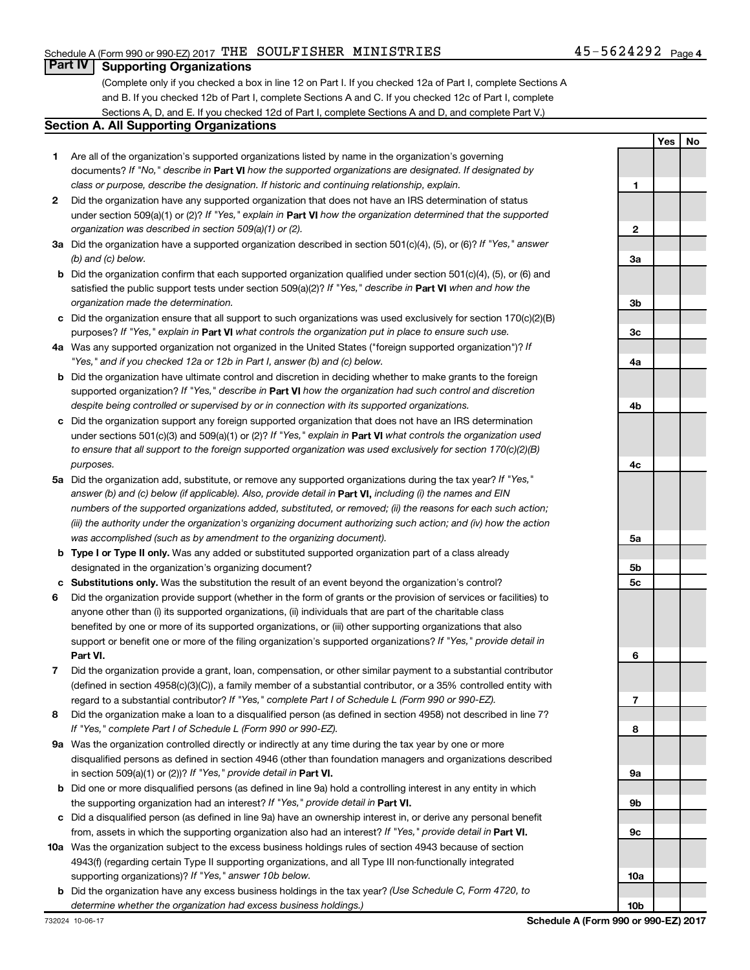**Yes No**

### **Part IV Supporting Organizations**

(Complete only if you checked a box in line 12 on Part I. If you checked 12a of Part I, complete Sections A and B. If you checked 12b of Part I, complete Sections A and C. If you checked 12c of Part I, complete Sections A, D, and E. If you checked 12d of Part I, complete Sections A and D, and complete Part V.)

### **Section A. All Supporting Organizations**

- **1** Are all of the organization's supported organizations listed by name in the organization's governing documents? If "No," describe in Part VI how the supported organizations are designated. If designated by *class or purpose, describe the designation. If historic and continuing relationship, explain.*
- **2** Did the organization have any supported organization that does not have an IRS determination of status under section 509(a)(1) or (2)? If "Yes," explain in Part **VI** how the organization determined that the supported *organization was described in section 509(a)(1) or (2).*
- **3a** Did the organization have a supported organization described in section 501(c)(4), (5), or (6)? If "Yes," answer *(b) and (c) below.*
- **b** Did the organization confirm that each supported organization qualified under section 501(c)(4), (5), or (6) and satisfied the public support tests under section 509(a)(2)? If "Yes," describe in Part VI when and how the *organization made the determination.*
- **c** Did the organization ensure that all support to such organizations was used exclusively for section 170(c)(2)(B) purposes? If "Yes," explain in Part VI what controls the organization put in place to ensure such use.
- **4 a** *If* Was any supported organization not organized in the United States ("foreign supported organization")? *"Yes," and if you checked 12a or 12b in Part I, answer (b) and (c) below.*
- **b** Did the organization have ultimate control and discretion in deciding whether to make grants to the foreign supported organization? If "Yes," describe in Part VI how the organization had such control and discretion *despite being controlled or supervised by or in connection with its supported organizations.*
- **c** Did the organization support any foreign supported organization that does not have an IRS determination under sections 501(c)(3) and 509(a)(1) or (2)? If "Yes," explain in Part VI what controls the organization used *to ensure that all support to the foreign supported organization was used exclusively for section 170(c)(2)(B) purposes.*
- **5a** Did the organization add, substitute, or remove any supported organizations during the tax year? If "Yes," answer (b) and (c) below (if applicable). Also, provide detail in **Part VI,** including (i) the names and EIN *numbers of the supported organizations added, substituted, or removed; (ii) the reasons for each such action; (iii) the authority under the organization's organizing document authorizing such action; and (iv) how the action was accomplished (such as by amendment to the organizing document).*
- **b** Type I or Type II only. Was any added or substituted supported organization part of a class already designated in the organization's organizing document?
- **c Substitutions only.**  Was the substitution the result of an event beyond the organization's control?
- **6** Did the organization provide support (whether in the form of grants or the provision of services or facilities) to **Part VI.** support or benefit one or more of the filing organization's supported organizations? If "Yes," provide detail in anyone other than (i) its supported organizations, (ii) individuals that are part of the charitable class benefited by one or more of its supported organizations, or (iii) other supporting organizations that also
- **7** Did the organization provide a grant, loan, compensation, or other similar payment to a substantial contributor regard to a substantial contributor? If "Yes," complete Part I of Schedule L (Form 990 or 990-EZ). (defined in section 4958(c)(3)(C)), a family member of a substantial contributor, or a 35% controlled entity with
- **8** Did the organization make a loan to a disqualified person (as defined in section 4958) not described in line 7? *If "Yes," complete Part I of Schedule L (Form 990 or 990-EZ).*
- **9 a** Was the organization controlled directly or indirectly at any time during the tax year by one or more in section 509(a)(1) or (2))? If "Yes," provide detail in **Part VI.** disqualified persons as defined in section 4946 (other than foundation managers and organizations described
- **b** Did one or more disqualified persons (as defined in line 9a) hold a controlling interest in any entity in which the supporting organization had an interest? If "Yes," provide detail in Part VI.
- **c** Did a disqualified person (as defined in line 9a) have an ownership interest in, or derive any personal benefit from, assets in which the supporting organization also had an interest? If "Yes," provide detail in Part VI.
- **10 a** Was the organization subject to the excess business holdings rules of section 4943 because of section supporting organizations)? If "Yes," answer 10b below. 4943(f) (regarding certain Type II supporting organizations, and all Type III non-functionally integrated
	- **b** Did the organization have any excess business holdings in the tax year? (Use Schedule C, Form 4720, to *determine whether the organization had excess business holdings.)*

**1 2 3a 3b 3c 4a 4b 4c 5a 5b 5c 6 7 8 9a 9b 9c 10a**

**10b**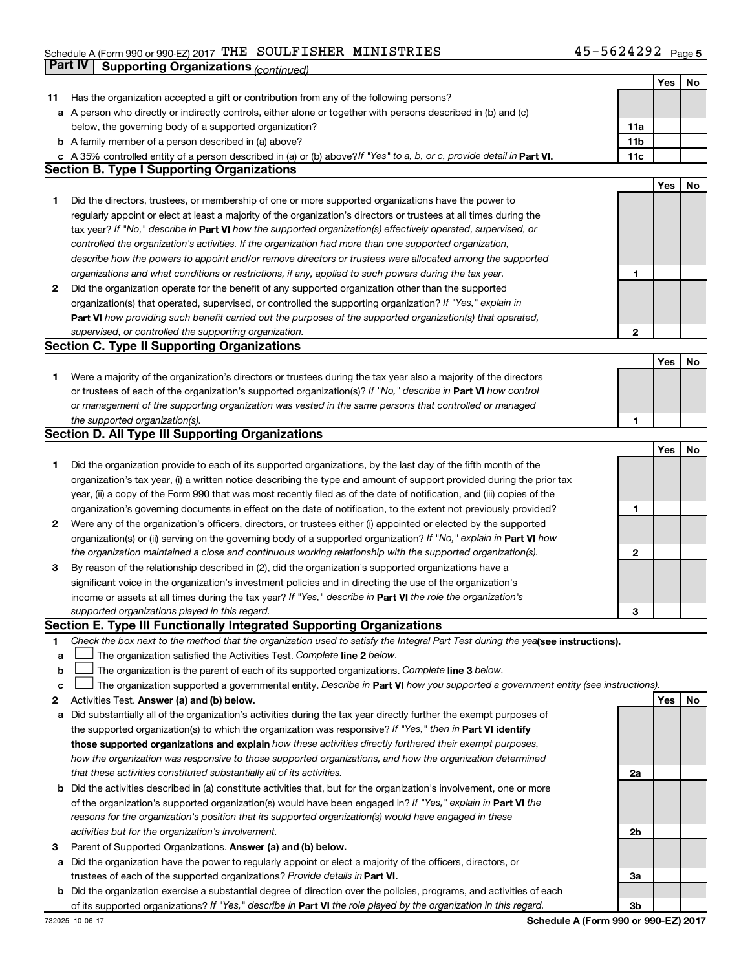### Schedule A (Form 990 or 990-EZ) 2017  $\, {\rm THE} \,$  <code>SOULFISHER MINISTRIES</code>  $\, 45-5624292 \,$  <code>Page</code> **Part IV Supporting Organizations** *(continued)*

|    |                                                                                                                                 |                 | Yes | No |
|----|---------------------------------------------------------------------------------------------------------------------------------|-----------------|-----|----|
| 11 | Has the organization accepted a gift or contribution from any of the following persons?                                         |                 |     |    |
|    | a A person who directly or indirectly controls, either alone or together with persons described in (b) and (c)                  |                 |     |    |
|    | below, the governing body of a supported organization?                                                                          | 11a             |     |    |
|    | <b>b</b> A family member of a person described in (a) above?                                                                    | 11 <sub>b</sub> |     |    |
|    | c A 35% controlled entity of a person described in (a) or (b) above? If "Yes" to a, b, or c, provide detail in Part VI.         | 11c             |     |    |
|    | <b>Section B. Type I Supporting Organizations</b>                                                                               |                 |     |    |
|    |                                                                                                                                 |                 | Yes | No |
| 1  | Did the directors, trustees, or membership of one or more supported organizations have the power to                             |                 |     |    |
|    | regularly appoint or elect at least a majority of the organization's directors or trustees at all times during the              |                 |     |    |
|    | tax year? If "No," describe in Part VI how the supported organization(s) effectively operated, supervised, or                   |                 |     |    |
|    | controlled the organization's activities. If the organization had more than one supported organization,                         |                 |     |    |
|    |                                                                                                                                 |                 |     |    |
|    | describe how the powers to appoint and/or remove directors or trustees were allocated among the supported                       |                 |     |    |
|    | organizations and what conditions or restrictions, if any, applied to such powers during the tax year.                          | 1               |     |    |
| 2  | Did the organization operate for the benefit of any supported organization other than the supported                             |                 |     |    |
|    | organization(s) that operated, supervised, or controlled the supporting organization? If "Yes," explain in                      |                 |     |    |
|    | Part VI how providing such benefit carried out the purposes of the supported organization(s) that operated,                     |                 |     |    |
|    | supervised, or controlled the supporting organization.                                                                          | 2               |     |    |
|    | <b>Section C. Type II Supporting Organizations</b>                                                                              |                 |     |    |
|    |                                                                                                                                 |                 | Yes | No |
| 1. | Were a majority of the organization's directors or trustees during the tax year also a majority of the directors                |                 |     |    |
|    | or trustees of each of the organization's supported organization(s)? If "No," describe in Part VI how control                   |                 |     |    |
|    | or management of the supporting organization was vested in the same persons that controlled or managed                          |                 |     |    |
|    | the supported organization(s).                                                                                                  | 1               |     |    |
|    | <b>Section D. All Type III Supporting Organizations</b>                                                                         |                 |     |    |
|    |                                                                                                                                 |                 | Yes | No |
| 1  | Did the organization provide to each of its supported organizations, by the last day of the fifth month of the                  |                 |     |    |
|    | organization's tax year, (i) a written notice describing the type and amount of support provided during the prior tax           |                 |     |    |
|    | year, (ii) a copy of the Form 990 that was most recently filed as of the date of notification, and (iii) copies of the          |                 |     |    |
|    | organization's governing documents in effect on the date of notification, to the extent not previously provided?                | 1               |     |    |
| 2  | Were any of the organization's officers, directors, or trustees either (i) appointed or elected by the supported                |                 |     |    |
|    | organization(s) or (ii) serving on the governing body of a supported organization? If "No," explain in Part VI how              |                 |     |    |
|    | the organization maintained a close and continuous working relationship with the supported organization(s).                     | 2               |     |    |
| 3  | By reason of the relationship described in (2), did the organization's supported organizations have a                           |                 |     |    |
|    | significant voice in the organization's investment policies and in directing the use of the organization's                      |                 |     |    |
|    | income or assets at all times during the tax year? If "Yes," describe in Part VI the role the organization's                    |                 |     |    |
|    | supported organizations played in this regard.                                                                                  | 3               |     |    |
|    | Section E. Type III Functionally Integrated Supporting Organizations                                                            |                 |     |    |
| 1  | Check the box next to the method that the organization used to satisfy the Integral Part Test during the yealsee instructions). |                 |     |    |
| a  | The organization satisfied the Activities Test. Complete line 2 below.                                                          |                 |     |    |
|    | The organization is the parent of each of its supported organizations. Complete line 3 below.                                   |                 |     |    |
| b  |                                                                                                                                 |                 |     |    |
| c  | The organization supported a governmental entity. Describe in Part VI how you supported a government entity (see instructions). |                 |     |    |
| 2  | Activities Test. Answer (a) and (b) below.                                                                                      |                 | Yes | No |
| a  | Did substantially all of the organization's activities during the tax year directly further the exempt purposes of              |                 |     |    |
|    | the supported organization(s) to which the organization was responsive? If "Yes," then in Part VI identify                      |                 |     |    |
|    | those supported organizations and explain how these activities directly furthered their exempt purposes,                        |                 |     |    |
|    | how the organization was responsive to those supported organizations, and how the organization determined                       |                 |     |    |
|    | that these activities constituted substantially all of its activities.                                                          | 2a              |     |    |
|    | <b>b</b> Did the activities described in (a) constitute activities that, but for the organization's involvement, one or more    |                 |     |    |
|    | of the organization's supported organization(s) would have been engaged in? If "Yes," explain in Part VI the                    |                 |     |    |
|    | reasons for the organization's position that its supported organization(s) would have engaged in these                          |                 |     |    |
|    | activities but for the organization's involvement.                                                                              | 2b              |     |    |
| 3  | Parent of Supported Organizations. Answer (a) and (b) below.                                                                    |                 |     |    |
| а  | Did the organization have the power to regularly appoint or elect a majority of the officers, directors, or                     |                 |     |    |
|    | trustees of each of the supported organizations? Provide details in Part VI.                                                    | За              |     |    |
|    | <b>b</b> Did the organization exercise a substantial degree of direction over the policies, programs, and activities of each    |                 |     |    |
|    | of its supported organizations? If "Yes," describe in Part VI the role played by the organization in this regard.               | 3b              |     |    |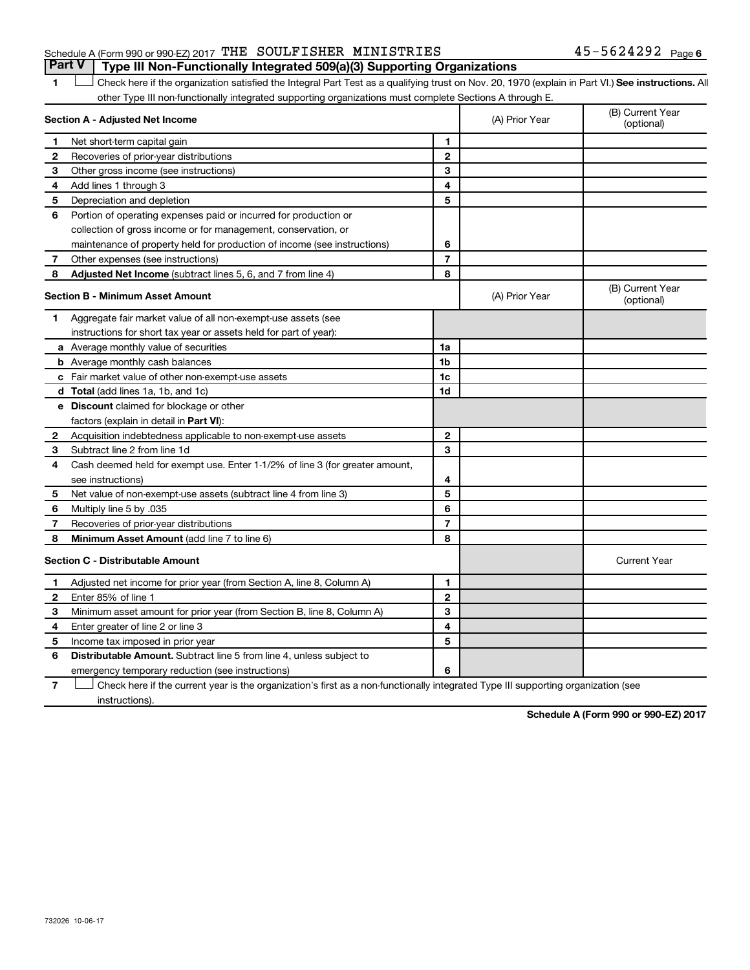### Schedule A (Form 990 or 990-EZ) 2017  $\, {\rm THE} \,$  <code>SOULFISHER MINISTRIES</code>  $\, 45-5624292 \,$  <code>Page</code> **Part V Type III Non-Functionally Integrated 509(a)(3) Supporting Organizations**

1 **Letter See instructions.** All Check here if the organization satisfied the Integral Part Test as a qualifying trust on Nov. 20, 1970 (explain in Part VI.) See instructions. All other Type III non-functionally integrated supporting organizations must complete Sections A through E.

|                | Section A - Adjusted Net Income                                              |                | (A) Prior Year | (B) Current Year<br>(optional) |
|----------------|------------------------------------------------------------------------------|----------------|----------------|--------------------------------|
| 1              | Net short-term capital gain                                                  | 1              |                |                                |
| $\overline{2}$ | Recoveries of prior-year distributions                                       | $\overline{2}$ |                |                                |
| 3              | Other gross income (see instructions)                                        | 3              |                |                                |
| 4              | Add lines 1 through 3                                                        | 4              |                |                                |
| 5              | Depreciation and depletion                                                   | 5              |                |                                |
| 6              | Portion of operating expenses paid or incurred for production or             |                |                |                                |
|                | collection of gross income or for management, conservation, or               |                |                |                                |
|                | maintenance of property held for production of income (see instructions)     | 6              |                |                                |
| 7              | Other expenses (see instructions)                                            | $\overline{7}$ |                |                                |
| 8              | Adjusted Net Income (subtract lines 5, 6, and 7 from line 4)                 | 8              |                |                                |
|                | <b>Section B - Minimum Asset Amount</b>                                      |                | (A) Prior Year | (B) Current Year<br>(optional) |
| 1              | Aggregate fair market value of all non-exempt-use assets (see                |                |                |                                |
|                | instructions for short tax year or assets held for part of year):            |                |                |                                |
|                | a Average monthly value of securities                                        | 1a             |                |                                |
|                | <b>b</b> Average monthly cash balances                                       | 1 <sub>b</sub> |                |                                |
|                | c Fair market value of other non-exempt-use assets                           | 1c             |                |                                |
|                | d Total (add lines 1a, 1b, and 1c)                                           | 1d             |                |                                |
|                | <b>e</b> Discount claimed for blockage or other                              |                |                |                                |
|                | factors (explain in detail in Part VI):                                      |                |                |                                |
| 2              | Acquisition indebtedness applicable to non-exempt-use assets                 | $\mathbf{2}$   |                |                                |
| З              | Subtract line 2 from line 1d                                                 | 3              |                |                                |
| 4              | Cash deemed held for exempt use. Enter 1-1/2% of line 3 (for greater amount, |                |                |                                |
|                | see instructions)                                                            | 4              |                |                                |
| 5              | Net value of non-exempt-use assets (subtract line 4 from line 3)             | 5              |                |                                |
| 6              | Multiply line 5 by .035                                                      | 6              |                |                                |
| 7              | Recoveries of prior-year distributions                                       | $\overline{7}$ |                |                                |
| 8              | Minimum Asset Amount (add line 7 to line 6)                                  | 8              |                |                                |
|                | <b>Section C - Distributable Amount</b>                                      |                |                | <b>Current Year</b>            |
| 1              | Adjusted net income for prior year (from Section A, line 8, Column A)        | 1              |                |                                |
| 2              | Enter 85% of line 1                                                          | $\mathbf{2}$   |                |                                |
| 3              | Minimum asset amount for prior year (from Section B, line 8, Column A)       | 3              |                |                                |
| 4              | Enter greater of line 2 or line 3                                            | 4              |                |                                |
| 5              | Income tax imposed in prior year                                             | 5              |                |                                |
| 6              | <b>Distributable Amount.</b> Subtract line 5 from line 4, unless subject to  |                |                |                                |
|                | emergency temporary reduction (see instructions)                             | 6              |                |                                |

**7** Let Check here if the current year is the organization's first as a non-functionally integrated Type III supporting organization (see instructions).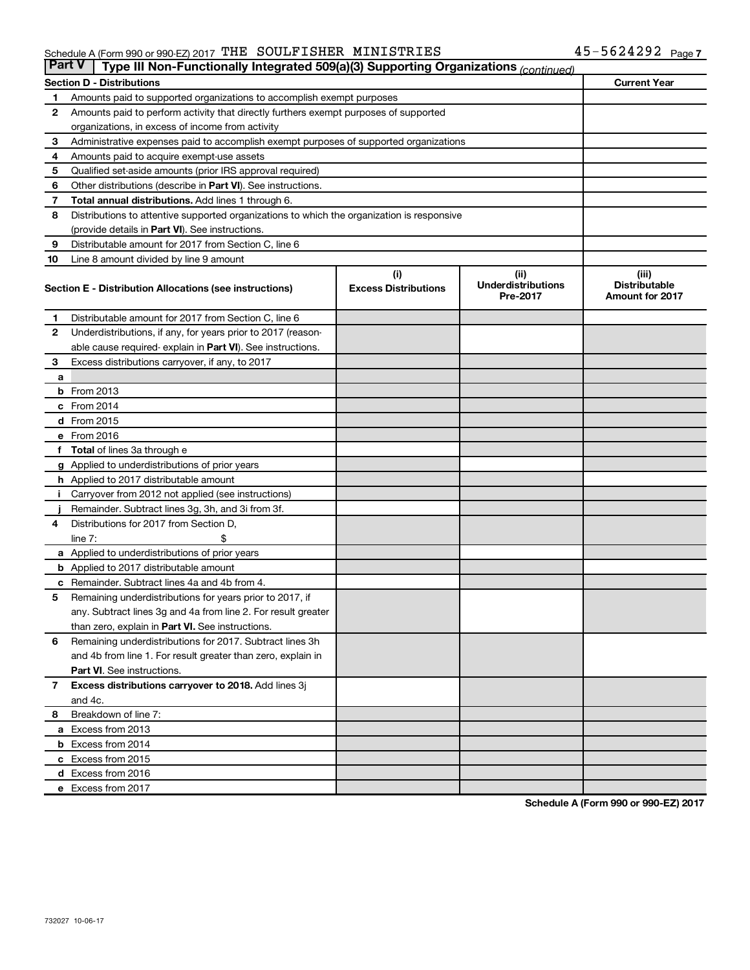#### Schedule A (Form 990 or 990-EZ) 2017 THE SOULFISHER MINISTRIES  $45-5624292$  Page THE SOULFISHER MINISTRIES 45-5624292

| <b>Part V</b>  | Type III Non-Functionally Integrated 509(a)(3) Supporting Organizations (continued)        |                             |                                       |                                                |
|----------------|--------------------------------------------------------------------------------------------|-----------------------------|---------------------------------------|------------------------------------------------|
|                | <b>Section D - Distributions</b>                                                           |                             |                                       | <b>Current Year</b>                            |
| 1              | Amounts paid to supported organizations to accomplish exempt purposes                      |                             |                                       |                                                |
| $\mathbf{2}$   | Amounts paid to perform activity that directly furthers exempt purposes of supported       |                             |                                       |                                                |
|                | organizations, in excess of income from activity                                           |                             |                                       |                                                |
| 3              | Administrative expenses paid to accomplish exempt purposes of supported organizations      |                             |                                       |                                                |
| 4              | Amounts paid to acquire exempt-use assets                                                  |                             |                                       |                                                |
| 5              | Qualified set-aside amounts (prior IRS approval required)                                  |                             |                                       |                                                |
| 6              | Other distributions (describe in <b>Part VI</b> ). See instructions.                       |                             |                                       |                                                |
| 7              | <b>Total annual distributions.</b> Add lines 1 through 6.                                  |                             |                                       |                                                |
| 8              | Distributions to attentive supported organizations to which the organization is responsive |                             |                                       |                                                |
|                | (provide details in Part VI). See instructions.                                            |                             |                                       |                                                |
| 9              | Distributable amount for 2017 from Section C, line 6                                       |                             |                                       |                                                |
| 10             | Line 8 amount divided by line 9 amount                                                     |                             |                                       |                                                |
|                |                                                                                            | (i)                         | (ii)                                  | (iii)                                          |
|                | Section E - Distribution Allocations (see instructions)                                    | <b>Excess Distributions</b> | <b>Underdistributions</b><br>Pre-2017 | <b>Distributable</b><br><b>Amount for 2017</b> |
| 1              | Distributable amount for 2017 from Section C, line 6                                       |                             |                                       |                                                |
| $\mathbf{2}$   | Underdistributions, if any, for years prior to 2017 (reason-                               |                             |                                       |                                                |
|                | able cause required- explain in Part VI). See instructions.                                |                             |                                       |                                                |
| 3              | Excess distributions carryover, if any, to 2017                                            |                             |                                       |                                                |
| a              |                                                                                            |                             |                                       |                                                |
|                | <b>b</b> From 2013                                                                         |                             |                                       |                                                |
|                | c From 2014                                                                                |                             |                                       |                                                |
|                | d From 2015                                                                                |                             |                                       |                                                |
|                | e From 2016                                                                                |                             |                                       |                                                |
|                | f Total of lines 3a through e                                                              |                             |                                       |                                                |
|                | <b>g</b> Applied to underdistributions of prior years                                      |                             |                                       |                                                |
|                | h Applied to 2017 distributable amount                                                     |                             |                                       |                                                |
| Ť.             | Carryover from 2012 not applied (see instructions)                                         |                             |                                       |                                                |
|                | Remainder. Subtract lines 3g, 3h, and 3i from 3f.                                          |                             |                                       |                                                |
| 4              | Distributions for 2017 from Section D,                                                     |                             |                                       |                                                |
|                | line $7:$                                                                                  |                             |                                       |                                                |
|                | a Applied to underdistributions of prior years                                             |                             |                                       |                                                |
|                | <b>b</b> Applied to 2017 distributable amount                                              |                             |                                       |                                                |
| с              | Remainder. Subtract lines 4a and 4b from 4.                                                |                             |                                       |                                                |
| 5              | Remaining underdistributions for years prior to 2017, if                                   |                             |                                       |                                                |
|                | any. Subtract lines 3g and 4a from line 2. For result greater                              |                             |                                       |                                                |
|                | than zero, explain in Part VI. See instructions.                                           |                             |                                       |                                                |
| 6              | Remaining underdistributions for 2017. Subtract lines 3h                                   |                             |                                       |                                                |
|                | and 4b from line 1. For result greater than zero, explain in                               |                             |                                       |                                                |
|                | <b>Part VI.</b> See instructions.                                                          |                             |                                       |                                                |
| $\overline{7}$ | Excess distributions carryover to 2018. Add lines 3j                                       |                             |                                       |                                                |
|                | and 4c.                                                                                    |                             |                                       |                                                |
| 8              | Breakdown of line 7:                                                                       |                             |                                       |                                                |
|                | a Excess from 2013                                                                         |                             |                                       |                                                |
|                | <b>b</b> Excess from 2014                                                                  |                             |                                       |                                                |
|                | c Excess from 2015                                                                         |                             |                                       |                                                |
|                | d Excess from 2016                                                                         |                             |                                       |                                                |
|                | e Excess from 2017                                                                         |                             |                                       |                                                |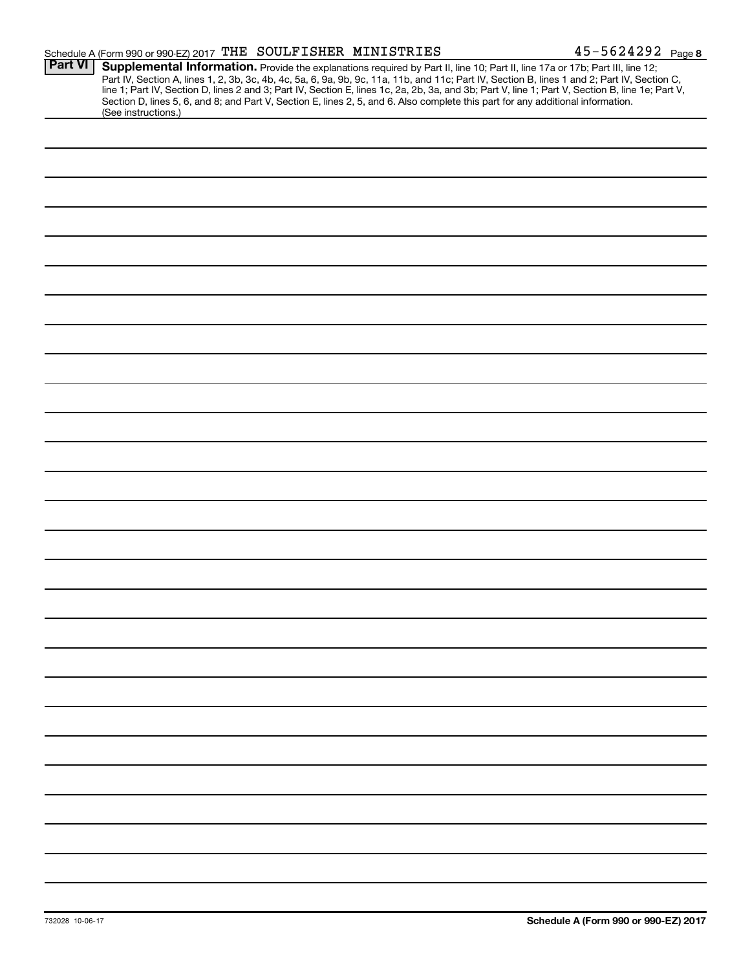|                | Schedule A (Form 990 or 990-EZ) 2017 THE SOULFISHER MINISTRIES                                                                                                                                                                                                                                                                                                                                                                                                                                                                                                       | 45-5624292 Page 8 |
|----------------|----------------------------------------------------------------------------------------------------------------------------------------------------------------------------------------------------------------------------------------------------------------------------------------------------------------------------------------------------------------------------------------------------------------------------------------------------------------------------------------------------------------------------------------------------------------------|-------------------|
| <b>Part VI</b> | Supplemental Information. Provide the explanations required by Part II, line 10; Part II, line 17a or 17b; Part III, line 12;<br>Part IV, Section A, lines 1, 2, 3b, 3c, 4b, 4c, 5a, 6, 9a, 9b, 9c, 11a, 11b, and 11c; Part IV, Section B, lines 1 and 2; Part IV, Section C,<br>line 1; Part IV, Section D, lines 2 and 3; Part IV, Section E, lines 1c, 2a, 2b, 3a, and 3b; Part V, line 1; Part V, Section B, line 1e; Part V,<br>Section D, lines 5, 6, and 8; and Part V, Section E, lines 2, 5, and 6. Also complete this part for any additional information. |                   |
|                | (See instructions.)                                                                                                                                                                                                                                                                                                                                                                                                                                                                                                                                                  |                   |
|                |                                                                                                                                                                                                                                                                                                                                                                                                                                                                                                                                                                      |                   |
|                |                                                                                                                                                                                                                                                                                                                                                                                                                                                                                                                                                                      |                   |
|                |                                                                                                                                                                                                                                                                                                                                                                                                                                                                                                                                                                      |                   |
|                |                                                                                                                                                                                                                                                                                                                                                                                                                                                                                                                                                                      |                   |
|                |                                                                                                                                                                                                                                                                                                                                                                                                                                                                                                                                                                      |                   |
|                |                                                                                                                                                                                                                                                                                                                                                                                                                                                                                                                                                                      |                   |
|                |                                                                                                                                                                                                                                                                                                                                                                                                                                                                                                                                                                      |                   |
|                |                                                                                                                                                                                                                                                                                                                                                                                                                                                                                                                                                                      |                   |
|                |                                                                                                                                                                                                                                                                                                                                                                                                                                                                                                                                                                      |                   |
|                |                                                                                                                                                                                                                                                                                                                                                                                                                                                                                                                                                                      |                   |
|                |                                                                                                                                                                                                                                                                                                                                                                                                                                                                                                                                                                      |                   |
|                |                                                                                                                                                                                                                                                                                                                                                                                                                                                                                                                                                                      |                   |
|                |                                                                                                                                                                                                                                                                                                                                                                                                                                                                                                                                                                      |                   |
|                |                                                                                                                                                                                                                                                                                                                                                                                                                                                                                                                                                                      |                   |
|                |                                                                                                                                                                                                                                                                                                                                                                                                                                                                                                                                                                      |                   |
|                |                                                                                                                                                                                                                                                                                                                                                                                                                                                                                                                                                                      |                   |
|                |                                                                                                                                                                                                                                                                                                                                                                                                                                                                                                                                                                      |                   |
|                |                                                                                                                                                                                                                                                                                                                                                                                                                                                                                                                                                                      |                   |
|                |                                                                                                                                                                                                                                                                                                                                                                                                                                                                                                                                                                      |                   |
|                |                                                                                                                                                                                                                                                                                                                                                                                                                                                                                                                                                                      |                   |
|                |                                                                                                                                                                                                                                                                                                                                                                                                                                                                                                                                                                      |                   |
|                |                                                                                                                                                                                                                                                                                                                                                                                                                                                                                                                                                                      |                   |
|                |                                                                                                                                                                                                                                                                                                                                                                                                                                                                                                                                                                      |                   |
|                |                                                                                                                                                                                                                                                                                                                                                                                                                                                                                                                                                                      |                   |
|                |                                                                                                                                                                                                                                                                                                                                                                                                                                                                                                                                                                      |                   |
|                |                                                                                                                                                                                                                                                                                                                                                                                                                                                                                                                                                                      |                   |
|                |                                                                                                                                                                                                                                                                                                                                                                                                                                                                                                                                                                      |                   |
|                |                                                                                                                                                                                                                                                                                                                                                                                                                                                                                                                                                                      |                   |
|                |                                                                                                                                                                                                                                                                                                                                                                                                                                                                                                                                                                      |                   |
|                |                                                                                                                                                                                                                                                                                                                                                                                                                                                                                                                                                                      |                   |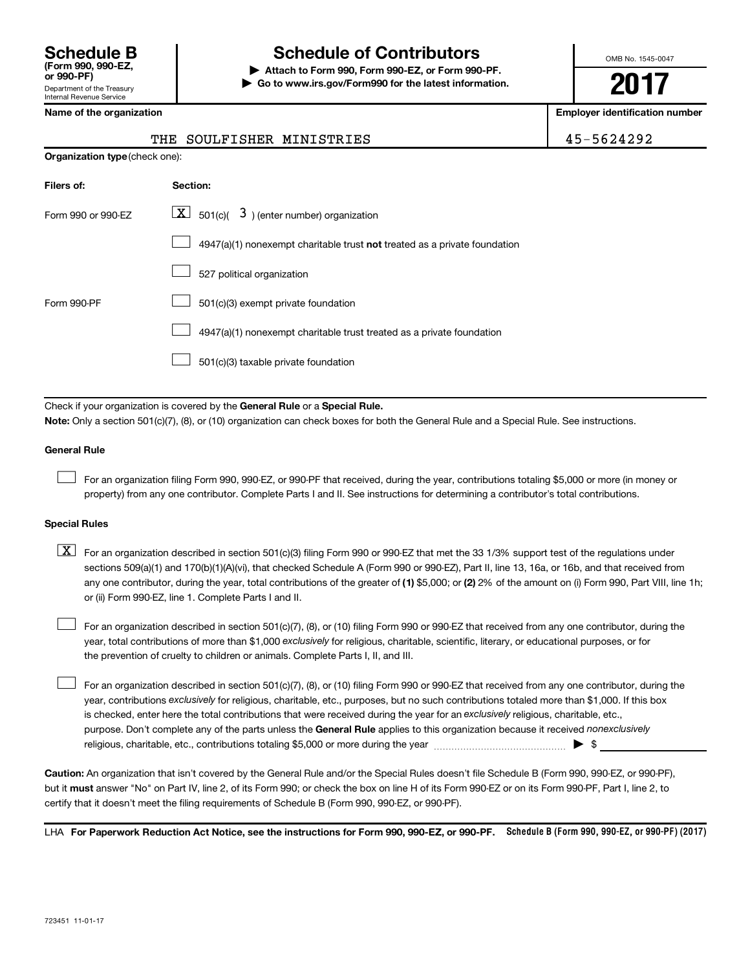## **Schedule B Schedule of Contributors**

**or 990-PF) | Attach to Form 990, Form 990-EZ, or Form 990-PF. | Go to www.irs.gov/Form990 for the latest information.** OMB No. 1545-0047

**2017**

**Name of the organization Employer identification number**

THE SOULFISHER MINISTRIES **1998 1998 1998 1998 1998 1998** 

|                    | <b>Organization type (check one):</b>                                     |  |  |  |  |
|--------------------|---------------------------------------------------------------------------|--|--|--|--|
| Filers of:         | Section:                                                                  |  |  |  |  |
| Form 990 or 990-FZ | $\lfloor \mathbf{X} \rfloor$ 501(c)( 3) (enter number) organization       |  |  |  |  |
|                    | 4947(a)(1) nonexempt charitable trust not treated as a private foundation |  |  |  |  |
|                    | 527 political organization                                                |  |  |  |  |
| Form 990-PF        | 501(c)(3) exempt private foundation                                       |  |  |  |  |

4947(a)(1) nonexempt charitable trust treated as a private foundation  $\Box$ 

501(c)(3) taxable private foundation  $\Box$ 

Check if your organization is covered by the General Rule or a Special Rule.

**Note:**  Only a section 501(c)(7), (8), or (10) organization can check boxes for both the General Rule and a Special Rule. See instructions.

### **General Rule**

 $\Box$ 

For an organization filing Form 990, 990-EZ, or 990-PF that received, during the year, contributions totaling \$5,000 or more (in money or property) from any one contributor. Complete Parts I and II. See instructions for determining a contributor's total contributions.

#### **Special Rules**

any one contributor, during the year, total contributions of the greater of (1) \$5,000; or (2) 2% of the amount on (i) Form 990, Part VIII, line 1h;  $\boxed{\text{X}}$  For an organization described in section 501(c)(3) filing Form 990 or 990-EZ that met the 33 1/3% support test of the regulations under sections 509(a)(1) and 170(b)(1)(A)(vi), that checked Schedule A (Form 990 or 990-EZ), Part II, line 13, 16a, or 16b, and that received from or (ii) Form 990-EZ, line 1. Complete Parts I and II.

year, total contributions of more than \$1,000 *exclusively* for religious, charitable, scientific, literary, or educational purposes, or for For an organization described in section 501(c)(7), (8), or (10) filing Form 990 or 990-EZ that received from any one contributor, during the the prevention of cruelty to children or animals. Complete Parts I, II, and III.  $\Box$ 

purpose. Don't complete any of the parts unless the General Rule applies to this organization because it received nonexclusively year, contributions exclusively for religious, charitable, etc., purposes, but no such contributions totaled more than \$1,000. If this box is checked, enter here the total contributions that were received during the year for an exclusively religious, charitable, etc., For an organization described in section 501(c)(7), (8), or (10) filing Form 990 or 990-EZ that received from any one contributor, during the religious, charitable, etc., contributions totaling \$5,000 or more during the year  $\ldots$  $\ldots$  $\ldots$  $\ldots$  $\ldots$  $\ldots$  $\Box$ 

**Caution:**  An organization that isn't covered by the General Rule and/or the Special Rules doesn't file Schedule B (Form 990, 990-EZ, or 990-PF),  **must** but it answer "No" on Part IV, line 2, of its Form 990; or check the box on line H of its Form 990-EZ or on its Form 990-PF, Part I, line 2, to certify that it doesn't meet the filing requirements of Schedule B (Form 990, 990-EZ, or 990-PF).

LHA For Paperwork Reduction Act Notice, see the instructions for Form 990, 990-EZ, or 990-PF. Schedule B (Form 990, 990-EZ, or 990-PF) (2017)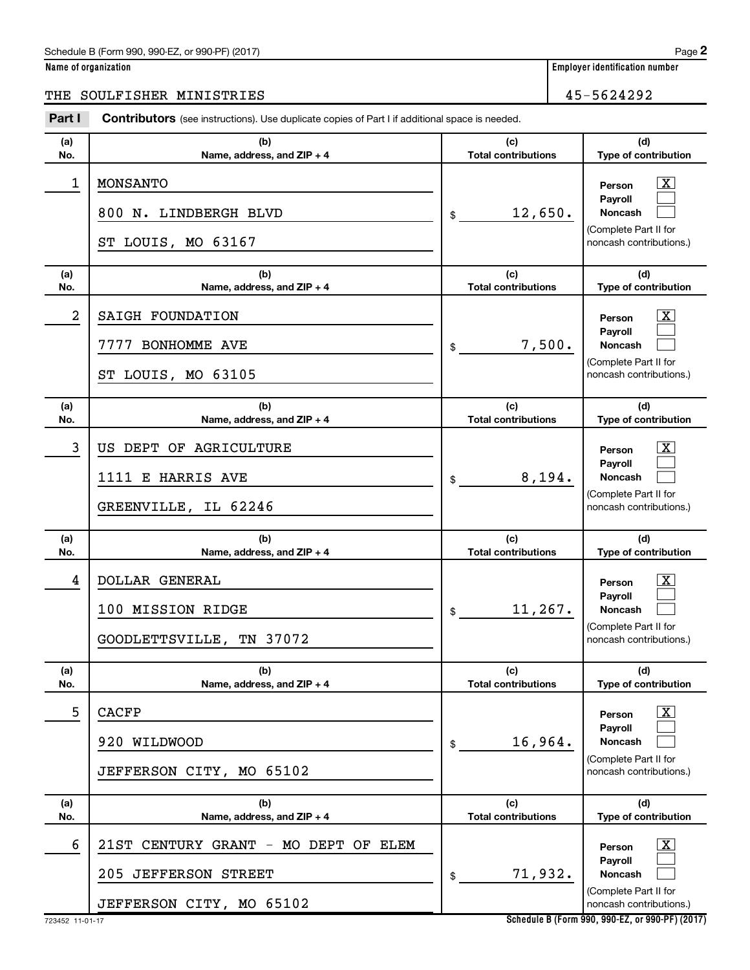### Schedule B (Form 990, 990-EZ, or 990-PF) (2017)

| Name of organization |  |  |
|----------------------|--|--|

**Employer identification number** 

### THE SOULFISHER MINISTRIES 45-5624292

| Part I     | <b>Contributors</b> (see instructions). Use duplicate copies of Part I if additional space is needed.                                        |                                   |                                                                                                               |  |  |
|------------|----------------------------------------------------------------------------------------------------------------------------------------------|-----------------------------------|---------------------------------------------------------------------------------------------------------------|--|--|
| (a)<br>No. | (b)<br>Name, address, and ZIP + 4                                                                                                            | (c)<br><b>Total contributions</b> | (d)<br>Type of contribution                                                                                   |  |  |
| 1          | MONSANTO<br>800 N. LINDBERGH BLVD<br>ST LOUIS, MO 63167                                                                                      | 12,650.<br>\$                     | $\mathbf{X}$<br>Person<br>Payroll<br>Noncash<br>(Complete Part II for<br>noncash contributions.)              |  |  |
| (a)<br>No. | (b)<br>Name, address, and ZIP + 4                                                                                                            | (c)<br><b>Total contributions</b> | (d)<br>Type of contribution                                                                                   |  |  |
| 2          | SAIGH FOUNDATION<br><b>BONHOMME AVE</b><br>7777<br>ST LOUIS, MO 63105                                                                        | 7,500.<br>$\frac{1}{2}$           | $\mathbf{X}$<br>Person<br>Payroll<br>Noncash<br>(Complete Part II for<br>noncash contributions.)              |  |  |
| (a)<br>No. | (b)<br>Name, address, and ZIP + 4                                                                                                            | (c)<br><b>Total contributions</b> | (d)<br>Type of contribution                                                                                   |  |  |
| 3          | US DEPT OF AGRICULTURE<br>1111 E HARRIS AVE<br>GREENVILLE, IL 62246                                                                          | 8,194.<br>\$                      | $\mathbf{X}$<br>Person<br>Payroll<br>Noncash<br>(Complete Part II for<br>noncash contributions.)              |  |  |
| (a)<br>No. | (b)<br>Name, address, and ZIP + 4                                                                                                            | (c)<br><b>Total contributions</b> | (d)<br>Type of contribution                                                                                   |  |  |
| 4          | <b>DOLLAR GENERAL</b><br>100 MISSION RIDGE<br>GOODLETTSVILLE, TN 37072                                                                       | 11,267.<br>\$                     | $\mathbf{X}$<br>Person<br>Payroll<br>Noncash<br>(Complete Part II for<br>noncash contributions.)              |  |  |
| (a)<br>No. | (b)<br>Name, address, and ZIP + 4                                                                                                            | (c)<br><b>Total contributions</b> | (d)<br>Type of contribution                                                                                   |  |  |
| 5          | <b>CACFP</b><br>WILDWOOD<br>920<br>JEFFERSON CITY, MO 65102                                                                                  | 16,964.<br>\$                     | $\boxed{\text{X}}$<br>Person<br>Payroll<br><b>Noncash</b><br>(Complete Part II for<br>noncash contributions.) |  |  |
| (a)<br>No. | (b)<br>Name, address, and ZIP + 4                                                                                                            | (c)<br><b>Total contributions</b> | (d)<br>Type of contribution                                                                                   |  |  |
| 6          | 21ST<br>CENTURY GRANT<br>MO DEPT<br>OF ELEM<br>$\hspace{0.1mm}-\hspace{0.1mm}$<br>205<br><b>JEFFERSON STREET</b><br>JEFFERSON CITY, MO 65102 | 71,932.<br>\$                     | $\boxed{\text{X}}$<br>Person<br>Payroll<br>Noncash<br>(Complete Part II for<br>noncash contributions.)        |  |  |

**Schedule B (Form 990, 990-EZ, or 990-PF) (2017)**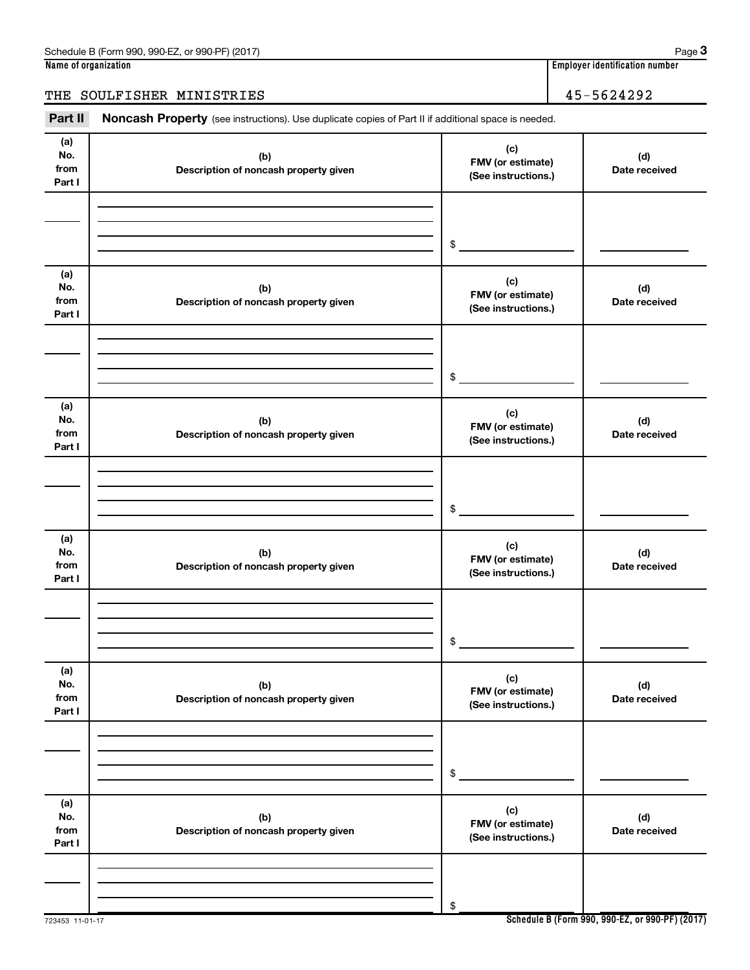THE SOULFISHER MINISTRIES 45-5624292

Part II Noncash Property (see instructions). Use duplicate copies of Part II if additional space is needed.

| (a)<br>No.<br>from<br>Part I | (b)<br>Description of noncash property given | (c)<br>FMV (or estimate)<br>(See instructions.)             | (d)<br>Date received |
|------------------------------|----------------------------------------------|-------------------------------------------------------------|----------------------|
|                              |                                              |                                                             |                      |
|                              |                                              | $\qquad \qquad \bullet$                                     |                      |
| (a)<br>No.<br>from<br>Part I | (b)<br>Description of noncash property given | (c)<br>FMV (or estimate)<br>(See instructions.)             | (d)<br>Date received |
|                              |                                              | $\begin{array}{c}\n\circ \\ \bullet \\ \hline\n\end{array}$ |                      |
| (a)<br>No.<br>from<br>Part I | (b)<br>Description of noncash property given | (c)<br>FMV (or estimate)<br>(See instructions.)             | (d)<br>Date received |
|                              |                                              | $\frac{1}{2}$                                               |                      |
| (a)<br>No.<br>from<br>Part I | (b)<br>Description of noncash property given | (c)<br>FMV (or estimate)<br>(See instructions.)             | (d)<br>Date received |
|                              |                                              | $\frac{1}{2}$                                               |                      |
| (a)<br>No.<br>from<br>Part I | (b)<br>Description of noncash property given | (c)<br>FMV (or estimate)<br>(See instructions.)             | (d)<br>Date received |
|                              |                                              | \$                                                          |                      |
| (a)<br>No.<br>from<br>Part I | (b)<br>Description of noncash property given | (c)<br>FMV (or estimate)<br>(See instructions.)             | (d)<br>Date received |
|                              |                                              | \$                                                          |                      |

**Schedule B (Form 990, 990-EZ, or 990-PF) (2017)**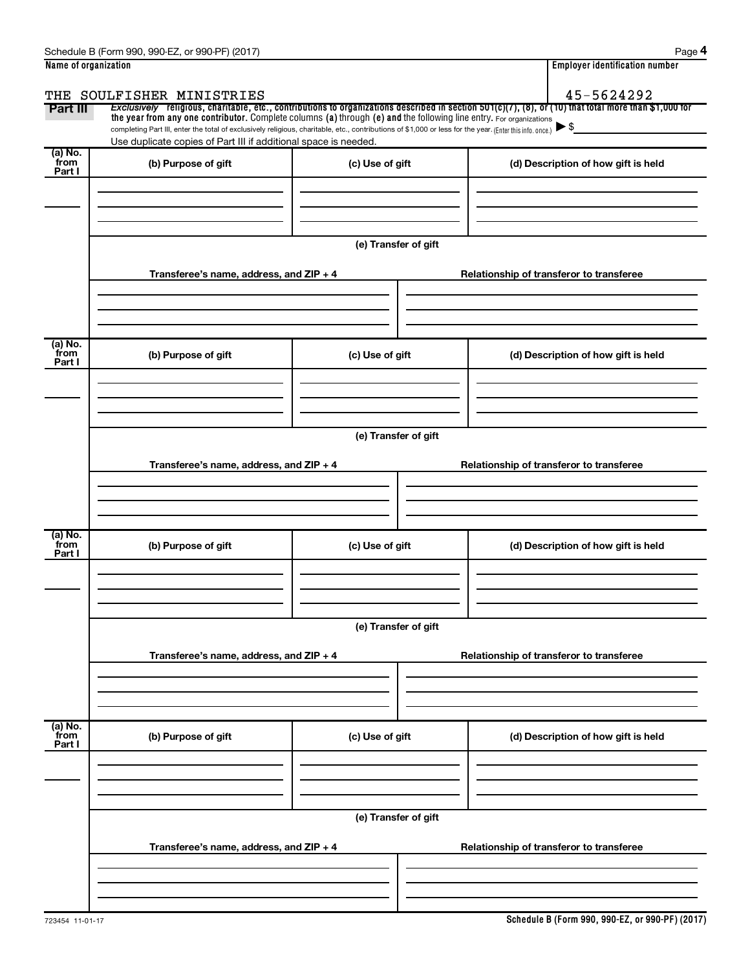| THE SOULFISHER MINISTRIES<br>Exclusively religious, charitable, etc., contributions to organizations described in section 501(c)(7), (8), or (10) that total more than \$1,000 for<br>Part III<br>the year from any one contributor. Complete columns (a) through (e) and the following line entry. For organizations<br>completing Part III, enter the total of exclusively religious, charitable, etc., contributions of \$1,000 or less for the year. (Enter this info. once.)<br>Use duplicate copies of Part III if additional space is needed.<br>(a) No.<br>from<br>(b) Purpose of gift<br>(c) Use of gift<br>(d) Description of how gift is held<br>Part I | 45-5624292 |  |  |  |  |  |  |
|--------------------------------------------------------------------------------------------------------------------------------------------------------------------------------------------------------------------------------------------------------------------------------------------------------------------------------------------------------------------------------------------------------------------------------------------------------------------------------------------------------------------------------------------------------------------------------------------------------------------------------------------------------------------|------------|--|--|--|--|--|--|
|                                                                                                                                                                                                                                                                                                                                                                                                                                                                                                                                                                                                                                                                    |            |  |  |  |  |  |  |
|                                                                                                                                                                                                                                                                                                                                                                                                                                                                                                                                                                                                                                                                    |            |  |  |  |  |  |  |
|                                                                                                                                                                                                                                                                                                                                                                                                                                                                                                                                                                                                                                                                    |            |  |  |  |  |  |  |
|                                                                                                                                                                                                                                                                                                                                                                                                                                                                                                                                                                                                                                                                    |            |  |  |  |  |  |  |
| (e) Transfer of gift<br>Transferee's name, address, and ZIP + 4<br>Relationship of transferor to transferee                                                                                                                                                                                                                                                                                                                                                                                                                                                                                                                                                        |            |  |  |  |  |  |  |
| (a) No.<br>from<br>(c) Use of gift<br>(b) Purpose of gift<br>(d) Description of how gift is held                                                                                                                                                                                                                                                                                                                                                                                                                                                                                                                                                                   |            |  |  |  |  |  |  |
| Part I                                                                                                                                                                                                                                                                                                                                                                                                                                                                                                                                                                                                                                                             |            |  |  |  |  |  |  |
| (e) Transfer of gift                                                                                                                                                                                                                                                                                                                                                                                                                                                                                                                                                                                                                                               |            |  |  |  |  |  |  |
| Transferee's name, address, and ZIP + 4<br>Relationship of transferor to transferee                                                                                                                                                                                                                                                                                                                                                                                                                                                                                                                                                                                |            |  |  |  |  |  |  |
| (a) No.                                                                                                                                                                                                                                                                                                                                                                                                                                                                                                                                                                                                                                                            |            |  |  |  |  |  |  |
| from<br>(b) Purpose of gift<br>(c) Use of gift<br>(d) Description of how gift is held<br>Part I                                                                                                                                                                                                                                                                                                                                                                                                                                                                                                                                                                    |            |  |  |  |  |  |  |
|                                                                                                                                                                                                                                                                                                                                                                                                                                                                                                                                                                                                                                                                    |            |  |  |  |  |  |  |
| (e) Transfer of gift                                                                                                                                                                                                                                                                                                                                                                                                                                                                                                                                                                                                                                               |            |  |  |  |  |  |  |
| Transferee's name, address, and ZIP + 4<br>Relationship of transferor to transferee                                                                                                                                                                                                                                                                                                                                                                                                                                                                                                                                                                                |            |  |  |  |  |  |  |
| (a) No.<br>from<br>(b) Purpose of gift<br>(c) Use of gift<br>(d) Description of how gift is held<br>Part I                                                                                                                                                                                                                                                                                                                                                                                                                                                                                                                                                         |            |  |  |  |  |  |  |
|                                                                                                                                                                                                                                                                                                                                                                                                                                                                                                                                                                                                                                                                    |            |  |  |  |  |  |  |
| (e) Transfer of gift                                                                                                                                                                                                                                                                                                                                                                                                                                                                                                                                                                                                                                               |            |  |  |  |  |  |  |
| Transferee's name, address, and ZIP + 4<br>Relationship of transferor to transferee                                                                                                                                                                                                                                                                                                                                                                                                                                                                                                                                                                                |            |  |  |  |  |  |  |
|                                                                                                                                                                                                                                                                                                                                                                                                                                                                                                                                                                                                                                                                    |            |  |  |  |  |  |  |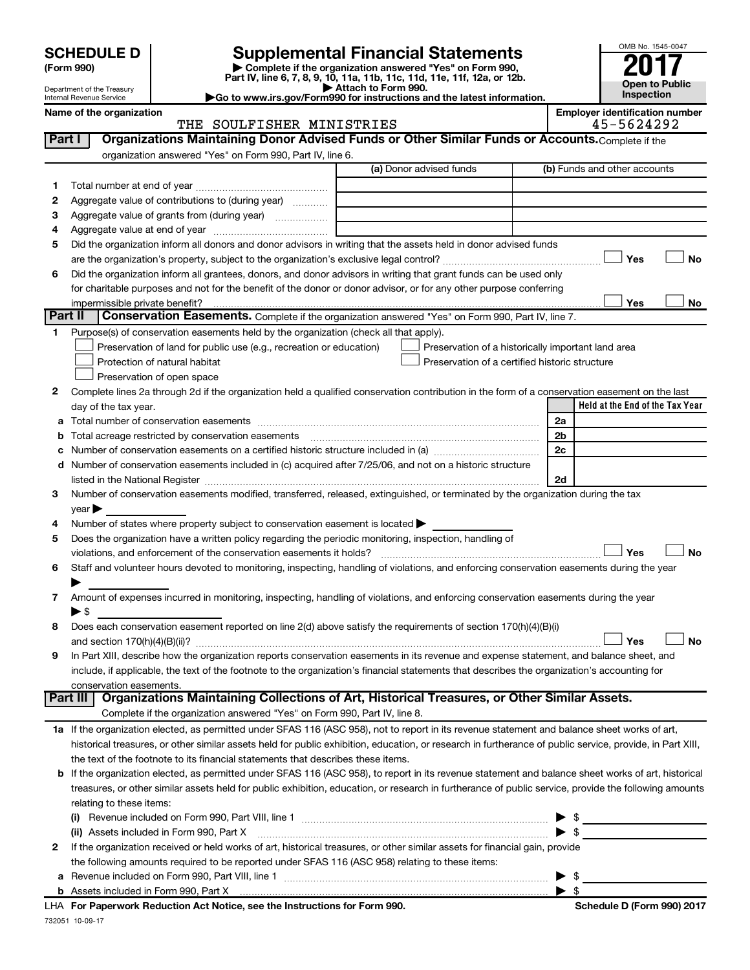$\overline{\phantom{a}}$ 

# **SCHEDULE D Supplemental Financial Statements**<br> **Form 990 2017**<br> **Part IV** line 6.7.8.9.10, 11a, 11b, 11d, 11d, 11d, 11d, 11d, 12a, 0r, 12b

**(Form 990) | Complete if the organization answered "Yes" on Form 990, Part IV, line 6, 7, 8, 9, 10, 11a, 11b, 11c, 11d, 11e, 11f, 12a, or 12b.**

**| Attach to Form 990. |Go to www.irs.gov/Form990 for instructions and the latest information.**



| Name of the organizati     |  |
|----------------------------|--|
| Internal Revenue Service   |  |
| Department of the Treasury |  |

### ion<br>THE SOULFISHER MINISTRIES **Armstralian in the organization of the organization of the organization of the organ** THE SOULFISHER MINISTRIES

| organization answered "Yes" on Form 990, Part IV, line 6.<br>(a) Donor advised funds<br>(b) Funds and other accounts<br>1<br>Aggregate value of contributions to (during year)<br>2<br>Aggregate value of grants from (during year)<br>З<br>4<br>Did the organization inform all donors and donor advisors in writing that the assets held in donor advised funds<br>5<br>Yes<br>No<br>Did the organization inform all grantees, donors, and donor advisors in writing that grant funds can be used only<br>6<br>for charitable purposes and not for the benefit of the donor or donor advisor, or for any other purpose conferring<br>Yes<br>No<br>Part II<br>Conservation Easements. Complete if the organization answered "Yes" on Form 990, Part IV, line 7.<br>1<br>Purpose(s) of conservation easements held by the organization (check all that apply).<br>Preservation of land for public use (e.g., recreation or education)<br>Preservation of a historically important land area<br>Protection of natural habitat<br>Preservation of a certified historic structure<br>Preservation of open space<br>2<br>Complete lines 2a through 2d if the organization held a qualified conservation contribution in the form of a conservation easement on the last<br>Held at the End of the Tax Year<br>day of the tax year.<br>2a<br>а<br>2b<br>2c<br>Number of conservation easements included in (c) acquired after 7/25/06, and not on a historic structure<br>d<br>2d<br>listed in the National Register [11, 1200] and the National Register [11, 1200] and the National Register [11, 1200] and the National Register [11, 1200] and the National Register [11, 1200] and the National Register [11,<br>Number of conservation easements modified, transferred, released, extinguished, or terminated by the organization during the tax<br>3<br>year<br>Number of states where property subject to conservation easement is located ><br>4<br>Does the organization have a written policy regarding the periodic monitoring, inspection, handling of<br>5<br>Yes<br>violations, and enforcement of the conservation easements it holds?<br>No<br>Staff and volunteer hours devoted to monitoring, inspecting, handling of violations, and enforcing conservation easements during the year<br>6<br>Amount of expenses incurred in monitoring, inspecting, handling of violations, and enforcing conservation easements during the year<br>7<br>► \$<br>Does each conservation easement reported on line 2(d) above satisfy the requirements of section 170(h)(4)(B)(i)<br>8<br><b>No</b><br><b>Yes</b><br>In Part XIII, describe how the organization reports conservation easements in its revenue and expense statement, and balance sheet, and<br>9<br>include, if applicable, the text of the footnote to the organization's financial statements that describes the organization's accounting for<br>conservation easements.<br>Organizations Maintaining Collections of Art, Historical Treasures, or Other Similar Assets.<br>Part III<br>Complete if the organization answered "Yes" on Form 990, Part IV, line 8.<br>1a If the organization elected, as permitted under SFAS 116 (ASC 958), not to report in its revenue statement and balance sheet works of art,<br>historical treasures, or other similar assets held for public exhibition, education, or research in furtherance of public service, provide, in Part XIII,<br>the text of the footnote to its financial statements that describes these items.<br><b>b</b> If the organization elected, as permitted under SFAS 116 (ASC 958), to report in its revenue statement and balance sheet works of art, historical<br>treasures, or other similar assets held for public exhibition, education, or research in furtherance of public service, provide the following amounts<br>relating to these items:<br>$\frac{1}{2}$ $\frac{1}{2}$ $\frac{1}{2}$ $\frac{1}{2}$ $\frac{1}{2}$ $\frac{1}{2}$ $\frac{1}{2}$ $\frac{1}{2}$ $\frac{1}{2}$ $\frac{1}{2}$ $\frac{1}{2}$ $\frac{1}{2}$ $\frac{1}{2}$ $\frac{1}{2}$ $\frac{1}{2}$ $\frac{1}{2}$ $\frac{1}{2}$ $\frac{1}{2}$ $\frac{1}{2}$ $\frac{1}{2}$ $\frac{1}{2}$ $\frac{1}{2}$<br>$\triangleright$ \$<br>(ii) Assets included in Form 990, Part X<br>If the organization received or held works of art, historical treasures, or other similar assets for financial gain, provide<br>2<br>the following amounts required to be reported under SFAS 116 (ASC 958) relating to these items:<br>-\$ | Part I | Organizations Maintaining Donor Advised Funds or Other Similar Funds or Accounts. Complete if the |  |
|------------------------------------------------------------------------------------------------------------------------------------------------------------------------------------------------------------------------------------------------------------------------------------------------------------------------------------------------------------------------------------------------------------------------------------------------------------------------------------------------------------------------------------------------------------------------------------------------------------------------------------------------------------------------------------------------------------------------------------------------------------------------------------------------------------------------------------------------------------------------------------------------------------------------------------------------------------------------------------------------------------------------------------------------------------------------------------------------------------------------------------------------------------------------------------------------------------------------------------------------------------------------------------------------------------------------------------------------------------------------------------------------------------------------------------------------------------------------------------------------------------------------------------------------------------------------------------------------------------------------------------------------------------------------------------------------------------------------------------------------------------------------------------------------------------------------------------------------------------------------------------------------------------------------------------------------------------------------------------------------------------------------------------------------------------------------------------------------------------------------------------------------------------------------------------------------------------------------------------------------------------------------------------------------------------------------------------------------------------------------------------------------------------------------------------------------------------------------------------------------------------------------------------------------------------------------------------------------------------------------------------------------------------------------------------------------------------------------------------------------------------------------------------------------------------------------------------------------------------------------------------------------------------------------------------------------------------------------------------------------------------------------------------------------------------------------------------------------------------------------------------------------------------------------------------------------------------------------------------------------------------------------------------------------------------------------------------------------------------------------------------------------------------------------------------------------------------------------------------------------------------------------------------------------------------------------------------------------------------------------------------------------------------------------------------------------------------------------------------------------------------------------------------------------------------------------------------------------------------------------------------------------------------------------------------------------------------------------------------------------------------------------------------------------------------------------------------------------------------------------------------------------------------------------------------------------------------------------------------------------------------------------------------------------------------------------------------------------------------------------------------------------------------------------------------------------------------------------------------------------------------------------------------|--------|---------------------------------------------------------------------------------------------------|--|
|                                                                                                                                                                                                                                                                                                                                                                                                                                                                                                                                                                                                                                                                                                                                                                                                                                                                                                                                                                                                                                                                                                                                                                                                                                                                                                                                                                                                                                                                                                                                                                                                                                                                                                                                                                                                                                                                                                                                                                                                                                                                                                                                                                                                                                                                                                                                                                                                                                                                                                                                                                                                                                                                                                                                                                                                                                                                                                                                                                                                                                                                                                                                                                                                                                                                                                                                                                                                                                                                                                                                                                                                                                                                                                                                                                                                                                                                                                                                                                                                                                                                                                                                                                                                                                                                                                                                                                                                                                                                                                                                    |        |                                                                                                   |  |
|                                                                                                                                                                                                                                                                                                                                                                                                                                                                                                                                                                                                                                                                                                                                                                                                                                                                                                                                                                                                                                                                                                                                                                                                                                                                                                                                                                                                                                                                                                                                                                                                                                                                                                                                                                                                                                                                                                                                                                                                                                                                                                                                                                                                                                                                                                                                                                                                                                                                                                                                                                                                                                                                                                                                                                                                                                                                                                                                                                                                                                                                                                                                                                                                                                                                                                                                                                                                                                                                                                                                                                                                                                                                                                                                                                                                                                                                                                                                                                                                                                                                                                                                                                                                                                                                                                                                                                                                                                                                                                                                    |        |                                                                                                   |  |
|                                                                                                                                                                                                                                                                                                                                                                                                                                                                                                                                                                                                                                                                                                                                                                                                                                                                                                                                                                                                                                                                                                                                                                                                                                                                                                                                                                                                                                                                                                                                                                                                                                                                                                                                                                                                                                                                                                                                                                                                                                                                                                                                                                                                                                                                                                                                                                                                                                                                                                                                                                                                                                                                                                                                                                                                                                                                                                                                                                                                                                                                                                                                                                                                                                                                                                                                                                                                                                                                                                                                                                                                                                                                                                                                                                                                                                                                                                                                                                                                                                                                                                                                                                                                                                                                                                                                                                                                                                                                                                                                    |        |                                                                                                   |  |
|                                                                                                                                                                                                                                                                                                                                                                                                                                                                                                                                                                                                                                                                                                                                                                                                                                                                                                                                                                                                                                                                                                                                                                                                                                                                                                                                                                                                                                                                                                                                                                                                                                                                                                                                                                                                                                                                                                                                                                                                                                                                                                                                                                                                                                                                                                                                                                                                                                                                                                                                                                                                                                                                                                                                                                                                                                                                                                                                                                                                                                                                                                                                                                                                                                                                                                                                                                                                                                                                                                                                                                                                                                                                                                                                                                                                                                                                                                                                                                                                                                                                                                                                                                                                                                                                                                                                                                                                                                                                                                                                    |        |                                                                                                   |  |
|                                                                                                                                                                                                                                                                                                                                                                                                                                                                                                                                                                                                                                                                                                                                                                                                                                                                                                                                                                                                                                                                                                                                                                                                                                                                                                                                                                                                                                                                                                                                                                                                                                                                                                                                                                                                                                                                                                                                                                                                                                                                                                                                                                                                                                                                                                                                                                                                                                                                                                                                                                                                                                                                                                                                                                                                                                                                                                                                                                                                                                                                                                                                                                                                                                                                                                                                                                                                                                                                                                                                                                                                                                                                                                                                                                                                                                                                                                                                                                                                                                                                                                                                                                                                                                                                                                                                                                                                                                                                                                                                    |        |                                                                                                   |  |
|                                                                                                                                                                                                                                                                                                                                                                                                                                                                                                                                                                                                                                                                                                                                                                                                                                                                                                                                                                                                                                                                                                                                                                                                                                                                                                                                                                                                                                                                                                                                                                                                                                                                                                                                                                                                                                                                                                                                                                                                                                                                                                                                                                                                                                                                                                                                                                                                                                                                                                                                                                                                                                                                                                                                                                                                                                                                                                                                                                                                                                                                                                                                                                                                                                                                                                                                                                                                                                                                                                                                                                                                                                                                                                                                                                                                                                                                                                                                                                                                                                                                                                                                                                                                                                                                                                                                                                                                                                                                                                                                    |        |                                                                                                   |  |
|                                                                                                                                                                                                                                                                                                                                                                                                                                                                                                                                                                                                                                                                                                                                                                                                                                                                                                                                                                                                                                                                                                                                                                                                                                                                                                                                                                                                                                                                                                                                                                                                                                                                                                                                                                                                                                                                                                                                                                                                                                                                                                                                                                                                                                                                                                                                                                                                                                                                                                                                                                                                                                                                                                                                                                                                                                                                                                                                                                                                                                                                                                                                                                                                                                                                                                                                                                                                                                                                                                                                                                                                                                                                                                                                                                                                                                                                                                                                                                                                                                                                                                                                                                                                                                                                                                                                                                                                                                                                                                                                    |        |                                                                                                   |  |
|                                                                                                                                                                                                                                                                                                                                                                                                                                                                                                                                                                                                                                                                                                                                                                                                                                                                                                                                                                                                                                                                                                                                                                                                                                                                                                                                                                                                                                                                                                                                                                                                                                                                                                                                                                                                                                                                                                                                                                                                                                                                                                                                                                                                                                                                                                                                                                                                                                                                                                                                                                                                                                                                                                                                                                                                                                                                                                                                                                                                                                                                                                                                                                                                                                                                                                                                                                                                                                                                                                                                                                                                                                                                                                                                                                                                                                                                                                                                                                                                                                                                                                                                                                                                                                                                                                                                                                                                                                                                                                                                    |        |                                                                                                   |  |
|                                                                                                                                                                                                                                                                                                                                                                                                                                                                                                                                                                                                                                                                                                                                                                                                                                                                                                                                                                                                                                                                                                                                                                                                                                                                                                                                                                                                                                                                                                                                                                                                                                                                                                                                                                                                                                                                                                                                                                                                                                                                                                                                                                                                                                                                                                                                                                                                                                                                                                                                                                                                                                                                                                                                                                                                                                                                                                                                                                                                                                                                                                                                                                                                                                                                                                                                                                                                                                                                                                                                                                                                                                                                                                                                                                                                                                                                                                                                                                                                                                                                                                                                                                                                                                                                                                                                                                                                                                                                                                                                    |        |                                                                                                   |  |
|                                                                                                                                                                                                                                                                                                                                                                                                                                                                                                                                                                                                                                                                                                                                                                                                                                                                                                                                                                                                                                                                                                                                                                                                                                                                                                                                                                                                                                                                                                                                                                                                                                                                                                                                                                                                                                                                                                                                                                                                                                                                                                                                                                                                                                                                                                                                                                                                                                                                                                                                                                                                                                                                                                                                                                                                                                                                                                                                                                                                                                                                                                                                                                                                                                                                                                                                                                                                                                                                                                                                                                                                                                                                                                                                                                                                                                                                                                                                                                                                                                                                                                                                                                                                                                                                                                                                                                                                                                                                                                                                    |        |                                                                                                   |  |
|                                                                                                                                                                                                                                                                                                                                                                                                                                                                                                                                                                                                                                                                                                                                                                                                                                                                                                                                                                                                                                                                                                                                                                                                                                                                                                                                                                                                                                                                                                                                                                                                                                                                                                                                                                                                                                                                                                                                                                                                                                                                                                                                                                                                                                                                                                                                                                                                                                                                                                                                                                                                                                                                                                                                                                                                                                                                                                                                                                                                                                                                                                                                                                                                                                                                                                                                                                                                                                                                                                                                                                                                                                                                                                                                                                                                                                                                                                                                                                                                                                                                                                                                                                                                                                                                                                                                                                                                                                                                                                                                    |        |                                                                                                   |  |
|                                                                                                                                                                                                                                                                                                                                                                                                                                                                                                                                                                                                                                                                                                                                                                                                                                                                                                                                                                                                                                                                                                                                                                                                                                                                                                                                                                                                                                                                                                                                                                                                                                                                                                                                                                                                                                                                                                                                                                                                                                                                                                                                                                                                                                                                                                                                                                                                                                                                                                                                                                                                                                                                                                                                                                                                                                                                                                                                                                                                                                                                                                                                                                                                                                                                                                                                                                                                                                                                                                                                                                                                                                                                                                                                                                                                                                                                                                                                                                                                                                                                                                                                                                                                                                                                                                                                                                                                                                                                                                                                    |        |                                                                                                   |  |
|                                                                                                                                                                                                                                                                                                                                                                                                                                                                                                                                                                                                                                                                                                                                                                                                                                                                                                                                                                                                                                                                                                                                                                                                                                                                                                                                                                                                                                                                                                                                                                                                                                                                                                                                                                                                                                                                                                                                                                                                                                                                                                                                                                                                                                                                                                                                                                                                                                                                                                                                                                                                                                                                                                                                                                                                                                                                                                                                                                                                                                                                                                                                                                                                                                                                                                                                                                                                                                                                                                                                                                                                                                                                                                                                                                                                                                                                                                                                                                                                                                                                                                                                                                                                                                                                                                                                                                                                                                                                                                                                    |        |                                                                                                   |  |
|                                                                                                                                                                                                                                                                                                                                                                                                                                                                                                                                                                                                                                                                                                                                                                                                                                                                                                                                                                                                                                                                                                                                                                                                                                                                                                                                                                                                                                                                                                                                                                                                                                                                                                                                                                                                                                                                                                                                                                                                                                                                                                                                                                                                                                                                                                                                                                                                                                                                                                                                                                                                                                                                                                                                                                                                                                                                                                                                                                                                                                                                                                                                                                                                                                                                                                                                                                                                                                                                                                                                                                                                                                                                                                                                                                                                                                                                                                                                                                                                                                                                                                                                                                                                                                                                                                                                                                                                                                                                                                                                    |        |                                                                                                   |  |
|                                                                                                                                                                                                                                                                                                                                                                                                                                                                                                                                                                                                                                                                                                                                                                                                                                                                                                                                                                                                                                                                                                                                                                                                                                                                                                                                                                                                                                                                                                                                                                                                                                                                                                                                                                                                                                                                                                                                                                                                                                                                                                                                                                                                                                                                                                                                                                                                                                                                                                                                                                                                                                                                                                                                                                                                                                                                                                                                                                                                                                                                                                                                                                                                                                                                                                                                                                                                                                                                                                                                                                                                                                                                                                                                                                                                                                                                                                                                                                                                                                                                                                                                                                                                                                                                                                                                                                                                                                                                                                                                    |        |                                                                                                   |  |
|                                                                                                                                                                                                                                                                                                                                                                                                                                                                                                                                                                                                                                                                                                                                                                                                                                                                                                                                                                                                                                                                                                                                                                                                                                                                                                                                                                                                                                                                                                                                                                                                                                                                                                                                                                                                                                                                                                                                                                                                                                                                                                                                                                                                                                                                                                                                                                                                                                                                                                                                                                                                                                                                                                                                                                                                                                                                                                                                                                                                                                                                                                                                                                                                                                                                                                                                                                                                                                                                                                                                                                                                                                                                                                                                                                                                                                                                                                                                                                                                                                                                                                                                                                                                                                                                                                                                                                                                                                                                                                                                    |        |                                                                                                   |  |
|                                                                                                                                                                                                                                                                                                                                                                                                                                                                                                                                                                                                                                                                                                                                                                                                                                                                                                                                                                                                                                                                                                                                                                                                                                                                                                                                                                                                                                                                                                                                                                                                                                                                                                                                                                                                                                                                                                                                                                                                                                                                                                                                                                                                                                                                                                                                                                                                                                                                                                                                                                                                                                                                                                                                                                                                                                                                                                                                                                                                                                                                                                                                                                                                                                                                                                                                                                                                                                                                                                                                                                                                                                                                                                                                                                                                                                                                                                                                                                                                                                                                                                                                                                                                                                                                                                                                                                                                                                                                                                                                    |        |                                                                                                   |  |
|                                                                                                                                                                                                                                                                                                                                                                                                                                                                                                                                                                                                                                                                                                                                                                                                                                                                                                                                                                                                                                                                                                                                                                                                                                                                                                                                                                                                                                                                                                                                                                                                                                                                                                                                                                                                                                                                                                                                                                                                                                                                                                                                                                                                                                                                                                                                                                                                                                                                                                                                                                                                                                                                                                                                                                                                                                                                                                                                                                                                                                                                                                                                                                                                                                                                                                                                                                                                                                                                                                                                                                                                                                                                                                                                                                                                                                                                                                                                                                                                                                                                                                                                                                                                                                                                                                                                                                                                                                                                                                                                    |        |                                                                                                   |  |
|                                                                                                                                                                                                                                                                                                                                                                                                                                                                                                                                                                                                                                                                                                                                                                                                                                                                                                                                                                                                                                                                                                                                                                                                                                                                                                                                                                                                                                                                                                                                                                                                                                                                                                                                                                                                                                                                                                                                                                                                                                                                                                                                                                                                                                                                                                                                                                                                                                                                                                                                                                                                                                                                                                                                                                                                                                                                                                                                                                                                                                                                                                                                                                                                                                                                                                                                                                                                                                                                                                                                                                                                                                                                                                                                                                                                                                                                                                                                                                                                                                                                                                                                                                                                                                                                                                                                                                                                                                                                                                                                    |        |                                                                                                   |  |
|                                                                                                                                                                                                                                                                                                                                                                                                                                                                                                                                                                                                                                                                                                                                                                                                                                                                                                                                                                                                                                                                                                                                                                                                                                                                                                                                                                                                                                                                                                                                                                                                                                                                                                                                                                                                                                                                                                                                                                                                                                                                                                                                                                                                                                                                                                                                                                                                                                                                                                                                                                                                                                                                                                                                                                                                                                                                                                                                                                                                                                                                                                                                                                                                                                                                                                                                                                                                                                                                                                                                                                                                                                                                                                                                                                                                                                                                                                                                                                                                                                                                                                                                                                                                                                                                                                                                                                                                                                                                                                                                    |        |                                                                                                   |  |
|                                                                                                                                                                                                                                                                                                                                                                                                                                                                                                                                                                                                                                                                                                                                                                                                                                                                                                                                                                                                                                                                                                                                                                                                                                                                                                                                                                                                                                                                                                                                                                                                                                                                                                                                                                                                                                                                                                                                                                                                                                                                                                                                                                                                                                                                                                                                                                                                                                                                                                                                                                                                                                                                                                                                                                                                                                                                                                                                                                                                                                                                                                                                                                                                                                                                                                                                                                                                                                                                                                                                                                                                                                                                                                                                                                                                                                                                                                                                                                                                                                                                                                                                                                                                                                                                                                                                                                                                                                                                                                                                    |        |                                                                                                   |  |
|                                                                                                                                                                                                                                                                                                                                                                                                                                                                                                                                                                                                                                                                                                                                                                                                                                                                                                                                                                                                                                                                                                                                                                                                                                                                                                                                                                                                                                                                                                                                                                                                                                                                                                                                                                                                                                                                                                                                                                                                                                                                                                                                                                                                                                                                                                                                                                                                                                                                                                                                                                                                                                                                                                                                                                                                                                                                                                                                                                                                                                                                                                                                                                                                                                                                                                                                                                                                                                                                                                                                                                                                                                                                                                                                                                                                                                                                                                                                                                                                                                                                                                                                                                                                                                                                                                                                                                                                                                                                                                                                    |        |                                                                                                   |  |
|                                                                                                                                                                                                                                                                                                                                                                                                                                                                                                                                                                                                                                                                                                                                                                                                                                                                                                                                                                                                                                                                                                                                                                                                                                                                                                                                                                                                                                                                                                                                                                                                                                                                                                                                                                                                                                                                                                                                                                                                                                                                                                                                                                                                                                                                                                                                                                                                                                                                                                                                                                                                                                                                                                                                                                                                                                                                                                                                                                                                                                                                                                                                                                                                                                                                                                                                                                                                                                                                                                                                                                                                                                                                                                                                                                                                                                                                                                                                                                                                                                                                                                                                                                                                                                                                                                                                                                                                                                                                                                                                    |        |                                                                                                   |  |
|                                                                                                                                                                                                                                                                                                                                                                                                                                                                                                                                                                                                                                                                                                                                                                                                                                                                                                                                                                                                                                                                                                                                                                                                                                                                                                                                                                                                                                                                                                                                                                                                                                                                                                                                                                                                                                                                                                                                                                                                                                                                                                                                                                                                                                                                                                                                                                                                                                                                                                                                                                                                                                                                                                                                                                                                                                                                                                                                                                                                                                                                                                                                                                                                                                                                                                                                                                                                                                                                                                                                                                                                                                                                                                                                                                                                                                                                                                                                                                                                                                                                                                                                                                                                                                                                                                                                                                                                                                                                                                                                    |        |                                                                                                   |  |
|                                                                                                                                                                                                                                                                                                                                                                                                                                                                                                                                                                                                                                                                                                                                                                                                                                                                                                                                                                                                                                                                                                                                                                                                                                                                                                                                                                                                                                                                                                                                                                                                                                                                                                                                                                                                                                                                                                                                                                                                                                                                                                                                                                                                                                                                                                                                                                                                                                                                                                                                                                                                                                                                                                                                                                                                                                                                                                                                                                                                                                                                                                                                                                                                                                                                                                                                                                                                                                                                                                                                                                                                                                                                                                                                                                                                                                                                                                                                                                                                                                                                                                                                                                                                                                                                                                                                                                                                                                                                                                                                    |        |                                                                                                   |  |
|                                                                                                                                                                                                                                                                                                                                                                                                                                                                                                                                                                                                                                                                                                                                                                                                                                                                                                                                                                                                                                                                                                                                                                                                                                                                                                                                                                                                                                                                                                                                                                                                                                                                                                                                                                                                                                                                                                                                                                                                                                                                                                                                                                                                                                                                                                                                                                                                                                                                                                                                                                                                                                                                                                                                                                                                                                                                                                                                                                                                                                                                                                                                                                                                                                                                                                                                                                                                                                                                                                                                                                                                                                                                                                                                                                                                                                                                                                                                                                                                                                                                                                                                                                                                                                                                                                                                                                                                                                                                                                                                    |        |                                                                                                   |  |
|                                                                                                                                                                                                                                                                                                                                                                                                                                                                                                                                                                                                                                                                                                                                                                                                                                                                                                                                                                                                                                                                                                                                                                                                                                                                                                                                                                                                                                                                                                                                                                                                                                                                                                                                                                                                                                                                                                                                                                                                                                                                                                                                                                                                                                                                                                                                                                                                                                                                                                                                                                                                                                                                                                                                                                                                                                                                                                                                                                                                                                                                                                                                                                                                                                                                                                                                                                                                                                                                                                                                                                                                                                                                                                                                                                                                                                                                                                                                                                                                                                                                                                                                                                                                                                                                                                                                                                                                                                                                                                                                    |        |                                                                                                   |  |
|                                                                                                                                                                                                                                                                                                                                                                                                                                                                                                                                                                                                                                                                                                                                                                                                                                                                                                                                                                                                                                                                                                                                                                                                                                                                                                                                                                                                                                                                                                                                                                                                                                                                                                                                                                                                                                                                                                                                                                                                                                                                                                                                                                                                                                                                                                                                                                                                                                                                                                                                                                                                                                                                                                                                                                                                                                                                                                                                                                                                                                                                                                                                                                                                                                                                                                                                                                                                                                                                                                                                                                                                                                                                                                                                                                                                                                                                                                                                                                                                                                                                                                                                                                                                                                                                                                                                                                                                                                                                                                                                    |        |                                                                                                   |  |
|                                                                                                                                                                                                                                                                                                                                                                                                                                                                                                                                                                                                                                                                                                                                                                                                                                                                                                                                                                                                                                                                                                                                                                                                                                                                                                                                                                                                                                                                                                                                                                                                                                                                                                                                                                                                                                                                                                                                                                                                                                                                                                                                                                                                                                                                                                                                                                                                                                                                                                                                                                                                                                                                                                                                                                                                                                                                                                                                                                                                                                                                                                                                                                                                                                                                                                                                                                                                                                                                                                                                                                                                                                                                                                                                                                                                                                                                                                                                                                                                                                                                                                                                                                                                                                                                                                                                                                                                                                                                                                                                    |        |                                                                                                   |  |
|                                                                                                                                                                                                                                                                                                                                                                                                                                                                                                                                                                                                                                                                                                                                                                                                                                                                                                                                                                                                                                                                                                                                                                                                                                                                                                                                                                                                                                                                                                                                                                                                                                                                                                                                                                                                                                                                                                                                                                                                                                                                                                                                                                                                                                                                                                                                                                                                                                                                                                                                                                                                                                                                                                                                                                                                                                                                                                                                                                                                                                                                                                                                                                                                                                                                                                                                                                                                                                                                                                                                                                                                                                                                                                                                                                                                                                                                                                                                                                                                                                                                                                                                                                                                                                                                                                                                                                                                                                                                                                                                    |        |                                                                                                   |  |
|                                                                                                                                                                                                                                                                                                                                                                                                                                                                                                                                                                                                                                                                                                                                                                                                                                                                                                                                                                                                                                                                                                                                                                                                                                                                                                                                                                                                                                                                                                                                                                                                                                                                                                                                                                                                                                                                                                                                                                                                                                                                                                                                                                                                                                                                                                                                                                                                                                                                                                                                                                                                                                                                                                                                                                                                                                                                                                                                                                                                                                                                                                                                                                                                                                                                                                                                                                                                                                                                                                                                                                                                                                                                                                                                                                                                                                                                                                                                                                                                                                                                                                                                                                                                                                                                                                                                                                                                                                                                                                                                    |        |                                                                                                   |  |
|                                                                                                                                                                                                                                                                                                                                                                                                                                                                                                                                                                                                                                                                                                                                                                                                                                                                                                                                                                                                                                                                                                                                                                                                                                                                                                                                                                                                                                                                                                                                                                                                                                                                                                                                                                                                                                                                                                                                                                                                                                                                                                                                                                                                                                                                                                                                                                                                                                                                                                                                                                                                                                                                                                                                                                                                                                                                                                                                                                                                                                                                                                                                                                                                                                                                                                                                                                                                                                                                                                                                                                                                                                                                                                                                                                                                                                                                                                                                                                                                                                                                                                                                                                                                                                                                                                                                                                                                                                                                                                                                    |        |                                                                                                   |  |
|                                                                                                                                                                                                                                                                                                                                                                                                                                                                                                                                                                                                                                                                                                                                                                                                                                                                                                                                                                                                                                                                                                                                                                                                                                                                                                                                                                                                                                                                                                                                                                                                                                                                                                                                                                                                                                                                                                                                                                                                                                                                                                                                                                                                                                                                                                                                                                                                                                                                                                                                                                                                                                                                                                                                                                                                                                                                                                                                                                                                                                                                                                                                                                                                                                                                                                                                                                                                                                                                                                                                                                                                                                                                                                                                                                                                                                                                                                                                                                                                                                                                                                                                                                                                                                                                                                                                                                                                                                                                                                                                    |        |                                                                                                   |  |
|                                                                                                                                                                                                                                                                                                                                                                                                                                                                                                                                                                                                                                                                                                                                                                                                                                                                                                                                                                                                                                                                                                                                                                                                                                                                                                                                                                                                                                                                                                                                                                                                                                                                                                                                                                                                                                                                                                                                                                                                                                                                                                                                                                                                                                                                                                                                                                                                                                                                                                                                                                                                                                                                                                                                                                                                                                                                                                                                                                                                                                                                                                                                                                                                                                                                                                                                                                                                                                                                                                                                                                                                                                                                                                                                                                                                                                                                                                                                                                                                                                                                                                                                                                                                                                                                                                                                                                                                                                                                                                                                    |        |                                                                                                   |  |
|                                                                                                                                                                                                                                                                                                                                                                                                                                                                                                                                                                                                                                                                                                                                                                                                                                                                                                                                                                                                                                                                                                                                                                                                                                                                                                                                                                                                                                                                                                                                                                                                                                                                                                                                                                                                                                                                                                                                                                                                                                                                                                                                                                                                                                                                                                                                                                                                                                                                                                                                                                                                                                                                                                                                                                                                                                                                                                                                                                                                                                                                                                                                                                                                                                                                                                                                                                                                                                                                                                                                                                                                                                                                                                                                                                                                                                                                                                                                                                                                                                                                                                                                                                                                                                                                                                                                                                                                                                                                                                                                    |        |                                                                                                   |  |
|                                                                                                                                                                                                                                                                                                                                                                                                                                                                                                                                                                                                                                                                                                                                                                                                                                                                                                                                                                                                                                                                                                                                                                                                                                                                                                                                                                                                                                                                                                                                                                                                                                                                                                                                                                                                                                                                                                                                                                                                                                                                                                                                                                                                                                                                                                                                                                                                                                                                                                                                                                                                                                                                                                                                                                                                                                                                                                                                                                                                                                                                                                                                                                                                                                                                                                                                                                                                                                                                                                                                                                                                                                                                                                                                                                                                                                                                                                                                                                                                                                                                                                                                                                                                                                                                                                                                                                                                                                                                                                                                    |        |                                                                                                   |  |
|                                                                                                                                                                                                                                                                                                                                                                                                                                                                                                                                                                                                                                                                                                                                                                                                                                                                                                                                                                                                                                                                                                                                                                                                                                                                                                                                                                                                                                                                                                                                                                                                                                                                                                                                                                                                                                                                                                                                                                                                                                                                                                                                                                                                                                                                                                                                                                                                                                                                                                                                                                                                                                                                                                                                                                                                                                                                                                                                                                                                                                                                                                                                                                                                                                                                                                                                                                                                                                                                                                                                                                                                                                                                                                                                                                                                                                                                                                                                                                                                                                                                                                                                                                                                                                                                                                                                                                                                                                                                                                                                    |        |                                                                                                   |  |
|                                                                                                                                                                                                                                                                                                                                                                                                                                                                                                                                                                                                                                                                                                                                                                                                                                                                                                                                                                                                                                                                                                                                                                                                                                                                                                                                                                                                                                                                                                                                                                                                                                                                                                                                                                                                                                                                                                                                                                                                                                                                                                                                                                                                                                                                                                                                                                                                                                                                                                                                                                                                                                                                                                                                                                                                                                                                                                                                                                                                                                                                                                                                                                                                                                                                                                                                                                                                                                                                                                                                                                                                                                                                                                                                                                                                                                                                                                                                                                                                                                                                                                                                                                                                                                                                                                                                                                                                                                                                                                                                    |        |                                                                                                   |  |
|                                                                                                                                                                                                                                                                                                                                                                                                                                                                                                                                                                                                                                                                                                                                                                                                                                                                                                                                                                                                                                                                                                                                                                                                                                                                                                                                                                                                                                                                                                                                                                                                                                                                                                                                                                                                                                                                                                                                                                                                                                                                                                                                                                                                                                                                                                                                                                                                                                                                                                                                                                                                                                                                                                                                                                                                                                                                                                                                                                                                                                                                                                                                                                                                                                                                                                                                                                                                                                                                                                                                                                                                                                                                                                                                                                                                                                                                                                                                                                                                                                                                                                                                                                                                                                                                                                                                                                                                                                                                                                                                    |        |                                                                                                   |  |
|                                                                                                                                                                                                                                                                                                                                                                                                                                                                                                                                                                                                                                                                                                                                                                                                                                                                                                                                                                                                                                                                                                                                                                                                                                                                                                                                                                                                                                                                                                                                                                                                                                                                                                                                                                                                                                                                                                                                                                                                                                                                                                                                                                                                                                                                                                                                                                                                                                                                                                                                                                                                                                                                                                                                                                                                                                                                                                                                                                                                                                                                                                                                                                                                                                                                                                                                                                                                                                                                                                                                                                                                                                                                                                                                                                                                                                                                                                                                                                                                                                                                                                                                                                                                                                                                                                                                                                                                                                                                                                                                    |        |                                                                                                   |  |
|                                                                                                                                                                                                                                                                                                                                                                                                                                                                                                                                                                                                                                                                                                                                                                                                                                                                                                                                                                                                                                                                                                                                                                                                                                                                                                                                                                                                                                                                                                                                                                                                                                                                                                                                                                                                                                                                                                                                                                                                                                                                                                                                                                                                                                                                                                                                                                                                                                                                                                                                                                                                                                                                                                                                                                                                                                                                                                                                                                                                                                                                                                                                                                                                                                                                                                                                                                                                                                                                                                                                                                                                                                                                                                                                                                                                                                                                                                                                                                                                                                                                                                                                                                                                                                                                                                                                                                                                                                                                                                                                    |        |                                                                                                   |  |
|                                                                                                                                                                                                                                                                                                                                                                                                                                                                                                                                                                                                                                                                                                                                                                                                                                                                                                                                                                                                                                                                                                                                                                                                                                                                                                                                                                                                                                                                                                                                                                                                                                                                                                                                                                                                                                                                                                                                                                                                                                                                                                                                                                                                                                                                                                                                                                                                                                                                                                                                                                                                                                                                                                                                                                                                                                                                                                                                                                                                                                                                                                                                                                                                                                                                                                                                                                                                                                                                                                                                                                                                                                                                                                                                                                                                                                                                                                                                                                                                                                                                                                                                                                                                                                                                                                                                                                                                                                                                                                                                    |        |                                                                                                   |  |
|                                                                                                                                                                                                                                                                                                                                                                                                                                                                                                                                                                                                                                                                                                                                                                                                                                                                                                                                                                                                                                                                                                                                                                                                                                                                                                                                                                                                                                                                                                                                                                                                                                                                                                                                                                                                                                                                                                                                                                                                                                                                                                                                                                                                                                                                                                                                                                                                                                                                                                                                                                                                                                                                                                                                                                                                                                                                                                                                                                                                                                                                                                                                                                                                                                                                                                                                                                                                                                                                                                                                                                                                                                                                                                                                                                                                                                                                                                                                                                                                                                                                                                                                                                                                                                                                                                                                                                                                                                                                                                                                    |        |                                                                                                   |  |
|                                                                                                                                                                                                                                                                                                                                                                                                                                                                                                                                                                                                                                                                                                                                                                                                                                                                                                                                                                                                                                                                                                                                                                                                                                                                                                                                                                                                                                                                                                                                                                                                                                                                                                                                                                                                                                                                                                                                                                                                                                                                                                                                                                                                                                                                                                                                                                                                                                                                                                                                                                                                                                                                                                                                                                                                                                                                                                                                                                                                                                                                                                                                                                                                                                                                                                                                                                                                                                                                                                                                                                                                                                                                                                                                                                                                                                                                                                                                                                                                                                                                                                                                                                                                                                                                                                                                                                                                                                                                                                                                    |        |                                                                                                   |  |
|                                                                                                                                                                                                                                                                                                                                                                                                                                                                                                                                                                                                                                                                                                                                                                                                                                                                                                                                                                                                                                                                                                                                                                                                                                                                                                                                                                                                                                                                                                                                                                                                                                                                                                                                                                                                                                                                                                                                                                                                                                                                                                                                                                                                                                                                                                                                                                                                                                                                                                                                                                                                                                                                                                                                                                                                                                                                                                                                                                                                                                                                                                                                                                                                                                                                                                                                                                                                                                                                                                                                                                                                                                                                                                                                                                                                                                                                                                                                                                                                                                                                                                                                                                                                                                                                                                                                                                                                                                                                                                                                    |        |                                                                                                   |  |
|                                                                                                                                                                                                                                                                                                                                                                                                                                                                                                                                                                                                                                                                                                                                                                                                                                                                                                                                                                                                                                                                                                                                                                                                                                                                                                                                                                                                                                                                                                                                                                                                                                                                                                                                                                                                                                                                                                                                                                                                                                                                                                                                                                                                                                                                                                                                                                                                                                                                                                                                                                                                                                                                                                                                                                                                                                                                                                                                                                                                                                                                                                                                                                                                                                                                                                                                                                                                                                                                                                                                                                                                                                                                                                                                                                                                                                                                                                                                                                                                                                                                                                                                                                                                                                                                                                                                                                                                                                                                                                                                    |        |                                                                                                   |  |
|                                                                                                                                                                                                                                                                                                                                                                                                                                                                                                                                                                                                                                                                                                                                                                                                                                                                                                                                                                                                                                                                                                                                                                                                                                                                                                                                                                                                                                                                                                                                                                                                                                                                                                                                                                                                                                                                                                                                                                                                                                                                                                                                                                                                                                                                                                                                                                                                                                                                                                                                                                                                                                                                                                                                                                                                                                                                                                                                                                                                                                                                                                                                                                                                                                                                                                                                                                                                                                                                                                                                                                                                                                                                                                                                                                                                                                                                                                                                                                                                                                                                                                                                                                                                                                                                                                                                                                                                                                                                                                                                    |        |                                                                                                   |  |
|                                                                                                                                                                                                                                                                                                                                                                                                                                                                                                                                                                                                                                                                                                                                                                                                                                                                                                                                                                                                                                                                                                                                                                                                                                                                                                                                                                                                                                                                                                                                                                                                                                                                                                                                                                                                                                                                                                                                                                                                                                                                                                                                                                                                                                                                                                                                                                                                                                                                                                                                                                                                                                                                                                                                                                                                                                                                                                                                                                                                                                                                                                                                                                                                                                                                                                                                                                                                                                                                                                                                                                                                                                                                                                                                                                                                                                                                                                                                                                                                                                                                                                                                                                                                                                                                                                                                                                                                                                                                                                                                    |        |                                                                                                   |  |
|                                                                                                                                                                                                                                                                                                                                                                                                                                                                                                                                                                                                                                                                                                                                                                                                                                                                                                                                                                                                                                                                                                                                                                                                                                                                                                                                                                                                                                                                                                                                                                                                                                                                                                                                                                                                                                                                                                                                                                                                                                                                                                                                                                                                                                                                                                                                                                                                                                                                                                                                                                                                                                                                                                                                                                                                                                                                                                                                                                                                                                                                                                                                                                                                                                                                                                                                                                                                                                                                                                                                                                                                                                                                                                                                                                                                                                                                                                                                                                                                                                                                                                                                                                                                                                                                                                                                                                                                                                                                                                                                    |        |                                                                                                   |  |

732051 10-09-17 **For Paperwork Reduction Act Notice, see the Instructions for Form 990. Schedule D (Form 990) 2017** LHA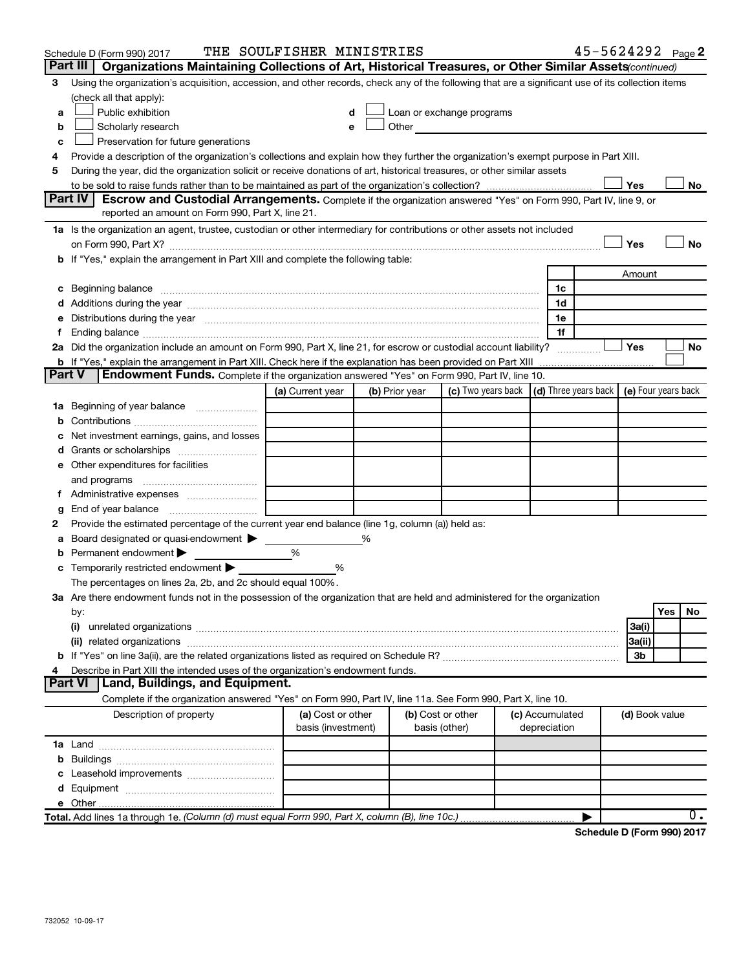|        | Schedule D (Form 990) 2017                                                                                                                                                                                                     | THE SOULFISHER MINISTRIES |                |                                                                                                                                                                                                                               |                 | 45-5624292 Page 2 |                |     |     |  |
|--------|--------------------------------------------------------------------------------------------------------------------------------------------------------------------------------------------------------------------------------|---------------------------|----------------|-------------------------------------------------------------------------------------------------------------------------------------------------------------------------------------------------------------------------------|-----------------|-------------------|----------------|-----|-----|--|
|        | Part III  <br>Organizations Maintaining Collections of Art, Historical Treasures, or Other Similar Assets (continued)                                                                                                          |                           |                |                                                                                                                                                                                                                               |                 |                   |                |     |     |  |
| 3      | Using the organization's acquisition, accession, and other records, check any of the following that are a significant use of its collection items                                                                              |                           |                |                                                                                                                                                                                                                               |                 |                   |                |     |     |  |
|        | (check all that apply):                                                                                                                                                                                                        |                           |                |                                                                                                                                                                                                                               |                 |                   |                |     |     |  |
| a      | Public exhibition                                                                                                                                                                                                              | d                         |                | Loan or exchange programs                                                                                                                                                                                                     |                 |                   |                |     |     |  |
| b      | Scholarly research                                                                                                                                                                                                             |                           |                | Other and the contract of the contract of the contract of the contract of the contract of the contract of the contract of the contract of the contract of the contract of the contract of the contract of the contract of the |                 |                   |                |     |     |  |
| c      | Preservation for future generations                                                                                                                                                                                            |                           |                |                                                                                                                                                                                                                               |                 |                   |                |     |     |  |
| 4      | Provide a description of the organization's collections and explain how they further the organization's exempt purpose in Part XIII.                                                                                           |                           |                |                                                                                                                                                                                                                               |                 |                   |                |     |     |  |
| 5      | During the year, did the organization solicit or receive donations of art, historical treasures, or other similar assets                                                                                                       |                           |                |                                                                                                                                                                                                                               |                 |                   |                |     |     |  |
|        | Yes<br>No                                                                                                                                                                                                                      |                           |                |                                                                                                                                                                                                                               |                 |                   |                |     |     |  |
|        | Part IV<br>Escrow and Custodial Arrangements. Complete if the organization answered "Yes" on Form 990, Part IV, line 9, or                                                                                                     |                           |                |                                                                                                                                                                                                                               |                 |                   |                |     |     |  |
|        | reported an amount on Form 990, Part X, line 21.                                                                                                                                                                               |                           |                |                                                                                                                                                                                                                               |                 |                   |                |     |     |  |
|        | 1a Is the organization an agent, trustee, custodian or other intermediary for contributions or other assets not included                                                                                                       |                           |                |                                                                                                                                                                                                                               |                 |                   |                |     |     |  |
|        | on Form 990, Part X? <b>William Constitution Constitution</b> Construction Construction Construction Constitution Cons                                                                                                         |                           |                |                                                                                                                                                                                                                               |                 |                   | Yes            |     | No  |  |
|        | <b>b</b> If "Yes," explain the arrangement in Part XIII and complete the following table:                                                                                                                                      |                           |                |                                                                                                                                                                                                                               |                 |                   |                |     |     |  |
|        |                                                                                                                                                                                                                                |                           |                |                                                                                                                                                                                                                               |                 |                   | Amount         |     |     |  |
| c      | Beginning balance measurements and contain the contract of the contract of the contract of the contract of the                                                                                                                 |                           |                |                                                                                                                                                                                                                               | 1c              |                   |                |     |     |  |
|        | Additions during the year manufactured and an account of the state of the state of the state of the state of the state of the state of the state of the state of the state of the state of the state of the state of the state |                           |                |                                                                                                                                                                                                                               | 1d              |                   |                |     |     |  |
|        | Distributions during the year manufactured and an account of the year manufactured and the year manufactured and the year manufactured and the year manufactured and the year manufactured and the year manufactured and the y |                           |                |                                                                                                                                                                                                                               | 1e              |                   |                |     |     |  |
|        |                                                                                                                                                                                                                                |                           |                |                                                                                                                                                                                                                               | 1f              |                   |                |     |     |  |
|        | 2a Did the organization include an amount on Form 990, Part X, line 21, for escrow or custodial account liability?                                                                                                             |                           |                |                                                                                                                                                                                                                               |                 | .                 | Yes            |     | No  |  |
|        |                                                                                                                                                                                                                                |                           |                |                                                                                                                                                                                                                               |                 |                   |                |     |     |  |
| Part V | <b>Endowment Funds.</b> Complete if the organization answered "Yes" on Form 990, Part IV, line 10.                                                                                                                             |                           |                |                                                                                                                                                                                                                               |                 |                   |                |     |     |  |
|        |                                                                                                                                                                                                                                | (a) Current year          | (b) Prior year | (c) Two years back $\vert$ (d) Three years back $\vert$ (e) Four years back                                                                                                                                                   |                 |                   |                |     |     |  |
|        | <b>1a</b> Beginning of year balance                                                                                                                                                                                            |                           |                |                                                                                                                                                                                                                               |                 |                   |                |     |     |  |
|        |                                                                                                                                                                                                                                |                           |                |                                                                                                                                                                                                                               |                 |                   |                |     |     |  |
|        | Net investment earnings, gains, and losses                                                                                                                                                                                     |                           |                |                                                                                                                                                                                                                               |                 |                   |                |     |     |  |
|        |                                                                                                                                                                                                                                |                           |                |                                                                                                                                                                                                                               |                 |                   |                |     |     |  |
|        | e Other expenditures for facilities                                                                                                                                                                                            |                           |                |                                                                                                                                                                                                                               |                 |                   |                |     |     |  |
|        | and programs                                                                                                                                                                                                                   |                           |                |                                                                                                                                                                                                                               |                 |                   |                |     |     |  |
|        |                                                                                                                                                                                                                                |                           |                |                                                                                                                                                                                                                               |                 |                   |                |     |     |  |
| g      |                                                                                                                                                                                                                                |                           |                |                                                                                                                                                                                                                               |                 |                   |                |     |     |  |
| 2      | Provide the estimated percentage of the current year end balance (line 1g, column (a)) held as:                                                                                                                                |                           |                |                                                                                                                                                                                                                               |                 |                   |                |     |     |  |
|        | Board designated or quasi-endowment >                                                                                                                                                                                          |                           | %              |                                                                                                                                                                                                                               |                 |                   |                |     |     |  |
| b      | Permanent endowment                                                                                                                                                                                                            | %                         |                |                                                                                                                                                                                                                               |                 |                   |                |     |     |  |
| с      | Temporarily restricted endowment                                                                                                                                                                                               | ℅                         |                |                                                                                                                                                                                                                               |                 |                   |                |     |     |  |
|        | The percentages on lines 2a, 2b, and 2c should equal 100%.                                                                                                                                                                     |                           |                |                                                                                                                                                                                                                               |                 |                   |                |     |     |  |
|        | 3a Are there endowment funds not in the possession of the organization that are held and administered for the organization                                                                                                     |                           |                |                                                                                                                                                                                                                               |                 |                   |                |     |     |  |
|        | by:                                                                                                                                                                                                                            |                           |                |                                                                                                                                                                                                                               |                 |                   |                | Yes | No. |  |
|        | (i)                                                                                                                                                                                                                            |                           |                |                                                                                                                                                                                                                               |                 |                   | 3a(i)          |     |     |  |
|        | (ii) related organizations                                                                                                                                                                                                     |                           |                |                                                                                                                                                                                                                               |                 |                   | 3a(ii)<br>3b   |     |     |  |
|        |                                                                                                                                                                                                                                |                           |                |                                                                                                                                                                                                                               |                 |                   |                |     |     |  |
|        | Describe in Part XIII the intended uses of the organization's endowment funds.<br><b>Part VI</b><br>Land, Buildings, and Equipment.                                                                                            |                           |                |                                                                                                                                                                                                                               |                 |                   |                |     |     |  |
|        | Complete if the organization answered "Yes" on Form 990, Part IV, line 11a. See Form 990, Part X, line 10.                                                                                                                     |                           |                |                                                                                                                                                                                                                               |                 |                   |                |     |     |  |
|        | Description of property                                                                                                                                                                                                        | (a) Cost or other         |                | (b) Cost or other                                                                                                                                                                                                             | (c) Accumulated |                   | (d) Book value |     |     |  |
|        |                                                                                                                                                                                                                                | basis (investment)        |                | basis (other)                                                                                                                                                                                                                 | depreciation    |                   |                |     |     |  |
|        |                                                                                                                                                                                                                                |                           |                |                                                                                                                                                                                                                               |                 |                   |                |     |     |  |
| b      |                                                                                                                                                                                                                                |                           |                |                                                                                                                                                                                                                               |                 |                   |                |     |     |  |
|        |                                                                                                                                                                                                                                |                           |                |                                                                                                                                                                                                                               |                 |                   |                |     |     |  |
|        |                                                                                                                                                                                                                                |                           |                |                                                                                                                                                                                                                               |                 |                   |                |     |     |  |
|        |                                                                                                                                                                                                                                |                           |                |                                                                                                                                                                                                                               |                 |                   |                |     |     |  |
|        | Total. Add lines 1a through 1e. (Column (d) must equal Form 990, Part X, column (B), line 10c.)                                                                                                                                |                           |                |                                                                                                                                                                                                                               |                 |                   |                |     | 0.  |  |
|        |                                                                                                                                                                                                                                |                           |                |                                                                                                                                                                                                                               |                 |                   |                |     |     |  |

**Schedule D (Form 990) 2017**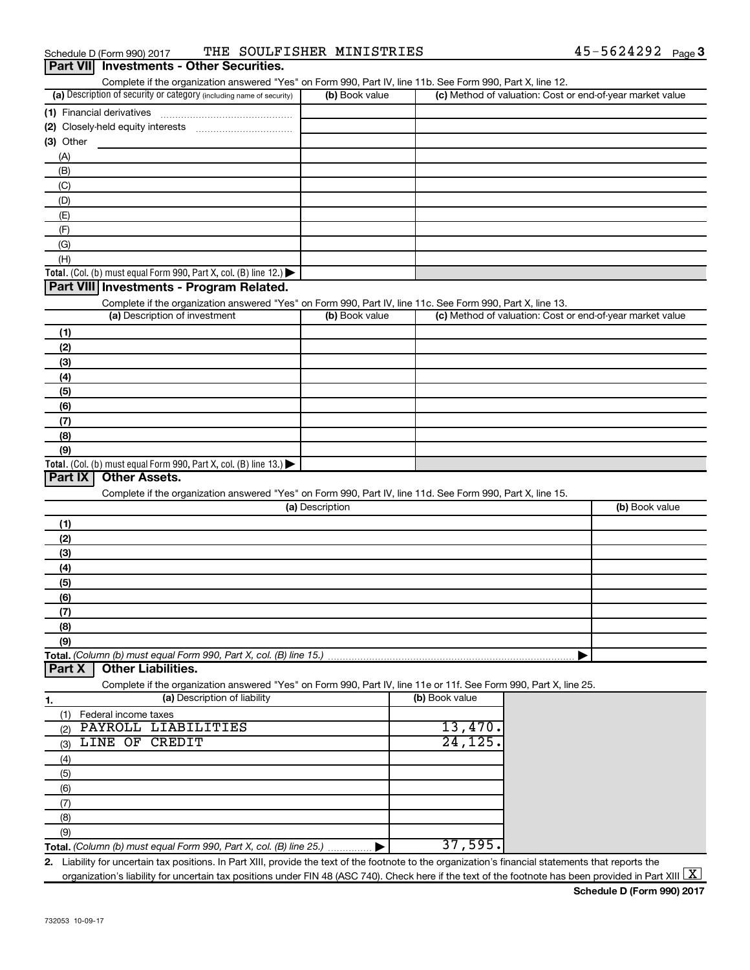| Schedule D (Form 990) 2017 |                                                 | THE SOULFISHER MINISTRIES | $45 - 5624292$ Page 3 |  |
|----------------------------|-------------------------------------------------|---------------------------|-----------------------|--|
|                            | <b>Part VII</b> Investments - Other Securities. |                           |                       |  |

| (a) Description of security or category (including name of security)                                                                          | (b) Book value  | Complete if the organization answered "Yes" on Form 990, Part IV, line 11b. See Form 990, Part X, line 12. | (c) Method of valuation: Cost or end-of-year market value |
|-----------------------------------------------------------------------------------------------------------------------------------------------|-----------------|------------------------------------------------------------------------------------------------------------|-----------------------------------------------------------|
|                                                                                                                                               |                 |                                                                                                            |                                                           |
|                                                                                                                                               |                 |                                                                                                            |                                                           |
| (3) Other                                                                                                                                     |                 |                                                                                                            |                                                           |
| (A)                                                                                                                                           |                 |                                                                                                            |                                                           |
| (B)                                                                                                                                           |                 |                                                                                                            |                                                           |
| (C)                                                                                                                                           |                 |                                                                                                            |                                                           |
| (D)                                                                                                                                           |                 |                                                                                                            |                                                           |
| (E)                                                                                                                                           |                 |                                                                                                            |                                                           |
| (F)                                                                                                                                           |                 |                                                                                                            |                                                           |
| (G)                                                                                                                                           |                 |                                                                                                            |                                                           |
| (H)                                                                                                                                           |                 |                                                                                                            |                                                           |
| Total. (Col. (b) must equal Form 990, Part X, col. (B) line 12.)                                                                              |                 |                                                                                                            |                                                           |
| Part VIII Investments - Program Related.                                                                                                      |                 |                                                                                                            |                                                           |
| Complete if the organization answered "Yes" on Form 990, Part IV, line 11c. See Form 990, Part X, line 13.                                    |                 |                                                                                                            |                                                           |
| (a) Description of investment                                                                                                                 | (b) Book value  |                                                                                                            | (c) Method of valuation: Cost or end-of-year market value |
| (1)                                                                                                                                           |                 |                                                                                                            |                                                           |
| (2)                                                                                                                                           |                 |                                                                                                            |                                                           |
| (3)                                                                                                                                           |                 |                                                                                                            |                                                           |
| (4)                                                                                                                                           |                 |                                                                                                            |                                                           |
| (5)                                                                                                                                           |                 |                                                                                                            |                                                           |
| (6)                                                                                                                                           |                 |                                                                                                            |                                                           |
| (7)                                                                                                                                           |                 |                                                                                                            |                                                           |
| (8)                                                                                                                                           |                 |                                                                                                            |                                                           |
| (9)                                                                                                                                           |                 |                                                                                                            |                                                           |
| Total. (Col. (b) must equal Form 990, Part X, col. (B) line 13.) $\blacktriangleright$                                                        |                 |                                                                                                            |                                                           |
| Part IX<br><b>Other Assets.</b><br>Complete if the organization answered "Yes" on Form 990, Part IV, line 11d. See Form 990, Part X, line 15. |                 |                                                                                                            |                                                           |
|                                                                                                                                               | (a) Description |                                                                                                            | (b) Book value                                            |
| (1)                                                                                                                                           |                 |                                                                                                            |                                                           |
| (2)                                                                                                                                           |                 |                                                                                                            |                                                           |
|                                                                                                                                               |                 |                                                                                                            |                                                           |
|                                                                                                                                               |                 |                                                                                                            |                                                           |
| (3)                                                                                                                                           |                 |                                                                                                            |                                                           |
| (4)                                                                                                                                           |                 |                                                                                                            |                                                           |
| (5)                                                                                                                                           |                 |                                                                                                            |                                                           |
| (6)                                                                                                                                           |                 |                                                                                                            |                                                           |
| (7)                                                                                                                                           |                 |                                                                                                            |                                                           |
| (8)                                                                                                                                           |                 |                                                                                                            |                                                           |
| (9)                                                                                                                                           |                 |                                                                                                            |                                                           |
| Total. (Column (b) must equal Form 990, Part X, col. (B) line 15.)                                                                            |                 |                                                                                                            |                                                           |
| <b>Other Liabilities.</b><br>Part X                                                                                                           |                 |                                                                                                            |                                                           |
| Complete if the organization answered "Yes" on Form 990, Part IV, line 11e or 11f. See Form 990, Part X, line 25.                             |                 |                                                                                                            |                                                           |
| (a) Description of liability                                                                                                                  |                 | (b) Book value                                                                                             |                                                           |
| Federal income taxes<br>(1)                                                                                                                   |                 |                                                                                                            |                                                           |
| PAYROLL LIABILITIES<br>(2)                                                                                                                    |                 | 13,470.                                                                                                    |                                                           |
| LINE OF CREDIT<br>(3)                                                                                                                         |                 | 24,125                                                                                                     |                                                           |
| (4)                                                                                                                                           |                 |                                                                                                            |                                                           |
| (5)                                                                                                                                           |                 |                                                                                                            |                                                           |
| (6)                                                                                                                                           |                 |                                                                                                            |                                                           |
| 1.<br>(7)                                                                                                                                     |                 |                                                                                                            |                                                           |
| (8)                                                                                                                                           |                 |                                                                                                            |                                                           |
| (9)<br>Total. (Column (b) must equal Form 990, Part X, col. (B) line 25.) ▶                                                                   |                 | 37,595                                                                                                     |                                                           |

organization's liability for uncertain tax positions under FIN 48 (ASC 740). Check here if the text of the footnote has been provided in Part XIII  $\boxed{\text{X}}$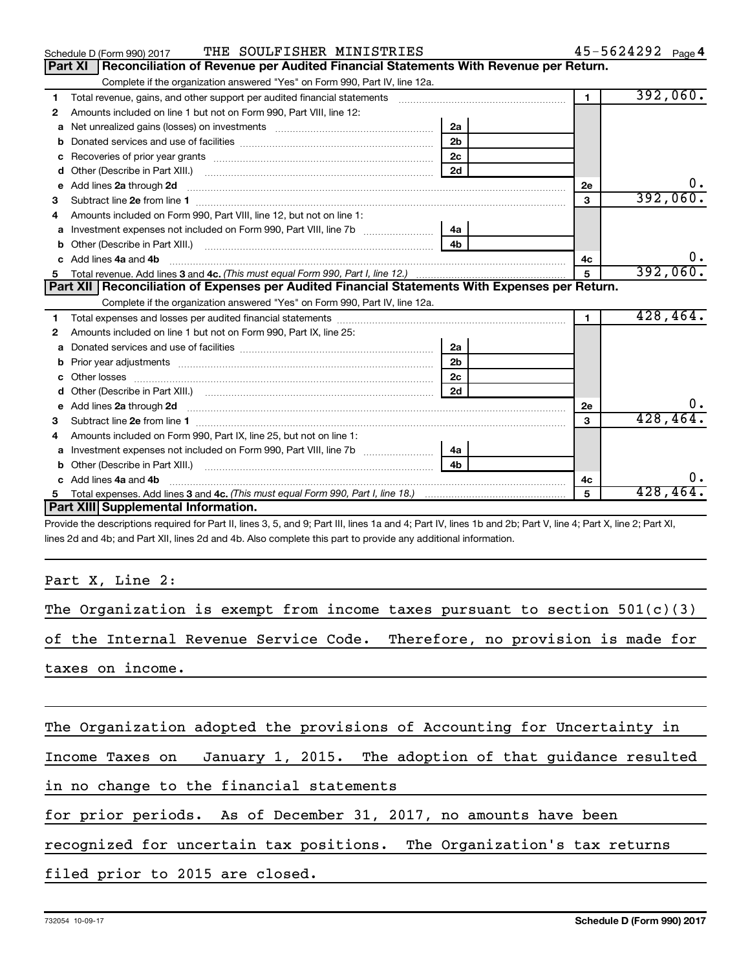|   | THE SOULFISHER MINISTRIES<br>Schedule D (Form 990) 2017                                                                                                                                                                                                                                                                               |                |                | $45 - 5624292$ Page 4 |
|---|---------------------------------------------------------------------------------------------------------------------------------------------------------------------------------------------------------------------------------------------------------------------------------------------------------------------------------------|----------------|----------------|-----------------------|
|   | Reconciliation of Revenue per Audited Financial Statements With Revenue per Return.<br>Part XI                                                                                                                                                                                                                                        |                |                |                       |
|   | Complete if the organization answered "Yes" on Form 990, Part IV, line 12a.                                                                                                                                                                                                                                                           |                |                |                       |
| 1 | Total revenue, gains, and other support per audited financial statements                                                                                                                                                                                                                                                              |                | $\blacksquare$ | 392,060.              |
| 2 | Amounts included on line 1 but not on Form 990, Part VIII, line 12:                                                                                                                                                                                                                                                                   |                |                |                       |
| a | Net unrealized gains (losses) on investments [111] [12] matter and the unrealized gains (losses) on investments                                                                                                                                                                                                                       | 2a             |                |                       |
| b |                                                                                                                                                                                                                                                                                                                                       | 2 <sub>b</sub> |                |                       |
|   |                                                                                                                                                                                                                                                                                                                                       | 2 <sub>c</sub> |                |                       |
| d |                                                                                                                                                                                                                                                                                                                                       | 2d             |                |                       |
| е | Add lines 2a through 2d                                                                                                                                                                                                                                                                                                               |                | <b>2e</b>      |                       |
| 3 |                                                                                                                                                                                                                                                                                                                                       |                | 3              | 392,060.              |
| 4 | Amounts included on Form 990, Part VIII, line 12, but not on line 1:                                                                                                                                                                                                                                                                  |                |                |                       |
| a |                                                                                                                                                                                                                                                                                                                                       | 4a             |                |                       |
|   |                                                                                                                                                                                                                                                                                                                                       | 4h             |                |                       |
|   | c Add lines 4a and 4b                                                                                                                                                                                                                                                                                                                 |                | 4c             | 0.                    |
|   |                                                                                                                                                                                                                                                                                                                                       |                |                | 392,060.              |
|   | Part XII Reconciliation of Expenses per Audited Financial Statements With Expenses per Return.                                                                                                                                                                                                                                        |                |                |                       |
|   | Complete if the organization answered "Yes" on Form 990, Part IV, line 12a.                                                                                                                                                                                                                                                           |                |                |                       |
| 1 |                                                                                                                                                                                                                                                                                                                                       |                | $\mathbf 1$    | 428, 464.             |
| 2 | Amounts included on line 1 but not on Form 990, Part IX, line 25:                                                                                                                                                                                                                                                                     |                |                |                       |
|   |                                                                                                                                                                                                                                                                                                                                       | 2a             |                |                       |
| b |                                                                                                                                                                                                                                                                                                                                       | 2 <sub>b</sub> |                |                       |
|   |                                                                                                                                                                                                                                                                                                                                       | 2 <sub>c</sub> |                |                       |
|   |                                                                                                                                                                                                                                                                                                                                       | 2d             |                |                       |
| е |                                                                                                                                                                                                                                                                                                                                       |                | 2e             |                       |
| з |                                                                                                                                                                                                                                                                                                                                       |                | 3              | 428, 464.             |
|   | Amounts included on Form 990, Part IX, line 25, but not on line 1:                                                                                                                                                                                                                                                                    |                |                |                       |
| a |                                                                                                                                                                                                                                                                                                                                       | 4a             |                |                       |
|   |                                                                                                                                                                                                                                                                                                                                       | 4 <sub>b</sub> |                |                       |
|   | Add lines 4a and 4b                                                                                                                                                                                                                                                                                                                   |                | 4с             |                       |
| 5 |                                                                                                                                                                                                                                                                                                                                       |                | 5              | 428,464.              |
|   | Part XIII Supplemental Information.                                                                                                                                                                                                                                                                                                   |                |                |                       |
|   | $\mathsf{D}_{\mathsf{G}}$ and the decoded the second of the final contract $\mathsf{D}_{\mathsf{G}}$ and $\mathsf{D}_{\mathsf{G}}$ and $\mathsf{D}_{\mathsf{G}}$ and $\mathsf{D}_{\mathsf{G}}$ and $\mathsf{D}_{\mathsf{G}}$ and $\mathsf{D}_{\mathsf{G}}$ and $\mathsf{D}_{\mathsf{G}}$ and $\mathsf{D}_{\mathsf{G}}$ and $\mathsf{$ |                |                |                       |

Provide the descriptions required for Part II, lines 3, 5, and 9; Part III, lines 1a and 4; Part IV, lines 1b and 2b; Part V, line 4; Part X, line 2; Part XI, lines 2d and 4b; and Part XII, lines 2d and 4b. Also complete this part to provide any additional information.

### Part X, Line 2:

|  | The Organization is exempt from income taxes pursuant to section $501(c)(3)$ |  |  |  |  |  |  |
|--|------------------------------------------------------------------------------|--|--|--|--|--|--|
|  | of the Internal Revenue Service Code. Therefore, no provision is made for    |  |  |  |  |  |  |
|  | taxes on income.                                                             |  |  |  |  |  |  |

| The Organization adopted the provisions of Accounting for Uncertainty in |
|--------------------------------------------------------------------------|
| Income Taxes on January 1, 2015. The adoption of that guidance resulted  |
| in no change to the financial statements                                 |
| for prior periods. As of December 31, 2017, no amounts have been         |
| recognized for uncertain tax positions. The Organization's tax returns   |
| filed prior to 2015 are closed.                                          |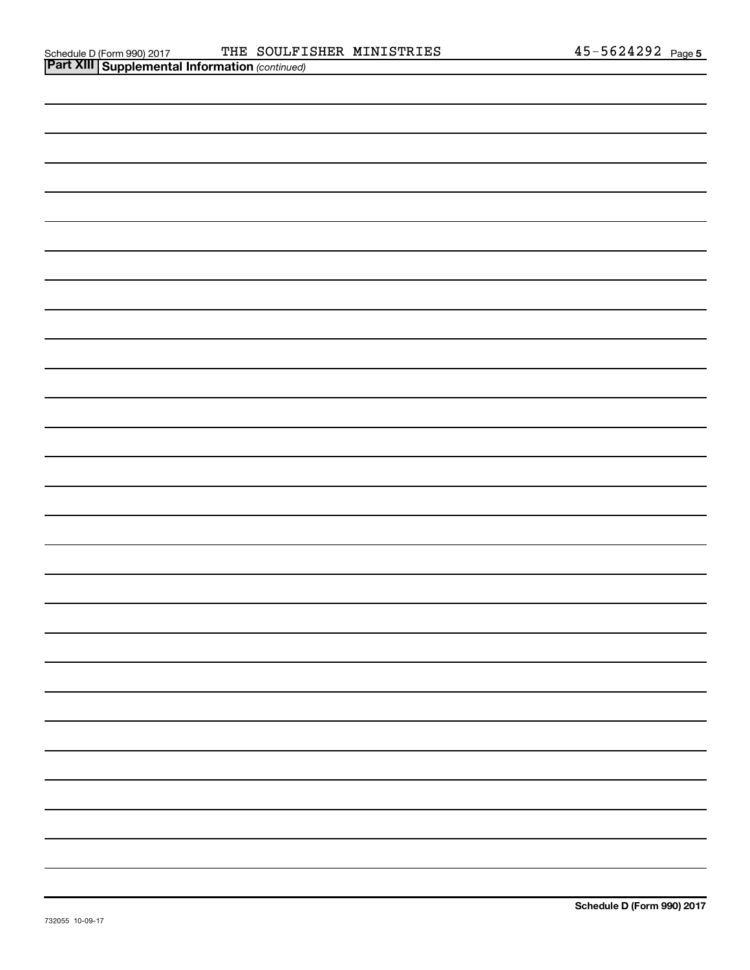| <b>Part XIII Supplemental Information (continued)</b> |  |
|-------------------------------------------------------|--|
|                                                       |  |
|                                                       |  |
|                                                       |  |
|                                                       |  |
|                                                       |  |
|                                                       |  |
|                                                       |  |
|                                                       |  |
|                                                       |  |
|                                                       |  |
|                                                       |  |
|                                                       |  |
|                                                       |  |
|                                                       |  |
|                                                       |  |
|                                                       |  |
|                                                       |  |
|                                                       |  |
|                                                       |  |
|                                                       |  |
|                                                       |  |
|                                                       |  |
|                                                       |  |
|                                                       |  |
|                                                       |  |
|                                                       |  |
|                                                       |  |
|                                                       |  |
|                                                       |  |
|                                                       |  |
|                                                       |  |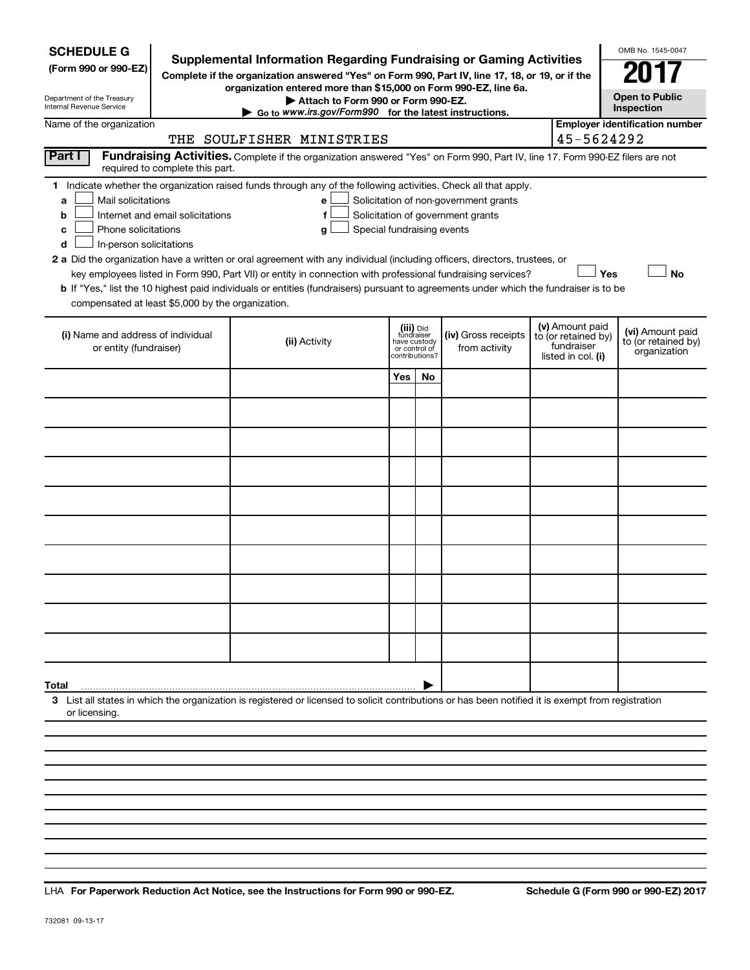| <b>SCHEDULE G</b><br>(Form 990 or 990-EZ)<br>Department of the Treasury<br>Internal Revenue Service                                                                                                                                                                                                                                                                                                                                                                                                                                                                                                                                                                                                                                                                                                                                       | Supplemental Information Regarding Fundraising or Gaming Activities<br>Complete if the organization answered "Yes" on Form 990, Part IV, line 17, 18, or 19, or if the<br>organization entered more than \$15,000 on Form 990-EZ, line 6a.<br>Attach to Form 990 or Form 990-EZ.<br>Go to www.irs.gov/Form990 for the latest instructions. |                                                                                                                                                    |                                                                                                                    |    |  |                                                                            |            |                                                         |  |  |  |
|-------------------------------------------------------------------------------------------------------------------------------------------------------------------------------------------------------------------------------------------------------------------------------------------------------------------------------------------------------------------------------------------------------------------------------------------------------------------------------------------------------------------------------------------------------------------------------------------------------------------------------------------------------------------------------------------------------------------------------------------------------------------------------------------------------------------------------------------|--------------------------------------------------------------------------------------------------------------------------------------------------------------------------------------------------------------------------------------------------------------------------------------------------------------------------------------------|----------------------------------------------------------------------------------------------------------------------------------------------------|--------------------------------------------------------------------------------------------------------------------|----|--|----------------------------------------------------------------------------|------------|---------------------------------------------------------|--|--|--|
| Name of the organization                                                                                                                                                                                                                                                                                                                                                                                                                                                                                                                                                                                                                                                                                                                                                                                                                  |                                                                                                                                                                                                                                                                                                                                            |                                                                                                                                                    |                                                                                                                    |    |  |                                                                            |            | <b>Employer identification number</b>                   |  |  |  |
| Part I                                                                                                                                                                                                                                                                                                                                                                                                                                                                                                                                                                                                                                                                                                                                                                                                                                    |                                                                                                                                                                                                                                                                                                                                            | THE SOULFISHER MINISTRIES                                                                                                                          |                                                                                                                    |    |  |                                                                            | 45-5624292 |                                                         |  |  |  |
| Fundraising Activities. Complete if the organization answered "Yes" on Form 990, Part IV, line 17. Form 990-EZ filers are not<br>required to complete this part.                                                                                                                                                                                                                                                                                                                                                                                                                                                                                                                                                                                                                                                                          |                                                                                                                                                                                                                                                                                                                                            |                                                                                                                                                    |                                                                                                                    |    |  |                                                                            |            |                                                         |  |  |  |
| 1 Indicate whether the organization raised funds through any of the following activities. Check all that apply.<br>Mail solicitations<br>Solicitation of non-government grants<br>a<br>e<br>Internet and email solicitations<br>Solicitation of government grants<br>f<br>b<br>Phone solicitations<br>Special fundraising events<br>с<br>a<br>In-person solicitations<br>d<br>2 a Did the organization have a written or oral agreement with any individual (including officers, directors, trustees, or<br><b>No</b><br>key employees listed in Form 990, Part VII) or entity in connection with professional fundraising services?<br>Yes<br>b If "Yes," list the 10 highest paid individuals or entities (fundraisers) pursuant to agreements under which the fundraiser is to be<br>compensated at least \$5,000 by the organization. |                                                                                                                                                                                                                                                                                                                                            |                                                                                                                                                    |                                                                                                                    |    |  |                                                                            |            |                                                         |  |  |  |
| (i) Name and address of individual<br>or entity (fundraiser)                                                                                                                                                                                                                                                                                                                                                                                                                                                                                                                                                                                                                                                                                                                                                                              |                                                                                                                                                                                                                                                                                                                                            | (ii) Activity                                                                                                                                      | (iii) Did<br>fundraiser<br>(iv) Gross receipts<br>have custody<br>from activity<br>or control of<br>contributions? |    |  | (v) Amount paid<br>to (or retained by)<br>fundraiser<br>listed in col. (i) |            | (vi) Amount paid<br>to (or retained by)<br>organization |  |  |  |
|                                                                                                                                                                                                                                                                                                                                                                                                                                                                                                                                                                                                                                                                                                                                                                                                                                           |                                                                                                                                                                                                                                                                                                                                            |                                                                                                                                                    | Yes                                                                                                                | No |  |                                                                            |            |                                                         |  |  |  |
|                                                                                                                                                                                                                                                                                                                                                                                                                                                                                                                                                                                                                                                                                                                                                                                                                                           |                                                                                                                                                                                                                                                                                                                                            |                                                                                                                                                    |                                                                                                                    |    |  |                                                                            |            |                                                         |  |  |  |
|                                                                                                                                                                                                                                                                                                                                                                                                                                                                                                                                                                                                                                                                                                                                                                                                                                           |                                                                                                                                                                                                                                                                                                                                            |                                                                                                                                                    |                                                                                                                    |    |  |                                                                            |            |                                                         |  |  |  |
|                                                                                                                                                                                                                                                                                                                                                                                                                                                                                                                                                                                                                                                                                                                                                                                                                                           |                                                                                                                                                                                                                                                                                                                                            |                                                                                                                                                    |                                                                                                                    |    |  |                                                                            |            |                                                         |  |  |  |
|                                                                                                                                                                                                                                                                                                                                                                                                                                                                                                                                                                                                                                                                                                                                                                                                                                           |                                                                                                                                                                                                                                                                                                                                            |                                                                                                                                                    |                                                                                                                    |    |  |                                                                            |            |                                                         |  |  |  |
|                                                                                                                                                                                                                                                                                                                                                                                                                                                                                                                                                                                                                                                                                                                                                                                                                                           |                                                                                                                                                                                                                                                                                                                                            |                                                                                                                                                    |                                                                                                                    |    |  |                                                                            |            |                                                         |  |  |  |
|                                                                                                                                                                                                                                                                                                                                                                                                                                                                                                                                                                                                                                                                                                                                                                                                                                           |                                                                                                                                                                                                                                                                                                                                            |                                                                                                                                                    |                                                                                                                    |    |  |                                                                            |            |                                                         |  |  |  |
|                                                                                                                                                                                                                                                                                                                                                                                                                                                                                                                                                                                                                                                                                                                                                                                                                                           |                                                                                                                                                                                                                                                                                                                                            |                                                                                                                                                    |                                                                                                                    |    |  |                                                                            |            |                                                         |  |  |  |
|                                                                                                                                                                                                                                                                                                                                                                                                                                                                                                                                                                                                                                                                                                                                                                                                                                           |                                                                                                                                                                                                                                                                                                                                            |                                                                                                                                                    |                                                                                                                    |    |  |                                                                            |            |                                                         |  |  |  |
|                                                                                                                                                                                                                                                                                                                                                                                                                                                                                                                                                                                                                                                                                                                                                                                                                                           |                                                                                                                                                                                                                                                                                                                                            |                                                                                                                                                    |                                                                                                                    |    |  |                                                                            |            |                                                         |  |  |  |
| Total                                                                                                                                                                                                                                                                                                                                                                                                                                                                                                                                                                                                                                                                                                                                                                                                                                     |                                                                                                                                                                                                                                                                                                                                            |                                                                                                                                                    |                                                                                                                    |    |  |                                                                            |            |                                                         |  |  |  |
| or licensing.                                                                                                                                                                                                                                                                                                                                                                                                                                                                                                                                                                                                                                                                                                                                                                                                                             |                                                                                                                                                                                                                                                                                                                                            | 3 List all states in which the organization is registered or licensed to solicit contributions or has been notified it is exempt from registration |                                                                                                                    |    |  |                                                                            |            |                                                         |  |  |  |
|                                                                                                                                                                                                                                                                                                                                                                                                                                                                                                                                                                                                                                                                                                                                                                                                                                           |                                                                                                                                                                                                                                                                                                                                            |                                                                                                                                                    |                                                                                                                    |    |  |                                                                            |            |                                                         |  |  |  |
|                                                                                                                                                                                                                                                                                                                                                                                                                                                                                                                                                                                                                                                                                                                                                                                                                                           |                                                                                                                                                                                                                                                                                                                                            |                                                                                                                                                    |                                                                                                                    |    |  |                                                                            |            |                                                         |  |  |  |
|                                                                                                                                                                                                                                                                                                                                                                                                                                                                                                                                                                                                                                                                                                                                                                                                                                           |                                                                                                                                                                                                                                                                                                                                            |                                                                                                                                                    |                                                                                                                    |    |  |                                                                            |            |                                                         |  |  |  |
|                                                                                                                                                                                                                                                                                                                                                                                                                                                                                                                                                                                                                                                                                                                                                                                                                                           |                                                                                                                                                                                                                                                                                                                                            |                                                                                                                                                    |                                                                                                                    |    |  |                                                                            |            |                                                         |  |  |  |

**For Paperwork Reduction Act Notice, see the Instructions for Form 990 or 990-EZ. Schedule G (Form 990 or 990-EZ) 2017** LHA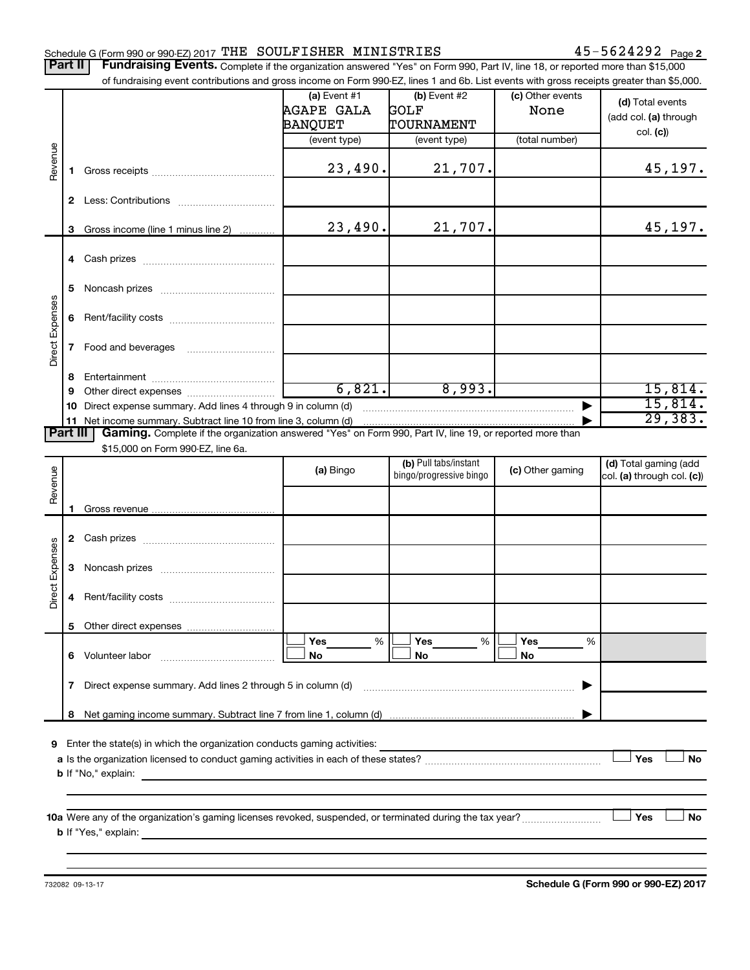### Schedule G (Form 990 or 990-EZ) 2017  $\texttt{THE}$  SOULFISHER MINISTRIES  $45\texttt{-}5624292$  Page

<u>45-5624292 Page2</u>

Part II | Fundraising Events. Complete if the organization answered "Yes" on Form 990, Part IV, line 18, or reported more than \$15,000 of fundraising event contributions and gross income on Form 990-EZ, lines 1 and 6b. List events with gross receipts greater than \$5,000.

|                        |              | or fundraising event contributions and gross income on Form 990-EZ, lines T and 6D. List events with gross receipts greater than \$5,000. |                   |                                                  |                  |                            |
|------------------------|--------------|-------------------------------------------------------------------------------------------------------------------------------------------|-------------------|--------------------------------------------------|------------------|----------------------------|
|                        |              |                                                                                                                                           | (a) Event $#1$    | $(b)$ Event #2                                   | (c) Other events | (d) Total events           |
|                        |              |                                                                                                                                           | <b>AGAPE GALA</b> | <b>GOLF</b>                                      | None             |                            |
|                        |              |                                                                                                                                           | BANQUET           | TOURNAMENT                                       |                  | (add col. (a) through      |
|                        |              |                                                                                                                                           | (event type)      | (event type)                                     | (total number)   | col. (c)                   |
|                        |              |                                                                                                                                           |                   |                                                  |                  |                            |
| Revenue                | 1.           |                                                                                                                                           | 23,490.           | 21,707.                                          |                  | 45,197.                    |
|                        |              |                                                                                                                                           |                   |                                                  |                  |                            |
|                        |              |                                                                                                                                           |                   |                                                  |                  |                            |
|                        |              |                                                                                                                                           |                   |                                                  |                  |                            |
|                        |              | Gross income (line 1 minus line 2)                                                                                                        | 23,490.           | 21,707.                                          |                  | 45,197.                    |
|                        | 3            |                                                                                                                                           |                   |                                                  |                  |                            |
|                        |              |                                                                                                                                           |                   |                                                  |                  |                            |
|                        |              |                                                                                                                                           |                   |                                                  |                  |                            |
|                        |              |                                                                                                                                           |                   |                                                  |                  |                            |
|                        | 5.           |                                                                                                                                           |                   |                                                  |                  |                            |
| Direct Expenses        |              |                                                                                                                                           |                   |                                                  |                  |                            |
|                        | 6            |                                                                                                                                           |                   |                                                  |                  |                            |
|                        |              |                                                                                                                                           |                   |                                                  |                  |                            |
|                        |              |                                                                                                                                           |                   |                                                  |                  |                            |
|                        |              |                                                                                                                                           |                   |                                                  |                  |                            |
|                        | 8            |                                                                                                                                           | 6,821.            | 8,993.                                           |                  | 15,814.                    |
|                        | 9            |                                                                                                                                           |                   |                                                  |                  |                            |
|                        | 10           | Direct expense summary. Add lines 4 through 9 in column (d)                                                                               |                   |                                                  |                  | 15,814.                    |
| <b>Part III</b>        |              | 11 Net income summary. Subtract line 10 from line 3, column (d)                                                                           |                   |                                                  |                  | 29,383.                    |
|                        |              | Gaming. Complete if the organization answered "Yes" on Form 990, Part IV, line 19, or reported more than                                  |                   |                                                  |                  |                            |
|                        |              | \$15,000 on Form 990-EZ, line 6a.                                                                                                         |                   |                                                  |                  |                            |
|                        |              |                                                                                                                                           | (a) Bingo         | (b) Pull tabs/instant<br>bingo/progressive bingo | (c) Other gaming | (d) Total gaming (add      |
| Revenue                |              |                                                                                                                                           |                   |                                                  |                  | col. (a) through col. (c)) |
|                        |              |                                                                                                                                           |                   |                                                  |                  |                            |
|                        | 1.           |                                                                                                                                           |                   |                                                  |                  |                            |
|                        |              |                                                                                                                                           |                   |                                                  |                  |                            |
|                        |              |                                                                                                                                           |                   |                                                  |                  |                            |
|                        |              |                                                                                                                                           |                   |                                                  |                  |                            |
|                        | 3            |                                                                                                                                           |                   |                                                  |                  |                            |
| <b>Direct Expenses</b> |              |                                                                                                                                           |                   |                                                  |                  |                            |
|                        | 4            |                                                                                                                                           |                   |                                                  |                  |                            |
|                        |              |                                                                                                                                           |                   |                                                  |                  |                            |
|                        |              |                                                                                                                                           |                   |                                                  |                  |                            |
|                        |              |                                                                                                                                           | <b>Yes</b><br>%   | Yes<br>%                                         | Yes<br>%         |                            |
|                        |              | 6 Volunteer labor                                                                                                                         | No                | No                                               | No               |                            |
|                        |              |                                                                                                                                           |                   |                                                  |                  |                            |
|                        | $\mathbf{7}$ | Direct expense summary. Add lines 2 through 5 in column (d)                                                                               |                   |                                                  |                  |                            |
|                        |              |                                                                                                                                           |                   |                                                  |                  |                            |
|                        | 8            |                                                                                                                                           |                   |                                                  |                  |                            |
|                        |              |                                                                                                                                           |                   |                                                  |                  |                            |
| 9                      |              | Enter the state(s) in which the organization conducts gaming activities:                                                                  |                   |                                                  |                  |                            |
|                        |              |                                                                                                                                           |                   |                                                  |                  | Yes<br>No                  |
|                        |              | <b>b</b> If "No," explain:                                                                                                                |                   |                                                  |                  |                            |
|                        |              |                                                                                                                                           |                   |                                                  |                  |                            |
|                        |              |                                                                                                                                           |                   |                                                  |                  |                            |
|                        |              |                                                                                                                                           |                   |                                                  |                  | Yes<br>No                  |
|                        |              | <b>b</b> If "Yes," explain:                                                                                                               |                   |                                                  |                  |                            |
|                        |              |                                                                                                                                           |                   |                                                  |                  |                            |
|                        |              |                                                                                                                                           |                   |                                                  |                  |                            |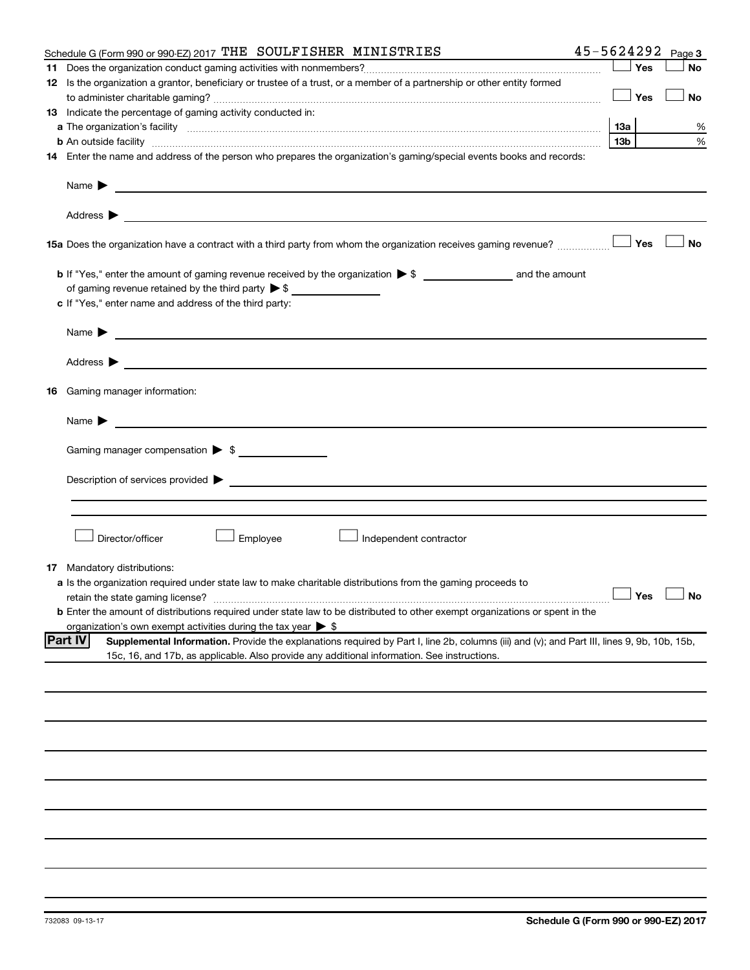| Schedule G (Form 990 or 990-EZ) 2017 THE SOULFISHER MINISTRIES                                                                                                | 45-5624292 Page 3 |                 |     |                      |
|---------------------------------------------------------------------------------------------------------------------------------------------------------------|-------------------|-----------------|-----|----------------------|
|                                                                                                                                                               |                   |                 | Yes | <b>No</b>            |
| 12 Is the organization a grantor, beneficiary or trustee of a trust, or a member of a partnership or other entity formed                                      |                   | $\Box$ Yes      |     | No                   |
|                                                                                                                                                               |                   |                 |     |                      |
| <b>13</b> Indicate the percentage of gaming activity conducted in:                                                                                            |                   |                 |     |                      |
|                                                                                                                                                               |                   | 13 <sub>b</sub> |     | %<br>%               |
| 14 Enter the name and address of the person who prepares the organization's gaming/special events books and records:                                          |                   |                 |     |                      |
|                                                                                                                                                               |                   |                 |     |                      |
| Name $\blacktriangleright$<br><u> 1989 - Johann Stein, marwolaethau a bhann an t-Amhainn an t-Amhainn an t-Amhainn an t-Amhainn an t-Amhainn an</u>           |                   |                 |     |                      |
| Address $\blacktriangleright$<br><u>and the state of the state of the state of the state of the state of the state of the state of the state of</u>           |                   |                 |     |                      |
|                                                                                                                                                               |                   |                 |     | <b>No</b>            |
|                                                                                                                                                               |                   |                 |     |                      |
| of gaming revenue retained by the third party $\triangleright$ \$                                                                                             |                   |                 |     |                      |
| c If "Yes," enter name and address of the third party:                                                                                                        |                   |                 |     |                      |
|                                                                                                                                                               |                   |                 |     |                      |
| <u> 1989 - John Harry Harry Harry Harry Harry Harry Harry Harry Harry Harry Harry Harry Harry Harry Harry Harry</u><br>Name $\blacktriangleright$             |                   |                 |     |                      |
| Address $\blacktriangleright$<br><u>and the control of the control of the control of the control of the control of the control of the control of</u>          |                   |                 |     |                      |
| 16 Gaming manager information:                                                                                                                                |                   |                 |     |                      |
| Name $\blacktriangleright$<br><u> 1989 - Johann Barbara, martin amerikan basal da</u>                                                                         |                   |                 |     |                      |
| Gaming manager compensation > \$                                                                                                                              |                   |                 |     |                      |
|                                                                                                                                                               |                   |                 |     |                      |
| Description of services provided > The Communication of Services of Australian Communication of Services provided >                                           |                   |                 |     |                      |
|                                                                                                                                                               |                   |                 |     |                      |
|                                                                                                                                                               |                   |                 |     |                      |
| Director/officer<br>Employee<br>Independent contractor                                                                                                        |                   |                 |     |                      |
| <b>17</b> Mandatory distributions:                                                                                                                            |                   |                 |     |                      |
| a Is the organization required under state law to make charitable distributions from the gaming proceeds to                                                   |                   |                 |     |                      |
|                                                                                                                                                               |                   |                 |     | $\Box$ Yes $\Box$ No |
| <b>b</b> Enter the amount of distributions required under state law to be distributed to other exempt organizations or spent in the                           |                   |                 |     |                      |
| organization's own exempt activities during the tax year $\triangleright$ \$                                                                                  |                   |                 |     |                      |
| <b>Part IV</b><br>Supplemental Information. Provide the explanations required by Part I, line 2b, columns (iii) and (v); and Part III, lines 9, 9b, 10b, 15b, |                   |                 |     |                      |
| 15c, 16, and 17b, as applicable. Also provide any additional information. See instructions.                                                                   |                   |                 |     |                      |
|                                                                                                                                                               |                   |                 |     |                      |
|                                                                                                                                                               |                   |                 |     |                      |
|                                                                                                                                                               |                   |                 |     |                      |
|                                                                                                                                                               |                   |                 |     |                      |
|                                                                                                                                                               |                   |                 |     |                      |
|                                                                                                                                                               |                   |                 |     |                      |
|                                                                                                                                                               |                   |                 |     |                      |
|                                                                                                                                                               |                   |                 |     |                      |
|                                                                                                                                                               |                   |                 |     |                      |
|                                                                                                                                                               |                   |                 |     |                      |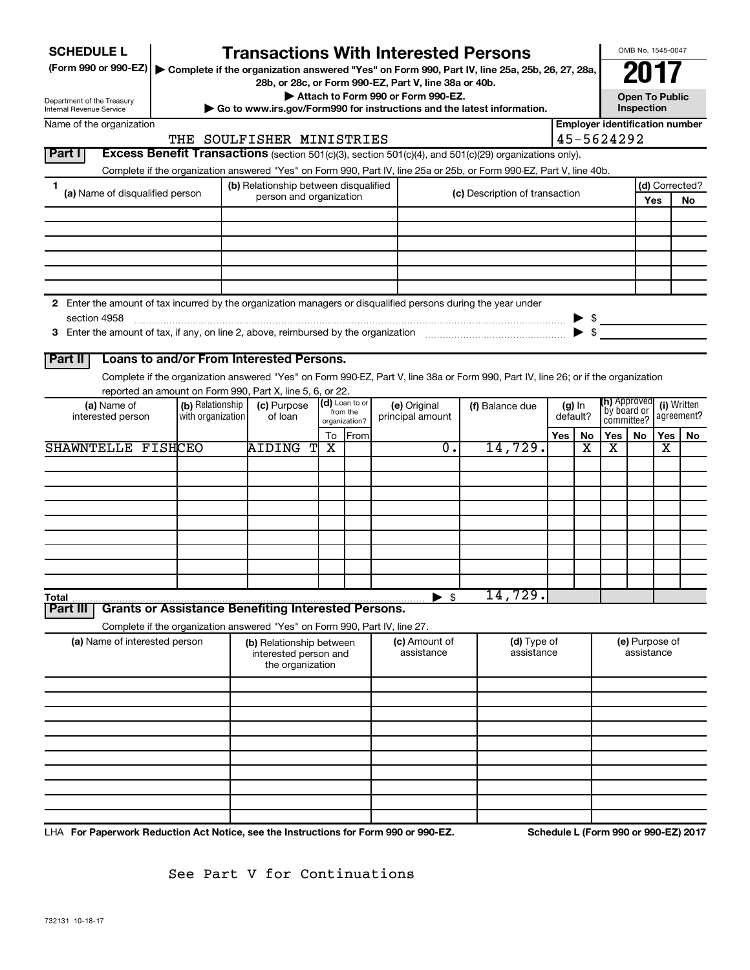| <b>SCHEDULE L</b><br>(Form 990 or 990-EZ)   Complete if the organization answered "Yes" on Form 990, Part IV, line 25a, 25b, 26, 27, 28a,                   |                                                                        |                                                                            |                           |                | <b>Transactions With Interested Persons</b><br>28b, or 28c, or Form 990-EZ, Part V, line 38a or 40b. |                                                                                                                                    |          |                              |               |                                                     | OMB No. 1545-0047 |                |  |
|-------------------------------------------------------------------------------------------------------------------------------------------------------------|------------------------------------------------------------------------|----------------------------------------------------------------------------|---------------------------|----------------|------------------------------------------------------------------------------------------------------|------------------------------------------------------------------------------------------------------------------------------------|----------|------------------------------|---------------|-----------------------------------------------------|-------------------|----------------|--|
| Attach to Form 990 or Form 990-EZ.<br><b>Open To Public</b><br>Department of the Treasury                                                                   |                                                                        |                                                                            |                           |                |                                                                                                      |                                                                                                                                    |          |                              |               |                                                     |                   |                |  |
| <b>Internal Revenue Service</b><br>Name of the organization                                                                                                 | Go to www.irs.gov/Form990 for instructions and the latest information. |                                                                            |                           |                |                                                                                                      |                                                                                                                                    |          |                              |               | Inspection<br><b>Employer identification number</b> |                   |                |  |
|                                                                                                                                                             |                                                                        |                                                                            |                           |                |                                                                                                      |                                                                                                                                    |          |                              |               |                                                     |                   |                |  |
| 45-5624292<br>THE SOULFISHER MINISTRIES<br>Excess Benefit Transactions (section 501(c)(3), section 501(c)(4), and 501(c)(29) organizations only).<br>Part I |                                                                        |                                                                            |                           |                |                                                                                                      |                                                                                                                                    |          |                              |               |                                                     |                   |                |  |
|                                                                                                                                                             |                                                                        |                                                                            |                           |                |                                                                                                      | Complete if the organization answered "Yes" on Form 990, Part IV, line 25a or 25b, or Form 990-EZ, Part V, line 40b.               |          |                              |               |                                                     |                   |                |  |
| 1                                                                                                                                                           |                                                                        | (b) Relationship between disqualified                                      |                           |                |                                                                                                      |                                                                                                                                    |          |                              |               |                                                     |                   | (d) Corrected? |  |
| (a) Name of disqualified person                                                                                                                             |                                                                        | person and organization                                                    |                           |                |                                                                                                      | (c) Description of transaction                                                                                                     |          |                              |               |                                                     |                   | No             |  |
|                                                                                                                                                             |                                                                        |                                                                            |                           |                |                                                                                                      |                                                                                                                                    |          |                              |               |                                                     |                   |                |  |
|                                                                                                                                                             |                                                                        |                                                                            |                           |                |                                                                                                      |                                                                                                                                    |          |                              |               |                                                     |                   |                |  |
|                                                                                                                                                             |                                                                        |                                                                            |                           |                |                                                                                                      |                                                                                                                                    |          |                              |               |                                                     |                   |                |  |
|                                                                                                                                                             |                                                                        |                                                                            |                           |                |                                                                                                      |                                                                                                                                    |          |                              |               |                                                     |                   |                |  |
|                                                                                                                                                             |                                                                        |                                                                            |                           |                |                                                                                                      |                                                                                                                                    |          |                              |               |                                                     |                   |                |  |
| 2 Enter the amount of tax incurred by the organization managers or disqualified persons during the year under                                               |                                                                        |                                                                            |                           |                |                                                                                                      |                                                                                                                                    |          |                              |               |                                                     |                   |                |  |
| section 4958                                                                                                                                                |                                                                        |                                                                            |                           |                |                                                                                                      |                                                                                                                                    |          |                              | $\frac{1}{2}$ |                                                     |                   |                |  |
|                                                                                                                                                             |                                                                        |                                                                            |                           |                |                                                                                                      |                                                                                                                                    |          | $\blacktriangleright$ \$     |               |                                                     |                   |                |  |
| Part II                                                                                                                                                     |                                                                        | <b>Loans to and/or From Interested Persons.</b>                            |                           |                |                                                                                                      |                                                                                                                                    |          |                              |               |                                                     |                   |                |  |
|                                                                                                                                                             |                                                                        |                                                                            |                           |                |                                                                                                      | Complete if the organization answered "Yes" on Form 990-EZ, Part V, line 38a or Form 990, Part IV, line 26; or if the organization |          |                              |               |                                                     |                   |                |  |
|                                                                                                                                                             |                                                                        | reported an amount on Form 990, Part X, line 5, 6, or 22.                  |                           |                |                                                                                                      |                                                                                                                                    |          |                              |               |                                                     |                   |                |  |
| (a) Name of                                                                                                                                                 | (b) Relationship                                                       | (c) Purpose                                                                |                           | (d) Loan to or | (e) Original                                                                                         | (f) Balance due                                                                                                                    | $(g)$ In |                              |               | <b>(h)</b> Approved<br>(i) Written<br>`by board or  |                   |                |  |
| interested person                                                                                                                                           | with organization                                                      | of loan                                                                    | from the<br>organization? |                | principal amount                                                                                     |                                                                                                                                    | default? |                              |               | committee?                                          |                   | agreement?     |  |
|                                                                                                                                                             |                                                                        |                                                                            | From<br>To                |                |                                                                                                      |                                                                                                                                    | Yes      | No.                          | Yes           | No.                                                 | Yes               | No.            |  |
| SHAWNTELLE FISHCEO                                                                                                                                          |                                                                        | AIDING                                                                     | X                         |                | 0.                                                                                                   | 14,729.                                                                                                                            |          | X                            | x             |                                                     | x                 |                |  |
|                                                                                                                                                             |                                                                        |                                                                            |                           |                |                                                                                                      |                                                                                                                                    |          |                              |               |                                                     |                   |                |  |
|                                                                                                                                                             |                                                                        |                                                                            |                           |                |                                                                                                      |                                                                                                                                    |          |                              |               |                                                     |                   |                |  |
|                                                                                                                                                             |                                                                        |                                                                            |                           |                |                                                                                                      |                                                                                                                                    |          |                              |               |                                                     |                   |                |  |
|                                                                                                                                                             |                                                                        |                                                                            |                           |                |                                                                                                      |                                                                                                                                    |          |                              |               |                                                     |                   |                |  |
|                                                                                                                                                             |                                                                        |                                                                            |                           |                |                                                                                                      |                                                                                                                                    |          |                              |               |                                                     |                   |                |  |
|                                                                                                                                                             |                                                                        |                                                                            |                           |                |                                                                                                      |                                                                                                                                    |          |                              |               |                                                     |                   |                |  |
|                                                                                                                                                             |                                                                        |                                                                            |                           |                |                                                                                                      |                                                                                                                                    |          |                              |               |                                                     |                   |                |  |
|                                                                                                                                                             |                                                                        |                                                                            |                           |                |                                                                                                      |                                                                                                                                    |          |                              |               |                                                     |                   |                |  |
| Total<br>Part II                                                                                                                                            |                                                                        | <b>Grants or Assistance Benefiting Interested Persons.</b>                 |                           |                | - \$                                                                                                 | 14,729.                                                                                                                            |          |                              |               |                                                     |                   |                |  |
|                                                                                                                                                             |                                                                        | Complete if the organization answered "Yes" on Form 990, Part IV, line 27. |                           |                |                                                                                                      |                                                                                                                                    |          |                              |               |                                                     |                   |                |  |
| (a) Name of interested person                                                                                                                               |                                                                        | (b) Relationship between<br>interested person and                          |                           |                | (c) Amount of<br>assistance                                                                          | (d) Type of<br>assistance                                                                                                          |          | (e) Purpose of<br>assistance |               |                                                     |                   |                |  |
|                                                                                                                                                             |                                                                        | the organization                                                           |                           |                |                                                                                                      |                                                                                                                                    |          |                              |               |                                                     |                   |                |  |
|                                                                                                                                                             |                                                                        |                                                                            |                           |                |                                                                                                      |                                                                                                                                    |          |                              |               |                                                     |                   |                |  |
|                                                                                                                                                             |                                                                        |                                                                            |                           |                |                                                                                                      |                                                                                                                                    |          |                              |               |                                                     |                   |                |  |
|                                                                                                                                                             |                                                                        |                                                                            |                           |                |                                                                                                      |                                                                                                                                    |          |                              |               |                                                     |                   |                |  |
|                                                                                                                                                             |                                                                        |                                                                            |                           |                |                                                                                                      |                                                                                                                                    |          |                              |               |                                                     |                   |                |  |
|                                                                                                                                                             |                                                                        |                                                                            |                           |                |                                                                                                      |                                                                                                                                    |          |                              |               |                                                     |                   |                |  |
|                                                                                                                                                             |                                                                        |                                                                            |                           |                |                                                                                                      |                                                                                                                                    |          |                              |               |                                                     |                   |                |  |
|                                                                                                                                                             |                                                                        |                                                                            |                           |                |                                                                                                      |                                                                                                                                    |          |                              |               |                                                     |                   |                |  |
|                                                                                                                                                             |                                                                        |                                                                            |                           |                |                                                                                                      |                                                                                                                                    |          |                              |               |                                                     |                   |                |  |
|                                                                                                                                                             |                                                                        |                                                                            |                           |                |                                                                                                      |                                                                                                                                    |          |                              |               |                                                     |                   |                |  |

LHA For Paperwork Reduction Act Notice, see the Instructions for Form 990 or 990-EZ. Schedule L (Form 990 or 990-EZ) 2017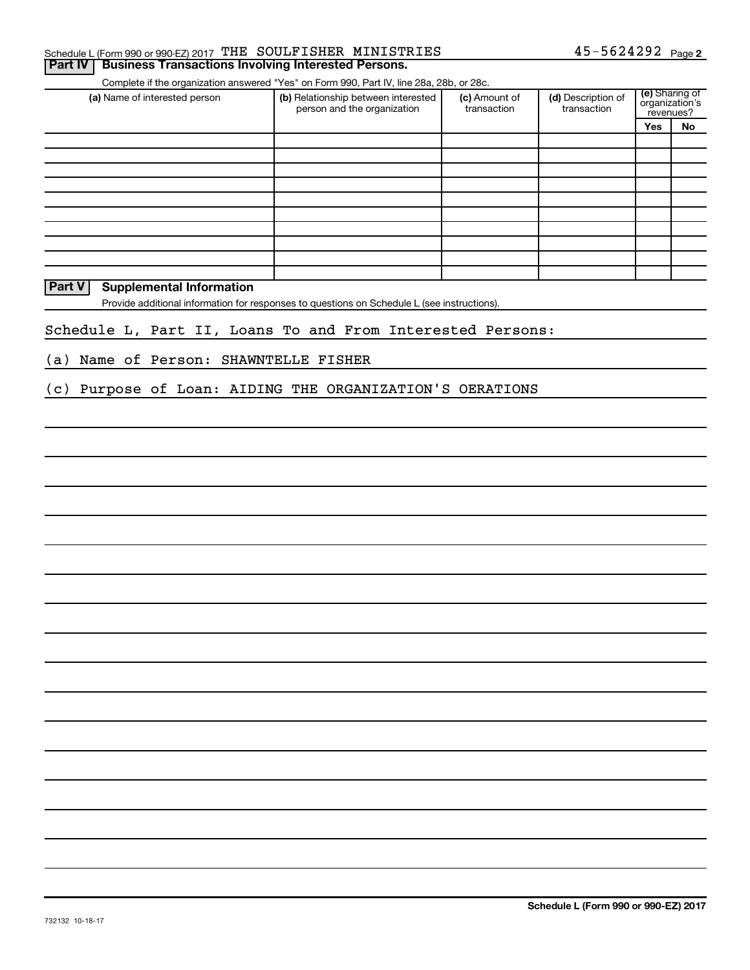| Schedule L (Form 990 or 990-EZ) 2017 THE SOULFISHER MINISTRIES                              |                                                                    |                                   | 45-5624292 Page 2                             |     |    |
|---------------------------------------------------------------------------------------------|--------------------------------------------------------------------|-----------------------------------|-----------------------------------------------|-----|----|
| <b>Business Transactions Involving Interested Persons.</b><br><b>Part IV</b>                |                                                                    |                                   |                                               |     |    |
| Complete if the organization answered "Yes" on Form 990, Part IV, line 28a, 28b, or 28c.    |                                                                    |                                   |                                               |     |    |
| (a) Name of interested person                                                               | (b) Relationship between interested<br>person and the organization | (d) Description of<br>transaction | (e) Sharing of<br>organization's<br>revenues? |     |    |
|                                                                                             |                                                                    | transaction                       |                                               | Yes | No |
|                                                                                             |                                                                    |                                   |                                               |     |    |
|                                                                                             |                                                                    |                                   |                                               |     |    |
|                                                                                             |                                                                    |                                   |                                               |     |    |
|                                                                                             |                                                                    |                                   |                                               |     |    |
|                                                                                             |                                                                    |                                   |                                               |     |    |
|                                                                                             |                                                                    |                                   |                                               |     |    |
|                                                                                             |                                                                    |                                   |                                               |     |    |
|                                                                                             |                                                                    |                                   |                                               |     |    |
|                                                                                             |                                                                    |                                   |                                               |     |    |
| <b>Part V</b><br><b>Supplemental Information</b>                                            |                                                                    |                                   |                                               |     |    |
| Provide additional information for responses to questions on Schedule L (see instructions). |                                                                    |                                   |                                               |     |    |
|                                                                                             |                                                                    |                                   |                                               |     |    |
| Schedule L, Part II, Loans To and From Interested Persons:                                  |                                                                    |                                   |                                               |     |    |
|                                                                                             |                                                                    |                                   |                                               |     |    |
| (a) Name of Person: SHAWNTELLE FISHER                                                       |                                                                    |                                   |                                               |     |    |
| (c) Purpose of Loan: AIDING THE ORGANIZATION'S OERATIONS                                    |                                                                    |                                   |                                               |     |    |
|                                                                                             |                                                                    |                                   |                                               |     |    |
|                                                                                             |                                                                    |                                   |                                               |     |    |
|                                                                                             |                                                                    |                                   |                                               |     |    |
|                                                                                             |                                                                    |                                   |                                               |     |    |
|                                                                                             |                                                                    |                                   |                                               |     |    |
|                                                                                             |                                                                    |                                   |                                               |     |    |
|                                                                                             |                                                                    |                                   |                                               |     |    |
|                                                                                             |                                                                    |                                   |                                               |     |    |
|                                                                                             |                                                                    |                                   |                                               |     |    |
|                                                                                             |                                                                    |                                   |                                               |     |    |
|                                                                                             |                                                                    |                                   |                                               |     |    |
|                                                                                             |                                                                    |                                   |                                               |     |    |
|                                                                                             |                                                                    |                                   |                                               |     |    |
|                                                                                             |                                                                    |                                   |                                               |     |    |
|                                                                                             |                                                                    |                                   |                                               |     |    |
|                                                                                             |                                                                    |                                   |                                               |     |    |
|                                                                                             |                                                                    |                                   |                                               |     |    |
|                                                                                             |                                                                    |                                   |                                               |     |    |
|                                                                                             |                                                                    |                                   |                                               |     |    |
|                                                                                             |                                                                    |                                   |                                               |     |    |
|                                                                                             |                                                                    |                                   |                                               |     |    |
|                                                                                             |                                                                    |                                   |                                               |     |    |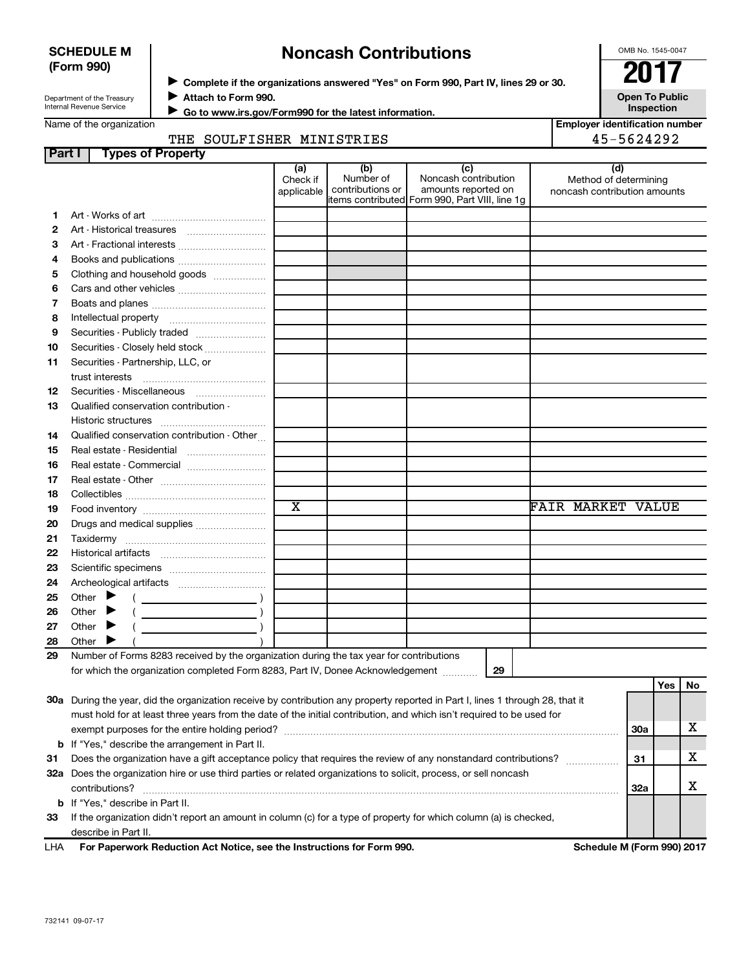| <b>SCHEDULE M</b> |  |
|-------------------|--|
| (Form 990)        |  |

## ◆ Complete if the organizations answered "Yes" on Form 990, Part IV, lines 29 or 30.<br>▶ Complete if the organizations answered "Yes" on Form 990, Part IV, lines 29 or 30. **Noncash Contributions**

OMB No. 1545-0047

Department of the Treasury Internal Revenue Service

**Attach to Form 990. Go to www.irs.gov/Form990 for the latest information.** J  $\blacktriangleright$ 

**Open To Public Inspection**

| Name of the organization |
|--------------------------|
|--------------------------|

| <b>Employer identification number</b> |
|---------------------------------------|
| 45-5624292                            |

THE SOULFISHER MINISTRIES 45-5624292

| Part I | <b>Types of Property</b>                                                                                                       |                         |                  |                                                |    |                              |     |     |    |
|--------|--------------------------------------------------------------------------------------------------------------------------------|-------------------------|------------------|------------------------------------------------|----|------------------------------|-----|-----|----|
|        |                                                                                                                                | (a)<br>Check if         | (b)<br>Number of | (c)<br>Noncash contribution                    |    | (d)<br>Method of determining |     |     |    |
|        |                                                                                                                                | applicable              | contributions or | amounts reported on                            |    | noncash contribution amounts |     |     |    |
|        |                                                                                                                                |                         |                  | items contributed Form 990, Part VIII, line 1g |    |                              |     |     |    |
| 1      |                                                                                                                                |                         |                  |                                                |    |                              |     |     |    |
| 2      |                                                                                                                                |                         |                  |                                                |    |                              |     |     |    |
| З      | Art - Fractional interests                                                                                                     |                         |                  |                                                |    |                              |     |     |    |
| 4      | Books and publications                                                                                                         |                         |                  |                                                |    |                              |     |     |    |
| 5      | Clothing and household goods                                                                                                   |                         |                  |                                                |    |                              |     |     |    |
| 6      |                                                                                                                                |                         |                  |                                                |    |                              |     |     |    |
| 7      |                                                                                                                                |                         |                  |                                                |    |                              |     |     |    |
| 8      |                                                                                                                                |                         |                  |                                                |    |                              |     |     |    |
| 9      | Securities - Publicly traded                                                                                                   |                         |                  |                                                |    |                              |     |     |    |
| 10     | Securities - Closely held stock                                                                                                |                         |                  |                                                |    |                              |     |     |    |
| 11     | Securities - Partnership, LLC, or                                                                                              |                         |                  |                                                |    |                              |     |     |    |
|        |                                                                                                                                |                         |                  |                                                |    |                              |     |     |    |
| 12     |                                                                                                                                |                         |                  |                                                |    |                              |     |     |    |
| 13     | Qualified conservation contribution -                                                                                          |                         |                  |                                                |    |                              |     |     |    |
|        |                                                                                                                                |                         |                  |                                                |    |                              |     |     |    |
| 14     | Qualified conservation contribution - Other                                                                                    |                         |                  |                                                |    |                              |     |     |    |
| 15     | Real estate - Residential                                                                                                      |                         |                  |                                                |    |                              |     |     |    |
| 16     | Real estate - Commercial                                                                                                       |                         |                  |                                                |    |                              |     |     |    |
| 17     |                                                                                                                                |                         |                  |                                                |    |                              |     |     |    |
| 18     |                                                                                                                                |                         |                  |                                                |    |                              |     |     |    |
| 19     |                                                                                                                                | $\overline{\textbf{x}}$ |                  |                                                |    | FAIR MARKET VALUE            |     |     |    |
| 20     | Drugs and medical supplies                                                                                                     |                         |                  |                                                |    |                              |     |     |    |
| 21     |                                                                                                                                |                         |                  |                                                |    |                              |     |     |    |
| 22     |                                                                                                                                |                         |                  |                                                |    |                              |     |     |    |
| 23     |                                                                                                                                |                         |                  |                                                |    |                              |     |     |    |
| 24     |                                                                                                                                |                         |                  |                                                |    |                              |     |     |    |
| 25     | Other $\blacktriangleright$                                                                                                    |                         |                  |                                                |    |                              |     |     |    |
| 26     | Other $\blacktriangleright$                                                                                                    |                         |                  |                                                |    |                              |     |     |    |
| 27     | Other $\blacktriangleright$                                                                                                    |                         |                  |                                                |    |                              |     |     |    |
| 28     | Other $\blacktriangleright$                                                                                                    |                         |                  |                                                |    |                              |     |     |    |
| 29     | Number of Forms 8283 received by the organization during the tax year for contributions                                        |                         |                  |                                                |    |                              |     |     |    |
|        | for which the organization completed Form 8283, Part IV, Donee Acknowledgement                                                 |                         |                  |                                                | 29 |                              |     |     |    |
|        |                                                                                                                                |                         |                  |                                                |    |                              |     | Yes | No |
|        | 30a During the year, did the organization receive by contribution any property reported in Part I, lines 1 through 28, that it |                         |                  |                                                |    |                              |     |     |    |
|        | must hold for at least three years from the date of the initial contribution, and which isn't required to be used for          |                         |                  |                                                |    |                              |     |     |    |
|        |                                                                                                                                |                         |                  |                                                |    |                              | 30a |     | x. |
|        | <b>b</b> If "Yes," describe the arrangement in Part II.                                                                        |                         |                  |                                                |    |                              |     |     |    |
| 31     | Does the organization have a gift acceptance policy that requires the review of any nonstandard contributions?                 |                         |                  |                                                |    |                              |     |     | x  |
|        | 32a Does the organization hire or use third parties or related organizations to solicit, process, or sell noncash              |                         |                  |                                                |    |                              |     |     |    |
|        | 32a<br>contributions?                                                                                                          |                         |                  |                                                |    |                              |     |     | x  |
|        | b If "Yes," describe in Part II.                                                                                               |                         |                  |                                                |    |                              |     |     |    |
| 33     | If the organization didn't report an amount in column (c) for a type of property for which column (a) is checked,              |                         |                  |                                                |    |                              |     |     |    |
|        | describe in Part II.                                                                                                           |                         |                  |                                                |    |                              |     |     |    |
| LHA    | For Paperwork Reduction Act Notice, see the Instructions for Form 990.                                                         |                         |                  |                                                |    | Schedule M (Form 990) 2017   |     |     |    |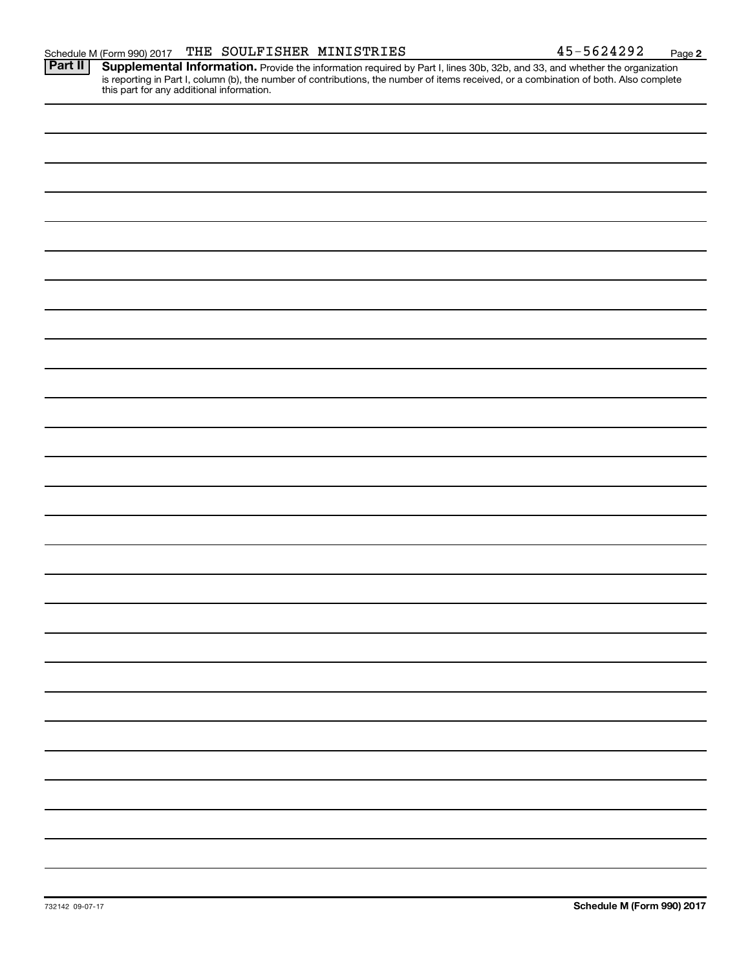Provide the information required by Part I, lines 30b, 32b, and 33, and whether the organization is reporting in Part I, column (b), the number of contributions, the number of items received, or a combination of both. Also complete this part for any additional information. **Part II Supplemental Information.**